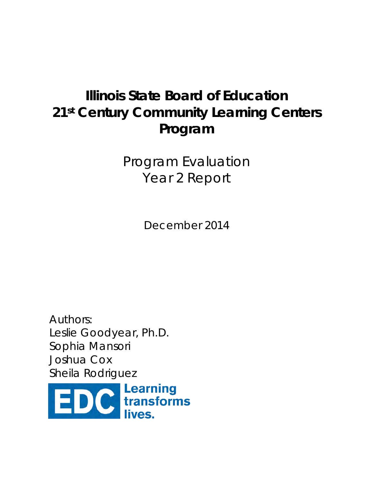# **Illinois State Board of Education 21st Century Community Learning Centers Program**

Program Evaluation Year 2 Report

December 2014

Authors: Leslie Goodyear, Ph.D. Sophia Mansori Joshua Cox Sheila Rodriguez

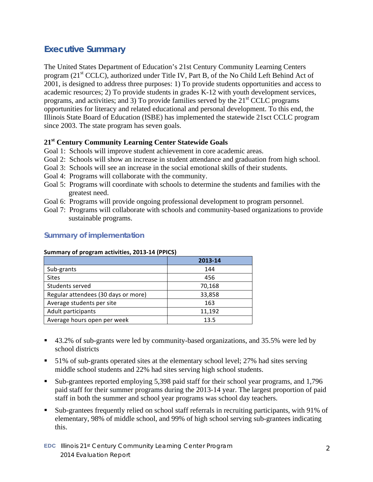# **Executive Summary**

The United States Department of Education's 21st Century Community Learning Centers program (21<sup>st</sup> CCLC), authorized under Title IV, Part B, of the No Child Left Behind Act of 2001, is designed to address three purposes: 1) To provide students opportunities and access to academic resources; 2) To provide students in grades K-12 with youth development services, programs, and activities; and 3) To provide families served by the  $21<sup>st</sup> CCLC$  programs opportunities for literacy and related educational and personal development. To this end, the Illinois State Board of Education (ISBE) has implemented the statewide 21sct CCLC program since 2003. The state program has seven goals.

# **21st Century Community Learning Center Statewide Goals**

- Goal 1: Schools will improve student achievement in core academic areas.
- Goal 2: Schools will show an increase in student attendance and graduation from high school.
- Goal 3: Schools will see an increase in the social emotional skills of their students.
- Goal 4: Programs will collaborate with the community.
- Goal 5: Programs will coordinate with schools to determine the students and families with the greatest need.
- Goal 6: Programs will provide ongoing professional development to program personnel.
- Goal 7: Programs will collaborate with schools and community-based organizations to provide sustainable programs.

# **Summary of implementation**

|                                     | 2013-14 |  |  |
|-------------------------------------|---------|--|--|
| Sub-grants                          | 144     |  |  |
| Sites                               | 456     |  |  |
| Students served                     | 70,168  |  |  |
| Regular attendees (30 days or more) | 33,858  |  |  |

Average students per site and the students of the students of the students of the students of the students of the students of the students of the students of the students of the students of the students of the students of Adult participants and the set of the set of the set of the set of the set of the set of the set of the set of the set of the set of the set of the set of the set of the set of the set of the set of the set of the set of t Average hours open per week and the state of the 13.5

#### **Summary of program activities, 2013-14 (PPICS)**

- 43.2% of sub-grants were led by community-based organizations, and 35.5% were led by school districts
- 51% of sub-grants operated sites at the elementary school level; 27% had sites serving middle school students and 22% had sites serving high school students.
- § Sub-grantees reported employing 5,398 paid staff for their school year programs, and 1,796 paid staff for their summer programs during the 2013-14 year. The largest proportion of paid staff in both the summer and school year programs was school day teachers.
- § Sub-grantees frequently relied on school staff referrals in recruiting participants, with 91% of elementary, 98% of middle school, and 99% of high school serving sub-grantees indicating this.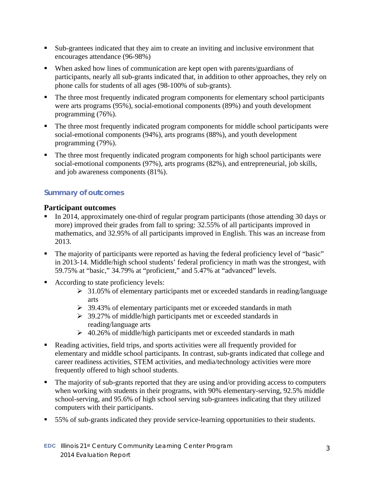- § Sub-grantees indicated that they aim to create an inviting and inclusive environment that encourages attendance (96-98%)
- When asked how lines of communication are kept open with parents/guardians of participants, nearly all sub-grants indicated that, in addition to other approaches, they rely on phone calls for students of all ages (98-100% of sub-grants).
- The three most frequently indicated program components for elementary school participants were arts programs (95%), social-emotional components (89%) and youth development programming (76%).
- The three most frequently indicated program components for middle school participants were social-emotional components (94%), arts programs (88%), and youth development programming (79%).
- The three most frequently indicated program components for high school participants were social-emotional components (97%), arts programs (82%), and entrepreneurial, job skills, and job awareness components (81%).

# **Summary of outcomes**

# **Participant outcomes**

- In 2014, approximately one-third of regular program participants (those attending 30 days or more) improved their grades from fall to spring: 32.55% of all participants improved in mathematics, and 32.95% of all participants improved in English. This was an increase from 2013.
- The majority of participants were reported as having the federal proficiency level of "basic" in 2013-14. Middle/high school students' federal proficiency in math was the strongest, with 59.75% at "basic," 34.79% at "proficient," and 5.47% at "advanced" levels.
- According to state proficiency levels:
	- $\geq 31.05\%$  of elementary participants met or exceeded standards in reading/language arts
	- $\geq$  39.43% of elementary participants met or exceeded standards in math
	- $\geq$  39.27% of middle/high participants met or exceeded standards in reading/language arts
	- $\geq 40.26\%$  of middle/high participants met or exceeded standards in math
- Reading activities, field trips, and sports activities were all frequently provided for elementary and middle school participants. In contrast, sub-grants indicated that college and career readiness activities, STEM activities, and media/technology activities were more frequently offered to high school students.
- The majority of sub-grants reported that they are using and/or providing access to computers when working with students in their programs, with 90% elementary-serving, 92.5% middle school-serving, and 95.6% of high school serving sub-grantees indicating that they utilized computers with their participants.
- 55% of sub-grants indicated they provide service-learning opportunities to their students.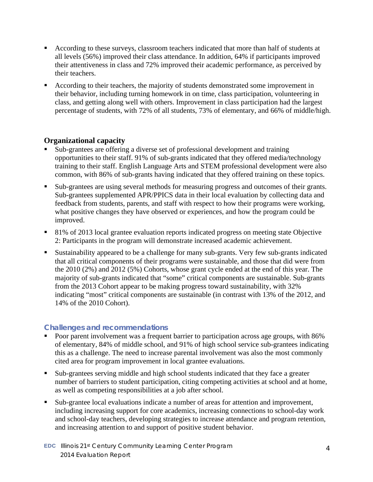- § According to these surveys, classroom teachers indicated that more than half of students at all levels (56%) improved their class attendance. In addition, 64% if participants improved their attentiveness in class and 72% improved their academic performance, as perceived by their teachers.
- According to their teachers, the majority of students demonstrated some improvement in their behavior, including turning homework in on time, class participation, volunteering in class, and getting along well with others. Improvement in class participation had the largest percentage of students, with 72% of all students, 73% of elementary, and 66% of middle/high.

# **Organizational capacity**

- § Sub-grantees are offering a diverse set of professional development and training opportunities to their staff. 91% of sub-grants indicated that they offered media/technology training to their staff. English Language Arts and STEM professional development were also common, with 86% of sub-grants having indicated that they offered training on these topics.
- Sub-grantees are using several methods for measuring progress and outcomes of their grants. Sub-grantees supplemented APR/PPICS data in their local evaluation by collecting data and feedback from students, parents, and staff with respect to how their programs were working, what positive changes they have observed or experiences, and how the program could be improved.
- § 81% of 2013 local grantee evaluation reports indicated progress on meeting state Objective 2: Participants in the program will demonstrate increased academic achievement.
- § Sustainability appeared to be a challenge for many sub-grants. Very few sub-grants indicated that all critical components of their programs were sustainable, and those that did were from the 2010 (2%) and 2012 (5%) Cohorts, whose grant cycle ended at the end of this year. The majority of sub-grants indicated that "some" critical components are sustainable. Sub-grants from the 2013 Cohort appear to be making progress toward sustainability, with 32% indicating "most" critical components are sustainable (in contrast with 13% of the 2012, and 14% of the 2010 Cohort).

# **Challenges and recommendations**

- § Poor parent involvement was a frequent barrier to participation across age groups, with 86% of elementary, 84% of middle school, and 91% of high school service sub-grantees indicating this as a challenge. The need to increase parental involvement was also the most commonly cited area for program improvement in local grantee evaluations.
- § Sub-grantees serving middle and high school students indicated that they face a greater number of barriers to student participation, citing competing activities at school and at home, as well as competing responsibilities at a job after school.
- § Sub-grantee local evaluations indicate a number of areas for attention and improvement, including increasing support for core academics, increasing connections to school-day work and school-day teachers, developing strategies to increase attendance and program retention, and increasing attention to and support of positive student behavior.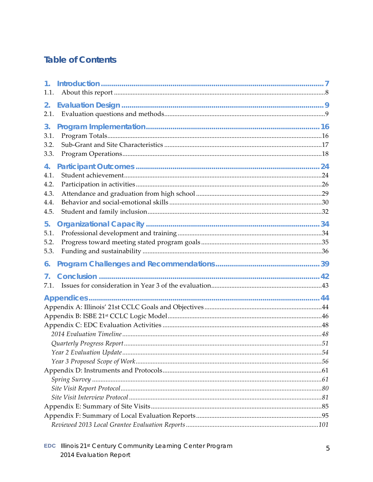# **Table of Contents**

| 1 <sub>1</sub><br>1.1. |  |
|------------------------|--|
|                        |  |
| 2.<br>2.1.             |  |
|                        |  |
| 3.                     |  |
| 3.1.<br>3.2.           |  |
| 3.3.                   |  |
|                        |  |
| 4.                     |  |
| 4.1.                   |  |
| 4.2.<br>4.3.           |  |
| 4.4.                   |  |
| 4.5.                   |  |
|                        |  |
| 5.                     |  |
| 5.1.<br>5.2.           |  |
| 5.3.                   |  |
| 6.                     |  |
|                        |  |
|                        |  |
| 7 <sub>1</sub>         |  |
| 7.1.                   |  |
|                        |  |
|                        |  |
|                        |  |
|                        |  |
|                        |  |
|                        |  |
|                        |  |
|                        |  |
|                        |  |
|                        |  |
|                        |  |
|                        |  |
|                        |  |

# **EDC** Illinois 21<sup>st</sup> Century Community Learning Center Program 2014 Evaluation Report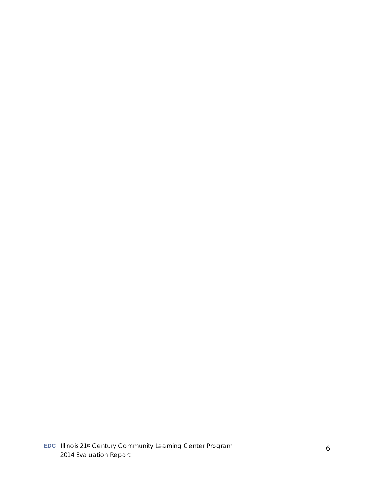# **EDC** Illinois 21st Century Community Learning Center Program 2014 Evaluation Report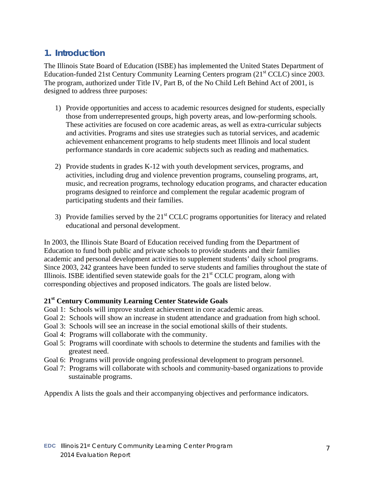# **1. Introduction**

The Illinois State Board of Education (ISBE) has implemented the United States Department of Education-funded 21st Century Community Learning Centers program  $(21<sup>st</sup> CCLC)$  since 2003. The program, authorized under Title IV, Part B, of the No Child Left Behind Act of 2001, is designed to address three purposes:

- 1) Provide opportunities and access to academic resources designed for students, especially those from underrepresented groups, high poverty areas, and low-performing schools. These activities are focused on core academic areas, as well as extra-curricular subjects and activities. Programs and sites use strategies such as tutorial services, and academic achievement enhancement programs to help students meet Illinois and local student performance standards in core academic subjects such as reading and mathematics.
- 2) Provide students in grades K-12 with youth development services, programs, and activities, including drug and violence prevention programs, counseling programs, art, music, and recreation programs, technology education programs, and character education programs designed to reinforce and complement the regular academic program of participating students and their families.
- 3) Provide families served by the  $21<sup>st</sup> CCLC$  programs opportunities for literacy and related educational and personal development.

In 2003, the Illinois State Board of Education received funding from the Department of Education to fund both public and private schools to provide students and their families academic and personal development activities to supplement students' daily school programs. Since 2003, 242 grantees have been funded to serve students and families throughout the state of Illinois. ISBE identified seven statewide goals for the  $21<sup>st</sup>$  CCLC program, along with corresponding objectives and proposed indicators. The goals are listed below.

### **21st Century Community Learning Center Statewide Goals**

- Goal 1: Schools will improve student achievement in core academic areas.
- Goal 2: Schools will show an increase in student attendance and graduation from high school.
- Goal 3: Schools will see an increase in the social emotional skills of their students.
- Goal 4: Programs will collaborate with the community.
- Goal 5: Programs will coordinate with schools to determine the students and families with the greatest need.
- Goal 6: Programs will provide ongoing professional development to program personnel.
- Goal 7: Programs will collaborate with schools and community-based organizations to provide sustainable programs.

Appendix A lists the goals and their accompanying objectives and performance indicators.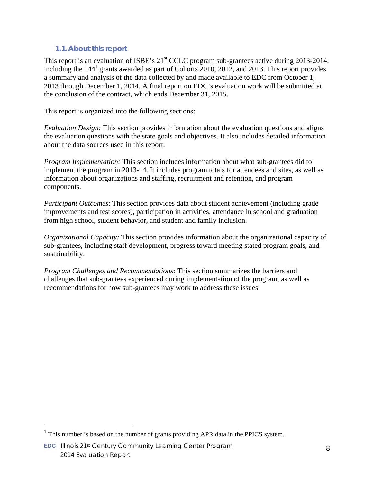## **1.1.About this report**

This report is an evaluation of ISBE's  $21<sup>st</sup>$  CCLC program sub-grantees active during 2013-2014, including the  $144<sup>1</sup>$  grants awarded as part of Cohorts 2010, 2012, and 2013. This report provides a summary and analysis of the data collected by and made available to EDC from October 1, 2013 through December 1, 2014. A final report on EDC's evaluation work will be submitted at the conclusion of the contract, which ends December 31, 2015.

This report is organized into the following sections:

*Evaluation Design:* This section provides information about the evaluation questions and aligns the evaluation questions with the state goals and objectives. It also includes detailed information about the data sources used in this report.

*Program Implementation:* This section includes information about what sub-grantees did to implement the program in 2013-14. It includes program totals for attendees and sites, as well as information about organizations and staffing, recruitment and retention, and program components.

*Participant Outcomes*: This section provides data about student achievement (including grade improvements and test scores), participation in activities, attendance in school and graduation from high school, student behavior, and student and family inclusion.

*Organizational Capacity:* This section provides information about the organizational capacity of sub-grantees, including staff development, progress toward meeting stated program goals, and sustainability.

*Program Challenges and Recommendations:* This section summarizes the barriers and challenges that sub-grantees experienced during implementation of the program, as well as recommendations for how sub-grantees may work to address these issues.

**EDC** Illinois 21st Century Community Learning Center Program 2014 Evaluation Report

 $<sup>1</sup>$  This number is based on the number of grants providing APR data in the PPICS system.</sup>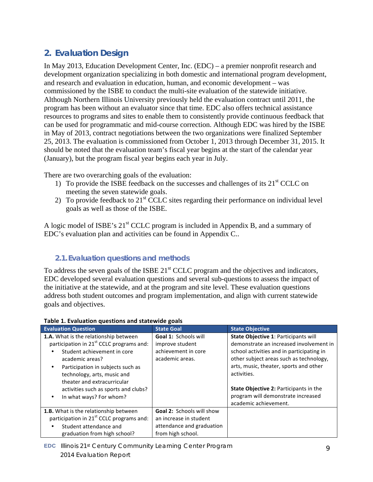# **2. Evaluation Design**

In May 2013, Education Development Center, Inc. (EDC) – a premier nonprofit research and development organization specializing in both domestic and international program development, and research and evaluation in education, human, and economic development – was commissioned by the ISBE to conduct the multi-site evaluation of the statewide initiative. Although Northern Illinois University previously held the evaluation contract until 2011, the program has been without an evaluator since that time. EDC also offers technical assistance resources to programs and sites to enable them to consistently provide continuous feedback that can be used for programmatic and mid-course correction. Although EDC was hired by the ISBE in May of 2013, contract negotiations between the two organizations were finalized September 25, 2013. The evaluation is commissioned from October 1, 2013 through December 31, 2015. It should be noted that the evaluation team's fiscal year begins at the start of the calendar year (January), but the program fiscal year begins each year in July.

There are two overarching goals of the evaluation:

- 1) To provide the ISBE feedback on the successes and challenges of its  $21<sup>st</sup> CCLC$  on meeting the seven statewide goals.
- 2) To provide feedback to  $21<sup>st</sup> CCLC$  sites regarding their performance on individual level goals as well as those of the ISBE.

A logic model of ISBE's  $21<sup>st</sup>$  CCLC program is included in Appendix B, and a summary of EDC's evaluation plan and activities can be found in Appendix C..

# **2.1.Evaluation questions and methods**

To address the seven goals of the ISBE  $21<sup>st</sup>$  CCLC program and the objectives and indicators, EDC developed several evaluation questions and several sub-questions to assess the impact of the initiative at the statewide, and at the program and site level. These evaluation questions address both student outcomes and program implementation, and align with current statewide goals and objectives.

| <b>Evaluation Question</b>                           | <b>State Goal</b>                | <b>State Objective</b>                        |
|------------------------------------------------------|----------------------------------|-----------------------------------------------|
| 1.A. What is the relationship between                | Goal 1: Schools will             | <b>State Objective 1: Participants will</b>   |
| participation in 21 <sup>st</sup> CCLC programs and: | improve student                  | demonstrate an increased involvement in       |
| Student achievement in core                          | achievement in core              | school activities and in participating in     |
| academic areas?                                      | academic areas.                  | other subject areas such as technology,       |
| Participation in subjects such as                    |                                  | arts, music, theater, sports and other        |
| technology, arts, music and                          |                                  | activities.                                   |
| theater and extracurricular                          |                                  |                                               |
| activities such as sports and clubs?                 |                                  | <b>State Objective 2: Participants in the</b> |
| In what ways? For whom?                              |                                  | program will demonstrate increased            |
|                                                      |                                  | academic achievement.                         |
| 1.B. What is the relationship between                | <b>Goal 2: Schools will show</b> |                                               |
| participation in 21 <sup>st</sup> CCLC programs and: | an increase in student           |                                               |
| Student attendance and                               | attendance and graduation        |                                               |
| graduation from high school?                         | from high school.                |                                               |

#### **Table 1. Evaluation questions and statewide goals**

**EDC** Illinois 21st Century Community Learning Center Program 2014 Evaluation Report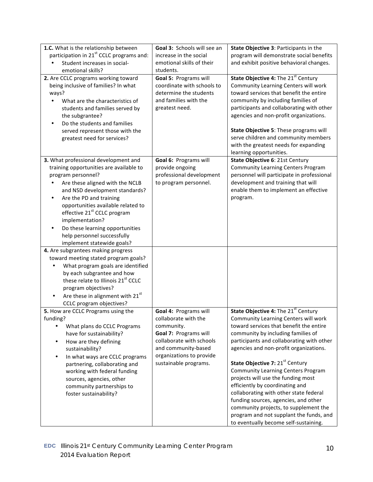| 1.C. What is the relationship between                                                                                                                                                                                                                                                                                                                                                                                               | Goal 3: Schools will see an                                                                                                                                                                  | State Objective 3: Participants in the                                                                                                                                                                                                                                                                                                                                                                                                                                                                                                                                                                                                              |
|-------------------------------------------------------------------------------------------------------------------------------------------------------------------------------------------------------------------------------------------------------------------------------------------------------------------------------------------------------------------------------------------------------------------------------------|----------------------------------------------------------------------------------------------------------------------------------------------------------------------------------------------|-----------------------------------------------------------------------------------------------------------------------------------------------------------------------------------------------------------------------------------------------------------------------------------------------------------------------------------------------------------------------------------------------------------------------------------------------------------------------------------------------------------------------------------------------------------------------------------------------------------------------------------------------------|
| participation in 21 <sup>st</sup> CCLC programs and:                                                                                                                                                                                                                                                                                                                                                                                | increase in the social                                                                                                                                                                       | program will demonstrate social benefits                                                                                                                                                                                                                                                                                                                                                                                                                                                                                                                                                                                                            |
| Student increases in social-<br>emotional skills?                                                                                                                                                                                                                                                                                                                                                                                   | emotional skills of their<br>students.                                                                                                                                                       | and exhibit positive behavioral changes.                                                                                                                                                                                                                                                                                                                                                                                                                                                                                                                                                                                                            |
| 2. Are CCLC programs working toward<br>being inclusive of families? In what<br>ways?<br>What are the characteristics of<br>$\bullet$<br>students and families served by<br>the subgrantee?<br>Do the students and families<br>served represent those with the<br>greatest need for services?                                                                                                                                        | Goal 5: Programs will<br>coordinate with schools to<br>determine the students<br>and families with the<br>greatest need.                                                                     | State Objective 4: The 21st Century<br>Community Learning Centers will work<br>toward services that benefit the entire<br>community by including families of<br>participants and collaborating with other<br>agencies and non-profit organizations.<br>State Objective 5: These programs will<br>serve children and community members<br>with the greatest needs for expanding                                                                                                                                                                                                                                                                      |
| 3. What professional development and<br>training opportunities are available to<br>program personnel?<br>Are these aligned with the NCLB<br>and NSD development standards?<br>Are the PD and training<br>$\bullet$<br>opportunities available related to<br>effective 21 <sup>st</sup> CCLC program<br>implementation?<br>Do these learning opportunities<br>$\bullet$<br>help personnel successfully<br>implement statewide goals? | Goal 6: Programs will<br>provide ongoing<br>professional development<br>to program personnel.                                                                                                | learning opportunities.<br>State Objective 6: 21st Century<br><b>Community Learning Centers Program</b><br>personnel will participate in professional<br>development and training that will<br>enable them to implement an effective<br>program.                                                                                                                                                                                                                                                                                                                                                                                                    |
| 4. Are subgrantees making progress<br>toward meeting stated program goals?<br>What program goals are identified<br>by each subgrantee and how<br>these relate to Illinois 21 <sup>st</sup> CCLC<br>program objectives?<br>Are these in alignment with 21st<br>$\bullet$<br>CCLC program objectives?                                                                                                                                 |                                                                                                                                                                                              |                                                                                                                                                                                                                                                                                                                                                                                                                                                                                                                                                                                                                                                     |
| 5. How are CCLC Programs using the<br>funding?<br>What plans do CCLC Programs<br>$\bullet$<br>have for sustainability?<br>How are they defining<br>٠<br>sustainability?<br>In what ways are CCLC programs<br>$\bullet$<br>partnering, collaborating and<br>working with federal funding<br>sources, agencies, other<br>community partnerships to<br>foster sustainability?                                                          | Goal 4: Programs will<br>collaborate with the<br>community.<br>Goal 7: Programs will<br>collaborate with schools<br>and community-based<br>organizations to provide<br>sustainable programs. | State Objective 4: The 21 <sup>st</sup> Century<br>Community Learning Centers will work<br>toward services that benefit the entire<br>community by including families of<br>participants and collaborating with other<br>agencies and non-profit organizations.<br>State Objective 7: 21 <sup>st</sup> Century<br><b>Community Learning Centers Program</b><br>projects will use the funding most<br>efficiently by coordinating and<br>collaborating with other state federal<br>funding sources, agencies, and other<br>community projects, to supplement the<br>program and not supplant the funds, and<br>to eventually become self-sustaining. |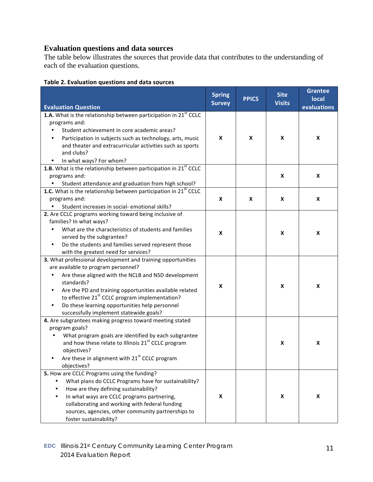# **Evaluation questions and data sources**

The table below illustrates the sources that provide data that contributes to the understanding of each of the evaluation questions.

|                                                                                                                        | <b>Spring</b><br><b>Survey</b> | <b>PPICS</b> | <b>Site</b><br><b>Visits</b> | <b>Grantee</b><br>local<br>evaluations |
|------------------------------------------------------------------------------------------------------------------------|--------------------------------|--------------|------------------------------|----------------------------------------|
| <b>Evaluation Question</b><br>1.A. What is the relationship between participation in 21 <sup>st</sup> CCLC             |                                |              |                              |                                        |
| programs and:                                                                                                          |                                |              |                              |                                        |
| Student achievement in core academic areas?<br>$\bullet$                                                               |                                |              |                              |                                        |
| Participation in subjects such as technology, arts, music                                                              | X                              | X            | X                            | X                                      |
| and theater and extracurricular activities such as sports                                                              |                                |              |                              |                                        |
| and clubs?                                                                                                             |                                |              |                              |                                        |
| In what ways? For whom?                                                                                                |                                |              |                              |                                        |
| 1.B. What is the relationship between participation in 21 <sup>st</sup> CCLC                                           |                                |              |                              |                                        |
| programs and:                                                                                                          |                                |              | X                            | X                                      |
| Student attendance and graduation from high school?<br>$\bullet$                                                       |                                |              |                              |                                        |
| <b>1.C.</b> What is the relationship between participation in $21^{st}$ CCLC                                           |                                |              |                              |                                        |
| programs and:                                                                                                          | X                              | X            | X                            | X                                      |
| Student increases in social- emotional skills?                                                                         |                                |              |                              |                                        |
| 2. Are CCLC programs working toward being inclusive of                                                                 |                                |              |                              |                                        |
| families? In what ways?                                                                                                |                                |              |                              |                                        |
| What are the characteristics of students and families                                                                  | X                              |              |                              |                                        |
| served by the subgrantee?                                                                                              |                                |              | X                            | X                                      |
| Do the students and families served represent those                                                                    |                                |              |                              |                                        |
| with the greatest need for services?                                                                                   |                                |              |                              |                                        |
| 3. What professional development and training opportunities                                                            |                                |              |                              |                                        |
| are available to program personnel?                                                                                    |                                |              |                              |                                        |
| Are these aligned with the NCLB and NSD development<br>$\bullet$                                                       |                                |              |                              |                                        |
| standards?                                                                                                             | X                              |              | X                            | X                                      |
| Are the PD and training opportunities available related<br>$\bullet$                                                   |                                |              |                              |                                        |
| to effective 21 <sup>st</sup> CCLC program implementation?                                                             |                                |              |                              |                                        |
| Do these learning opportunities help personnel                                                                         |                                |              |                              |                                        |
| successfully implement statewide goals?                                                                                |                                |              |                              |                                        |
| 4. Are subgrantees making progress toward meeting stated                                                               |                                |              |                              |                                        |
| program goals?                                                                                                         |                                |              |                              |                                        |
| What program goals are identified by each subgrantee<br>and how these relate to Illinois 21 <sup>st</sup> CCLC program |                                |              | X                            | X                                      |
| objectives?                                                                                                            |                                |              |                              |                                        |
| Are these in alignment with 21 <sup>st</sup> CCLC program                                                              |                                |              |                              |                                        |
| objectives?                                                                                                            |                                |              |                              |                                        |
| 5. How are CCLC Programs using the funding?                                                                            |                                |              |                              |                                        |
| What plans do CCLC Programs have for sustainability?                                                                   |                                |              |                              |                                        |
| How are they defining sustainability?                                                                                  |                                |              |                              |                                        |
| In what ways are CCLC programs partnering,                                                                             | X                              |              | X                            | X                                      |
| collaborating and working with federal funding                                                                         |                                |              |                              |                                        |
| sources, agencies, other community partnerships to                                                                     |                                |              |                              |                                        |
| foster sustainability?                                                                                                 |                                |              |                              |                                        |

#### **Table 2. Evaluation questions and data sources**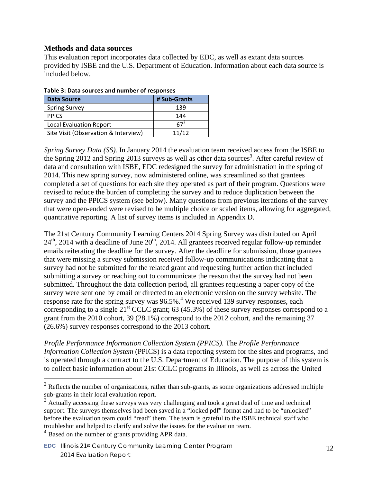#### **Methods and data sources**

This evaluation report incorporates data collected by EDC, as well as extant data sources provided by ISBE and the U.S. Department of Education. Information about each data source is included below.

| <b>Data Source</b>                   | # Sub-Grants    |
|--------------------------------------|-----------------|
| <b>Spring Survey</b>                 | 139             |
| <b>PPICS</b>                         | 144             |
| <b>Local Evaluation Report</b>       | 67 <sup>2</sup> |
| Site Visit (Observation & Interview) | 11/12           |

| Table 3: Data sources and number of responses |  |  |  |  |
|-----------------------------------------------|--|--|--|--|
|-----------------------------------------------|--|--|--|--|

*Spring Survey Data (SS).* In January 2014 the evaluation team received access from the ISBE to the Spring 2012 and Spring 2013 surveys as well as other data sources<sup>3</sup>. After careful review of data and consultation with ISBE, EDC redesigned the survey for administration in the spring of 2014. This new spring survey, now administered online, was streamlined so that grantees completed a set of questions for each site they operated as part of their program. Questions were revised to reduce the burden of completing the survey and to reduce duplication between the survey and the PPICS system (see below). Many questions from previous iterations of the survey that were open-ended were revised to be multiple choice or scaled items, allowing for aggregated, quantitative reporting. A list of survey items is included in Appendix D.

The 21st Century Community Learning Centers 2014 Spring Survey was distributed on April  $24<sup>th</sup>$ , 2014 with a deadline of June  $20<sup>th</sup>$ , 2014. All grantees received regular follow-up reminder emails reiterating the deadline for the survey. After the deadline for submission, those grantees that were missing a survey submission received follow-up communications indicating that a survey had not be submitted for the related grant and requesting further action that included submitting a survey or reaching out to communicate the reason that the survey had not been submitted. Throughout the data collection period, all grantees requesting a paper copy of the survey were sent one by email or directed to an electronic version on the survey website. The response rate for the spring survey was 96.5%<sup>4</sup>. We received 139 survey responses, each corresponding to a single  $21<sup>st</sup> CCLC$  grant; 63 (45.3%) of these survey responses correspond to a grant from the 2010 cohort, 39 (28.1%) correspond to the 2012 cohort, and the remaining 37 (26.6%) survey responses correspond to the 2013 cohort.

*Profile Performance Information Collection System (PPICS).* The *Profile Performance Information Collection System (PPICS)* is a data reporting system for the sites and programs, and is operated through a contract to the U.S. Department of Education. The purpose of this system is to collect basic information about 21st CCLC programs in Illinois, as well as across the United

 $2^2$  Reflects the number of organizations, rather than sub-grants, as some organizations addressed multiple sub-grants in their local evaluation report.

<sup>&</sup>lt;sup>3</sup> Actually accessing these surveys was very challenging and took a great deal of time and technical support. The surveys themselves had been saved in a "locked pdf" format and had to be "unlocked" before the evaluation team could "read" them. The team is grateful to the ISBE technical staff who troubleshot and helped to clarify and solve the issues for the evaluation team.

<sup>&</sup>lt;sup>4</sup> Based on the number of grants providing APR data.

**EDC** Illinois 21st Century Community Learning Center Program 2014 Evaluation Report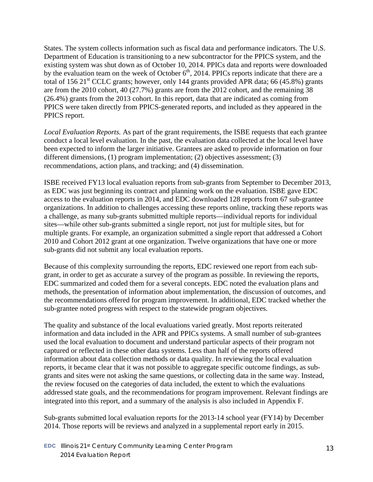States. The system collects information such as fiscal data and performance indicators. The U.S. Department of Education is transitioning to a new subcontractor for the PPICS system, and the existing system was shut down as of October 10, 2014. PPICs data and reports were downloaded by the evaluation team on the week of October  $6<sup>th</sup>$ , 2014. PPICs reports indicate that there are a total of 156 21<sup>st</sup> CCLC grants; however, only 144 grants provided APR data; 66 (45.8%) grants are from the 2010 cohort, 40 (27.7%) grants are from the 2012 cohort, and the remaining 38 (26.4%) grants from the 2013 cohort. In this report, data that are indicated as coming from PPICS were taken directly from PPICS-generated reports, and included as they appeared in the PPICS report.

*Local Evaluation Reports.* As part of the grant requirements, the ISBE requests that each grantee conduct a local level evaluation. In the past, the evaluation data collected at the local level have been expected to inform the larger initiative. Grantees are asked to provide information on four different dimensions, (1) program implementation; (2) objectives assessment; (3) recommendations, action plans, and tracking; and (4) dissemination.

ISBE received FY13 local evaluation reports from sub-grants from September to December 2013, as EDC was just beginning its contract and planning work on the evaluation. ISBE gave EDC access to the evaluation reports in 2014, and EDC downloaded 128 reports from 67 sub-grantee organizations. In addition to challenges accessing these reports online, tracking these reports was a challenge, as many sub-grants submitted multiple reports—individual reports for individual sites—while other sub-grants submitted a single report, not just for multiple sites, but for multiple grants. For example, an organization submitted a single report that addressed a Cohort 2010 and Cohort 2012 grant at one organization. Twelve organizations that have one or more sub-grants did not submit any local evaluation reports.

Because of this complexity surrounding the reports, EDC reviewed one report from each subgrant, in order to get as accurate a survey of the program as possible. In reviewing the reports, EDC summarized and coded them for a several concepts. EDC noted the evaluation plans and methods, the presentation of information about implementation, the discussion of outcomes, and the recommendations offered for program improvement. In additional, EDC tracked whether the sub-grantee noted progress with respect to the statewide program objectives.

The quality and substance of the local evaluations varied greatly. Most reports reiterated information and data included in the APR and PPICs systems. A small number of sub-grantees used the local evaluation to document and understand particular aspects of their program not captured or reflected in these other data systems. Less than half of the reports offered information about data collection methods or data quality. In reviewing the local evaluation reports, it became clear that it was not possible to aggregate specific outcome findings, as subgrants and sites were not asking the same questions, or collecting data in the same way. Instead, the review focused on the categories of data included, the extent to which the evaluations addressed state goals, and the recommendations for program improvement. Relevant findings are integrated into this report, and a summary of the analysis is also included in Appendix F.

Sub-grants submitted local evaluation reports for the 2013-14 school year (FY14) by December 2014. Those reports will be reviews and analyzed in a supplemental report early in 2015.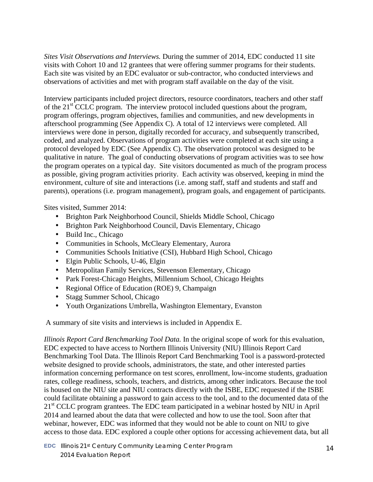*Sites Visit Observations and Interviews.* During the summer of 2014, EDC conducted 11 site visits with Cohort 10 and 12 grantees that were offering summer programs for their students. Each site was visited by an EDC evaluator or sub-contractor, who conducted interviews and observations of activities and met with program staff available on the day of the visit.

Interview participants included project directors, resource coordinators, teachers and other staff of the  $21<sup>st</sup> CCLC$  program. The interview protocol included questions about the program, program offerings, program objectives, families and communities, and new developments in afterschool programming (See Appendix C). A total of 12 interviews were completed. All interviews were done in person, digitally recorded for accuracy, and subsequently transcribed, coded, and analyzed. Observations of program activities were completed at each site using a protocol developed by EDC (See Appendix C). The observation protocol was designed to be qualitative in nature. The goal of conducting observations of program activities was to see how the program operates on a typical day. Site visitors documented as much of the program process as possible, giving program activities priority. Each activity was observed, keeping in mind the environment, culture of site and interactions (i.e. among staff, staff and students and staff and parents), operations (i.e. program management), program goals, and engagement of participants.

Sites visited, Summer 2014:

- Brighton Park Neighborhood Council, Shields Middle School, Chicago
- Brighton Park Neighborhood Council, Davis Elementary, Chicago
- Build Inc., Chicago
- Communities in Schools, McCleary Elementary, Aurora
- Communities Schools Initiative (CSI), Hubbard High School, Chicago
- Elgin Public Schools, U-46, Elgin
- Metropolitan Family Services, Stevenson Elementary, Chicago
- Park Forest-Chicago Heights, Millennium School, Chicago Heights
- Regional Office of Education (ROE) 9, Champaign
- Stagg Summer School, Chicago
- Youth Organizations Umbrella, Washington Elementary, Evanston

A summary of site visits and interviews is included in Appendix E.

*Illinois Report Card Benchmarking Tool Data.* In the original scope of work for this evaluation, EDC expected to have access to Northern Illinois University (NIU) Illinois Report Card Benchmarking Tool Data. The Illinois Report Card Benchmarking Tool is a password-protected website designed to provide schools, administrators, the state, and other interested parties information concerning performance on test scores, enrollment, low-income students, graduation rates, college readiness, schools, teachers, and districts, among other indicators. Because the tool is housed on the NIU site and NIU contracts directly with the ISBE, EDC requested if the ISBE could facilitate obtaining a password to gain access to the tool, and to the documented data of the 21<sup>st</sup> CCLC program grantees. The EDC team participated in a webinar hosted by NIU in April 2014 and learned about the data that were collected and how to use the tool. Soon after that webinar, however, EDC was informed that they would not be able to count on NIU to give access to those data. EDC explored a couple other options for accessing achievement data, but all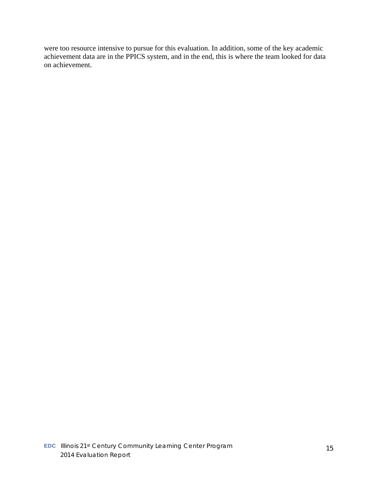were too resource intensive to pursue for this evaluation. In addition, some of the key academic achievement data are in the PPICS system, and in the end, this is where the team looked for data on achievement.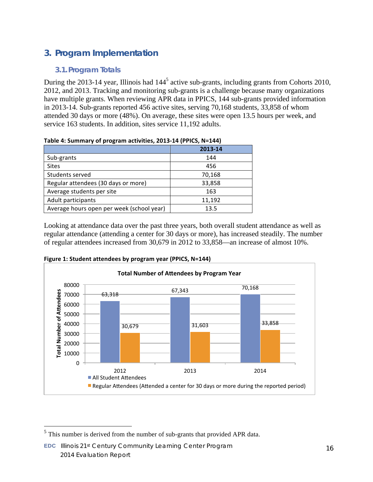# **3. Program Implementation**

# **3.1.Program Totals**

During the 2013-14 year, Illinois had  $144<sup>5</sup>$  active sub-grants, including grants from Cohorts 2010, 2012, and 2013. Tracking and monitoring sub-grants is a challenge because many organizations have multiple grants. When reviewing APR data in PPICS, 144 sub-grants provided information in 2013-14. Sub-grants reported 456 active sites, serving 70,168 students, 33,858 of whom attended 30 days or more (48%). On average, these sites were open 13.5 hours per week, and service 163 students. In addition, sites service 11,192 adults.

| rabic 4. January or program activities, 2015-14 (11 165, 11-144) |         |  |  |  |
|------------------------------------------------------------------|---------|--|--|--|
|                                                                  | 2013-14 |  |  |  |
| Sub-grants                                                       | 144     |  |  |  |
| <b>Sites</b>                                                     | 456     |  |  |  |
| Students served                                                  | 70,168  |  |  |  |
| Regular attendees (30 days or more)                              | 33,858  |  |  |  |
| Average students per site                                        | 163     |  |  |  |
| Adult participants                                               | 11,192  |  |  |  |
| Average hours open per week (school year)                        | 13.5    |  |  |  |

| Table 4: Summary of program activities, 2013-14 (PPICS, N=144) |  |  |
|----------------------------------------------------------------|--|--|
|                                                                |  |  |

Looking at attendance data over the past three years, both overall student attendance as well as regular attendance (attending a center for 30 days or more), has increased steadily. The number of regular attendees increased from 30,679 in 2012 to 33,858—an increase of almost 10%.



#### **Figure 1: Student attendees by program year (PPICS, N=144)**

 $<sup>5</sup>$  This number is derived from the number of sub-grants that provided APR data.</sup>

**EDC** Illinois 21st Century Community Learning Center Program 2014 Evaluation Report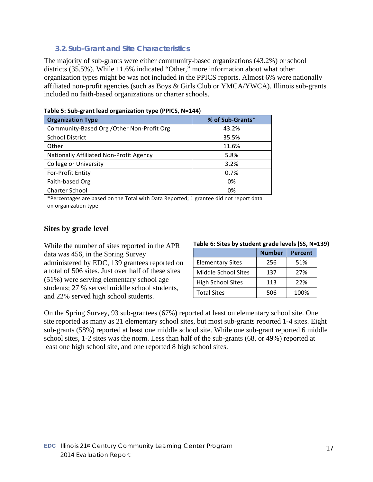# **3.2.Sub-Grant and Site Characteristics**

The majority of sub-grants were either community-based organizations (43.2%) or school districts (35.5%). While 11.6% indicated "Other," more information about what other organization types might be was not included in the PPICS reports. Almost 6% were nationally affiliated non-profit agencies (such as Boys & Girls Club or YMCA/YWCA). Illinois sub-grants included no faith-based organizations or charter schools.

| <b>Organization Type</b>                   | % of Sub-Grants* |
|--------------------------------------------|------------------|
| Community-Based Org / Other Non-Profit Org | 43.2%            |
| <b>School District</b>                     | 35.5%            |
| Other                                      | 11.6%            |
| Nationally Affiliated Non-Profit Agency    | 5.8%             |
| <b>College or University</b>               | 3.2%             |
| For-Profit Entity                          | 0.7%             |
| Faith-based Org                            | 0%               |
| Charter School                             | 0%               |

Table 5: Sub-grant lead organization type (PPICS, N=144)

\*Percentages are based on the Total with Data Reported; 1 grantee did not report data on organization type

# **Sites by grade level**

While the number of sites reported in the APR data was 456, in the Spring Survey administered by EDC, 139 grantees reported on a total of 506 sites. Just over half of these sites (51%) were serving elementary school age students; 27 % served middle school students, and 22% served high school students.

#### Table 6: Sites by student grade levels (SS, N=139)

|                          | <b>Number</b> | <b>Percent</b> |
|--------------------------|---------------|----------------|
| <b>Elementary Sites</b>  | 256           | 51%            |
| Middle School Sites      | 137           | 27%            |
| <b>High School Sites</b> | 113           | 22%            |
| <b>Total Sites</b>       | 506           | 100%           |

On the Spring Survey, 93 sub-grantees (67%) reported at least on elementary school site. One site reported as many as 21 elementary school sites, but most sub-grants reported 1-4 sites. Eight sub-grants (58%) reported at least one middle school site. While one sub-grant reported 6 middle school sites, 1-2 sites was the norm. Less than half of the sub-grants (68, or 49%) reported at least one high school site, and one reported 8 high school sites.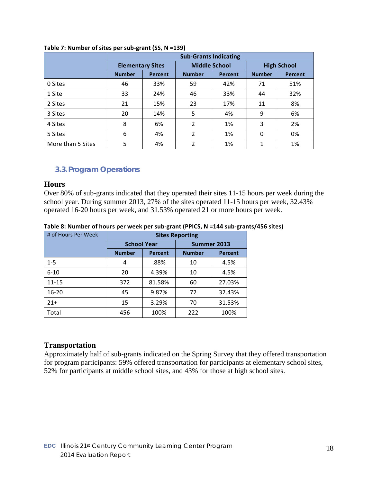|                   | <b>Sub-Grants Indicating</b> |                |                      |         |                    |         |
|-------------------|------------------------------|----------------|----------------------|---------|--------------------|---------|
|                   | <b>Elementary Sites</b>      |                | <b>Middle School</b> |         | <b>High School</b> |         |
|                   | <b>Number</b>                | <b>Percent</b> | <b>Number</b>        | Percent | <b>Number</b>      | Percent |
| 0 Sites           | 46                           | 33%            | 59                   | 42%     | 71                 | 51%     |
| 1 Site            | 33                           | 24%            | 46                   | 33%     | 44                 | 32%     |
| 2 Sites           | 21                           | 15%            | 23                   | 17%     | 11                 | 8%      |
| 3 Sites           | 20                           | 14%            | 5                    | 4%      | 9                  | 6%      |
| 4 Sites           | 8                            | 6%             | $\overline{2}$       | 1%      | 3                  | 2%      |
| 5 Sites           | 6                            | 4%             | $\overline{2}$       | 1%      | 0                  | 0%      |
| More than 5 Sites | 5                            | 4%             | $\overline{2}$       | 1%      | 1                  | 1%      |

#### **Table 7: Number of sites per sub-grant (SS, N =139)**

#### **3.3.Program Operations**

#### **Hours**

Over 80% of sub-grants indicated that they operated their sites 11-15 hours per week during the school year. During summer 2013, 27% of the sites operated 11-15 hours per week, 32.43% operated 16-20 hours per week, and 31.53% operated 21 or more hours per week.

| # of Hours Per Week | <b>Sites Reporting</b> |                |               |         |
|---------------------|------------------------|----------------|---------------|---------|
|                     | <b>School Year</b>     |                | Summer 2013   |         |
|                     | <b>Number</b>          | <b>Percent</b> | <b>Number</b> | Percent |
| $1 - 5$             | 4                      | .88%           | 10            | 4.5%    |
| $6 - 10$            | 20                     | 4.39%          | 10            | 4.5%    |
| $11 - 15$           | 372                    | 81.58%         | 60            | 27.03%  |
| $16 - 20$           | 45                     | 9.87%          | 72            | 32.43%  |
| $21+$               | 15                     | 3.29%          | 70            | 31.53%  |
| Total               | 456                    | 100%           | 222           | 100%    |

| Table 8: Number of hours per week per sub-grant (PPICS, N =144 sub-grants/456 sites) |
|--------------------------------------------------------------------------------------|
|--------------------------------------------------------------------------------------|

#### **Transportation**

Approximately half of sub-grants indicated on the Spring Survey that they offered transportation for program participants: 59% offered transportation for participants at elementary school sites, 52% for participants at middle school sites, and 43% for those at high school sites.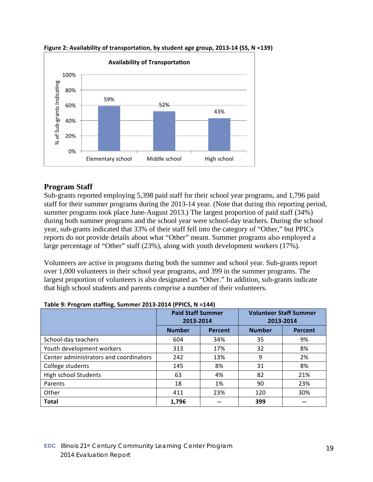

**Figure 2: Availability of transportation, by student age group, 2013-14 (SS, N =139)** 

# **Program Staff**

Sub-grants reported employing 5,398 paid staff for their school year programs, and 1,796 paid staff for their summer programs during the 2013-14 year. (Note that during this reporting period, summer programs took place June-August 2013.) The largest proportion of paid staff (34%) during both summer programs and the school year were school-day teachers. During the school year, sub-grants indicated that 33% of their staff fell into the category of "Other," but PPICs reports do not provide details about what "Other" meant. Summer programs also employed a large percentage of "Other" staff (23%), along with youth development workers (17%).

Volunteers are active in programs during both the summer and school year. Sub-grants report over 1,000 volunteers in their school year programs, and 399 in the summer programs. The largest proportion of volunteers is also designated as "Other." In addition, sub-grants indicate that high school students and parents comprise a number of their volunteers.

|                                        | <b>Paid Staff Summer</b><br>2013-2014 |         | <b>Volunteer Staff Summer</b><br>2013-2014 |                |
|----------------------------------------|---------------------------------------|---------|--------------------------------------------|----------------|
|                                        | <b>Number</b>                         | Percent | <b>Number</b>                              | <b>Percent</b> |
| School-day teachers                    | 604                                   | 34%     | 35                                         | 9%             |
| Youth development workers              | 313                                   | 17%     | 32                                         | 8%             |
| Center administrators and coordinators | 242                                   | 13%     | 9                                          | 2%             |
| College students                       | 145                                   | 8%      | 31                                         | 8%             |
| High school Students                   | 63                                    | 4%      | 82                                         | 21%            |
| Parents                                | 18                                    | 1%      | 90                                         | 23%            |
| Other                                  | 411                                   | 23%     | 120                                        | 30%            |
| <b>Total</b>                           | 1,796                                 |         | 399                                        |                |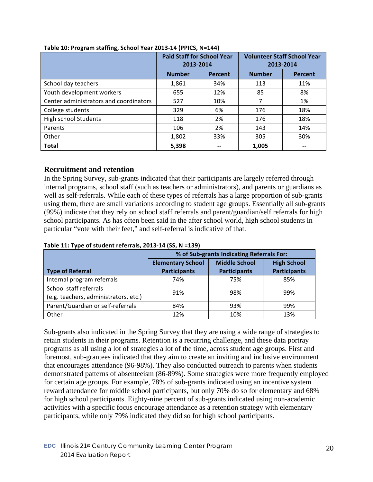|                                        | <b>Paid Staff for School Year</b><br>2013-2014 |         | <b>Volunteer Staff School Year</b><br>2013-2014 |                |
|----------------------------------------|------------------------------------------------|---------|-------------------------------------------------|----------------|
|                                        | <b>Number</b>                                  | Percent | <b>Number</b>                                   | <b>Percent</b> |
| School day teachers                    | 1,861                                          | 34%     | 113                                             | 11%            |
| Youth development workers              | 655                                            | 12%     | 85                                              | 8%             |
| Center administrators and coordinators | 527                                            | 10%     |                                                 | 1%             |
| College students                       | 329                                            | 6%      | 176                                             | 18%            |
| High school Students                   | 118                                            | 2%      | 176                                             | 18%            |
| Parents                                | 106                                            | 2%      | 143                                             | 14%            |
| Other                                  | 1,802                                          | 33%     | 305                                             | 30%            |
| <b>Total</b>                           | 5,398                                          |         | 1,005                                           |                |

#### **Table 10: Program staffing, School Year 2013-14 (PPICS, N=144)**

#### **Recruitment and retention**

In the Spring Survey, sub-grants indicated that their participants are largely referred through internal programs, school staff (such as teachers or administrators), and parents or guardians as well as self-referrals. While each of these types of referrals has a large proportion of sub-grants using them, there are small variations according to student age groups. Essentially all sub-grants (99%) indicate that they rely on school staff referrals and parent/guardian/self referrals for high school participants. As has often been said in the after school world, high school students in particular "vote with their feet," and self-referral is indicative of that.

|                                       | % of Sub-grants Indicating Referrals For:<br><b>Middle School</b><br><b>Elementary School</b><br><b>High School</b> |                     |                     |
|---------------------------------------|---------------------------------------------------------------------------------------------------------------------|---------------------|---------------------|
|                                       |                                                                                                                     |                     |                     |
| <b>Type of Referral</b>               | <b>Participants</b>                                                                                                 | <b>Participants</b> | <b>Participants</b> |
| Internal program referrals            | 74%                                                                                                                 | 75%                 | 85%                 |
| School staff referrals                | 91%                                                                                                                 | 98%                 | 99%                 |
| (e.g. teachers, administrators, etc.) |                                                                                                                     |                     |                     |
| Parent/Guardian or self-referrals     | 84%                                                                                                                 | 93%                 | 99%                 |
| Other                                 | 12%                                                                                                                 | 10%                 | 13%                 |

**Table 11: Type of student referrals, 2013-14 (SS, N =139)** 

Sub-grants also indicated in the Spring Survey that they are using a wide range of strategies to retain students in their programs. Retention is a recurring challenge, and these data portray programs as all using a lot of strategies a lot of the time, across student age groups. First and foremost, sub-grantees indicated that they aim to create an inviting and inclusive environment that encourages attendance (96-98%). They also conducted outreach to parents when students demonstrated patterns of absenteeism (86-89%). Some strategies were more frequently employed for certain age groups. For example, 78% of sub-grants indicated using an incentive system reward attendance for middle school participants, but only 70% do so for elementary and 68% for high school participants. Eighty-nine percent of sub-grants indicated using non-academic activities with a specific focus encourage attendance as a retention strategy with elementary participants, while only 79% indicated they did so for high school participants.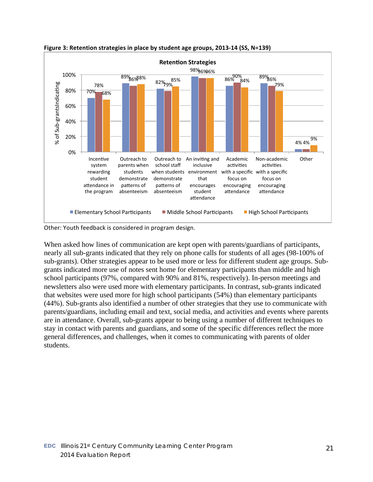

Figure 3: Retention strategies in place by student age groups, 2013-14 (SS, N=139)

Other: Youth feedback is considered in program design.

When asked how lines of communication are kept open with parents/guardians of participants, nearly all sub-grants indicated that they rely on phone calls for students of all ages (98-100% of sub-grants). Other strategies appear to be used more or less for different student age groups. Subgrants indicated more use of notes sent home for elementary participants than middle and high school participants (97%, compared with 90% and 81%, respectively). In-person meetings and newsletters also were used more with elementary participants. In contrast, sub-grants indicated that websites were used more for high school participants (54%) than elementary participants (44%). Sub-grants also identified a number of other strategies that they use to communicate with parents/guardians, including email and text, social media, and activities and events where parents are in attendance. Overall, sub-grants appear to being using a number of different techniques to stay in contact with parents and guardians, and some of the specific differences reflect the more general differences, and challenges, when it comes to communicating with parents of older students.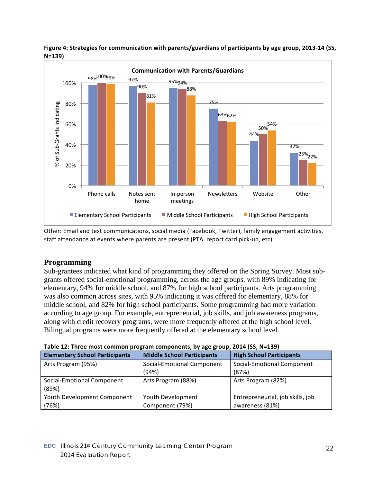

Figure 4: Strategies for communication with parents/guardians of participants by age group, 2013-14 (SS, **N=139)**

Other: Email and text communications, social media (Facebook, Twitter), family engagement activities, staff attendance at events where parents are present (PTA, report card pick-up, etc).

# **Programming**

Sub-grantees indicated what kind of programming they offered on the Spring Survey. Most subgrants offered social-emotional programming, across the age groups, with 89% indicating for elementary, 94% for middle school, and 87% for high school participants. Arts programming was also common across sites, with 95% indicating it was offered for elementary, 88% for middle school, and 82% for high school participants. Some programming had more variation according to age group. For example, entrepreneurial, job skills, and job awareness programs, along with credit recovery programs, were more frequently offered at the high school level. Bilingual programs were more frequently offered at the elementary school level.

| Table 12. Three most common program components, by age group, 2014 (33, N-133) |                                   |                                  |  |  |
|--------------------------------------------------------------------------------|-----------------------------------|----------------------------------|--|--|
| <b>Elementary School Participants</b>                                          | <b>Middle School Participants</b> | <b>High School Participants</b>  |  |  |
| Arts Program (95%)                                                             | Social-Emotional Component        | Social-Emotional Component       |  |  |
|                                                                                | (94%)                             | (87%)                            |  |  |
| Social-Emotional Component                                                     | Arts Program (88%)                | Arts Program (82%)               |  |  |
| (89%)                                                                          |                                   |                                  |  |  |
| Youth Development Component                                                    | Youth Development                 | Entrepreneurial, job skills, job |  |  |
| (76%)                                                                          | Component (79%)                   | awareness (81%)                  |  |  |

| Table 12: Three most common program components, by age group, 2014 (SS, N=139) |  |  |
|--------------------------------------------------------------------------------|--|--|
|                                                                                |  |  |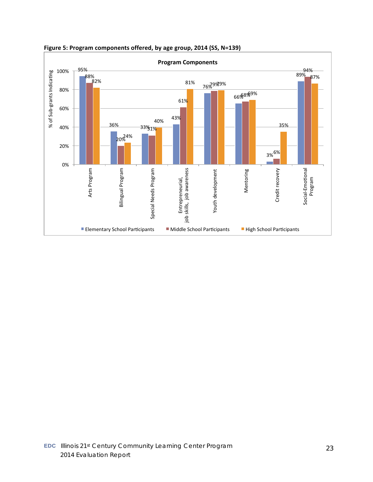

Figure 5: Program components offered, by age group, 2014 (SS, N=139)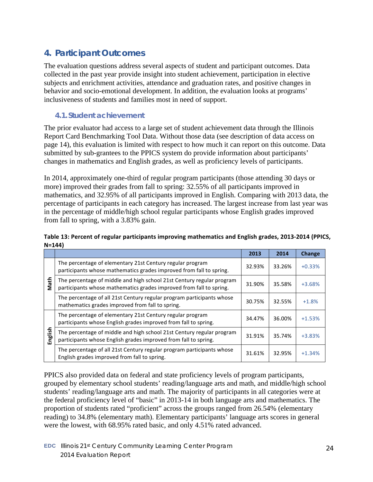# **4. Participant Outcomes**

The evaluation questions address several aspects of student and participant outcomes. Data collected in the past year provide insight into student achievement, participation in elective subjects and enrichment activities, attendance and graduation rates, and positive changes in behavior and socio-emotional development. In addition, the evaluation looks at programs' inclusiveness of students and families most in need of support.

# **4.1.Student achievement**

The prior evaluator had access to a large set of student achievement data through the Illinois Report Card Benchmarking Tool Data. Without those data (see description of data access on page 14), this evaluation is limited with respect to how much it can report on this outcome. Data submitted by sub-grantees to the PPICS system do provide information about participants' changes in mathematics and English grades, as well as proficiency levels of participants.

In 2014, approximately one-third of regular program participants (those attending 30 days or more) improved their grades from fall to spring: 32.55% of all participants improved in mathematics, and 32.95% of all participants improved in English. Comparing with 2013 data, the percentage of participants in each category has increased. The largest increase from last year was in the percentage of middle/high school regular participants whose English grades improved from fall to spring, with a 3.83% gain.

| Table 13: Percent of regular participants improving mathematics and English grades, 2013-2014 (PPICS, |  |
|-------------------------------------------------------------------------------------------------------|--|
| $N = 144$                                                                                             |  |

|         |                                                                                                                                              | 2013   | 2014   | <b>Change</b> |
|---------|----------------------------------------------------------------------------------------------------------------------------------------------|--------|--------|---------------|
|         | The percentage of elementary 21st Century regular program<br>participants whose mathematics grades improved from fall to spring.             | 32.93% | 33.26% | $+0.33%$      |
| Math    | The percentage of middle and high school 21st Century regular program<br>participants whose mathematics grades improved from fall to spring. | 31.90% | 35.58% | $+3.68%$      |
|         | The percentage of all 21st Century regular program participants whose<br>mathematics grades improved from fall to spring.                    | 30.75% | 32.55% | $+1.8%$       |
|         | The percentage of elementary 21st Century regular program<br>participants whose English grades improved from fall to spring.                 | 34.47% | 36.00% | $+1.53%$      |
| English | The percentage of middle and high school 21st Century regular program<br>participants whose English grades improved from fall to spring.     | 31.91% | 35.74% | $+3.83%$      |
|         | The percentage of all 21st Century regular program participants whose<br>English grades improved from fall to spring.                        | 31.61% | 32.95% | $+1.34%$      |

PPICS also provided data on federal and state proficiency levels of program participants, grouped by elementary school students' reading/language arts and math, and middle/high school students' reading/language arts and math. The majority of participants in all categories were at the federal proficiency level of "basic" in 2013-14 in both language arts and mathematics. The proportion of students rated "proficient" across the groups ranged from 26.54% (elementary reading) to 34.8% (elementary math). Elementary participants' language arts scores in general were the lowest, with 68.95% rated basic, and only 4.51% rated advanced.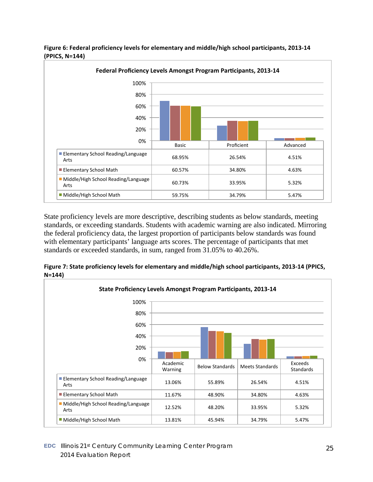

Figure 6: Federal proficiency levels for elementary and middle/high school participants, 2013-14 **(PPICS, N=144)**

State proficiency levels are more descriptive, describing students as below standards, meeting standards, or exceeding standards. Students with academic warning are also indicated. Mirroring the federal proficiency data, the largest proportion of participants below standards was found with elementary participants' language arts scores. The percentage of participants that met standards or exceeded standards, in sum, ranged from 31.05% to 40.26%.



Figure 7: State proficiency levels for elementary and middle/high school participants, 2013-14 (PPICS, **N=144)**

**EDC** Illinois 21st Century Community Learning Center Program 2014 Evaluation Report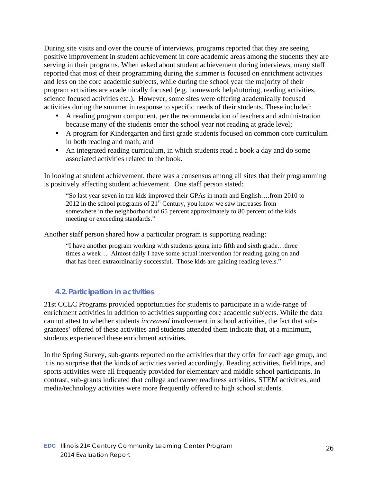During site visits and over the course of interviews, programs reported that they are seeing positive improvement in student achievement in core academic areas among the students they are serving in their programs. When asked about student achievement during interviews, many staff reported that most of their programming during the summer is focused on enrichment activities and less on the core academic subjects, while during the school year the majority of their program activities are academically focused (e.g. homework help/tutoring, reading activities, science focused activities etc.). However, some sites were offering academically focused activities during the summer in response to specific needs of their students. These included:

- A reading program component, per the recommendation of teachers and administration because many of the students enter the school year not reading at grade level;
- A program for Kindergarten and first grade students focused on common core curriculum in both reading and math; and
- An integrated reading curriculum, in which students read a book a day and do some associated activities related to the book.

In looking at student achievement, there was a consensus among all sites that their programming is positively affecting student achievement. One staff person stated:

"So last year seven in ten kids improved their GPAs in math and English….from 2010 to 2012 in the school programs of  $21<sup>st</sup>$  Century, you know we saw increases from somewhere in the neighborhood of 65 percent approximately to 80 percent of the kids meeting or exceeding standards."

Another staff person shared how a particular program is supporting reading:

"I have another program working with students going into fifth and sixth grade…three times a week… Almost daily I have some actual intervention for reading going on and that has been extraordinarily successful. Those kids are gaining reading levels."

# **4.2.Participation in activities**

21st CCLC Programs provided opportunities for students to participate in a wide-range of enrichment activities in addition to activities supporting core academic subjects. While the data cannot attest to whether students *increased* involvement in school activities, the fact that subgrantees' offered of these activities and students attended them indicate that, at a minimum, students experienced these enrichment activities.

In the Spring Survey, sub-grants reported on the activities that they offer for each age group, and it is no surprise that the kinds of activities varied accordingly. Reading activities, field trips, and sports activities were all frequently provided for elementary and middle school participants. In contrast, sub-grants indicated that college and career readiness activities, STEM activities, and media/technology activities were more frequently offered to high school students.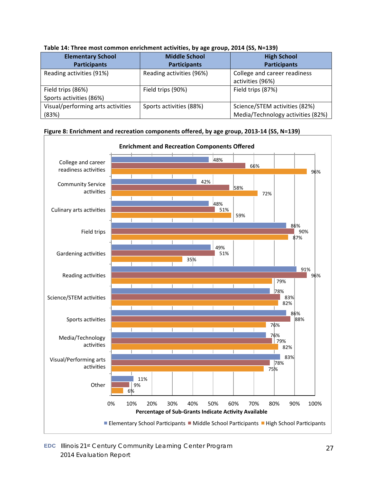| <b>Elementary School</b>                     | <b>Middle School</b>     | <b>High School</b>                                                 |
|----------------------------------------------|--------------------------|--------------------------------------------------------------------|
| <b>Participants</b>                          | <b>Participants</b>      | <b>Participants</b>                                                |
| Reading activities (91%)                     | Reading activities (96%) | College and career readiness<br>activities (96%)                   |
| Field trips (86%)<br>Sports activities (86%) | Field trips (90%)        | Field trips (87%)                                                  |
| Visual/performing arts activities<br>(83%)   | Sports activities (88%)  | Science/STEM activities (82%)<br>Media/Technology activities (82%) |

#### **Table 14: Three most common enrichment activities, by age group, 2014 (SS, N=139)**

#### Figure 8: Enrichment and recreation components offered, by age group, 2013-14 (SS, N=139)



#### **EDC** Illinois 21st Century Community Learning Center Program 2014 Evaluation Report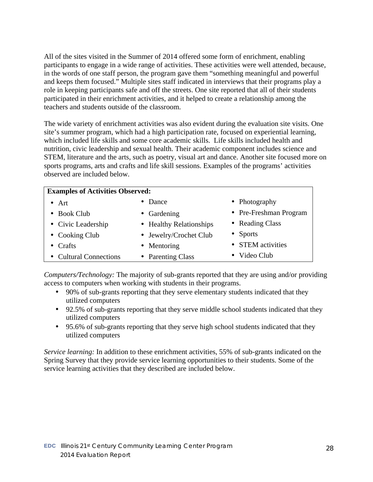All of the sites visited in the Summer of 2014 offered some form of enrichment, enabling participants to engage in a wide range of activities. These activities were well attended, because, in the words of one staff person, the program gave them "something meaningful and powerful and keeps them focused." Multiple sites staff indicated in interviews that their programs play a role in keeping participants safe and off the streets. One site reported that all of their students participated in their enrichment activities, and it helped to create a relationship among the teachers and students outside of the classroom.

The wide variety of enrichment activities was also evident during the evaluation site visits. One site's summer program, which had a high participation rate, focused on experiential learning, which included life skills and some core academic skills. Life skills included health and nutrition, civic leadership and sexual health. Their academic component includes science and STEM, literature and the arts, such as poetry, visual art and dance. Another site focused more on sports programs, arts and crafts and life skill sessions. Examples of the programs' activities observed are included below.

| <b>Examples of Activities Observed:</b> |                         |                        |  |  |
|-----------------------------------------|-------------------------|------------------------|--|--|
| $\bullet$ Art                           | Dance                   | • Photography          |  |  |
| • Book Club                             | Gardening<br>$\bullet$  | • Pre-Freshman Program |  |  |
| • Civic Leadership                      | • Healthy Relationships | • Reading Class        |  |  |
| • Cooking Club                          | • Jewelry/Crochet Club  | • Sports               |  |  |
| $\bullet$ Crafts                        | • Mentoring             | • STEM activities      |  |  |
| <b>Cultural Connections</b>             | • Parenting Class       | • Video Club           |  |  |

*Computers/Technology:* The majority of sub-grants reported that they are using and/or providing access to computers when working with students in their programs.

- 90% of sub-grants reporting that they serve elementary students indicated that they utilized computers
- 92.5% of sub-grants reporting that they serve middle school students indicated that they utilized computers
- 95.6% of sub-grants reporting that they serve high school students indicated that they utilized computers

*Service learning:* In addition to these enrichment activities, 55% of sub-grants indicated on the Spring Survey that they provide service learning opportunities to their students. Some of the service learning activities that they described are included below.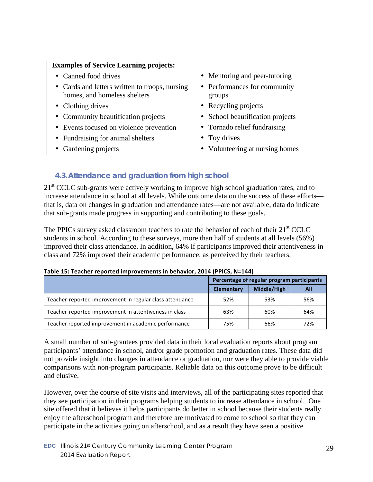#### **Examples of Service Learning projects:**

- 
- Cards and letters written to troops, nursing homes, and homeless shelters
- 
- Community beautification projects School beautification projects
- Events focused on violence prevention Tornado relief fundraising
- Fundraising for animal shelters Toy drives
- 
- Canned food drives Mentoring and peer-tutoring
	- Performances for community groups
- Clothing drives Recycling projects
	-
	-
	-
- Gardening projects Volunteering at nursing homes

# **4.3.Attendance and graduation from high school**

21<sup>st</sup> CCLC sub-grants were actively working to improve high school graduation rates, and to increase attendance in school at all levels. While outcome data on the success of these efforts that is, data on changes in graduation and attendance rates—are not available, data do indicate that sub-grants made progress in supporting and contributing to these goals.

The PPICs survey asked classroom teachers to rate the behavior of each of their 21<sup>st</sup> CCLC students in school. According to these surveys, more than half of students at all levels (56%) improved their class attendance. In addition, 64% if participants improved their attentiveness in class and 72% improved their academic performance, as perceived by their teachers.

|                                                          | Percentage of regular program participants |             |     |
|----------------------------------------------------------|--------------------------------------------|-------------|-----|
|                                                          | Elementary                                 | Middle/High | All |
| Teacher-reported improvement in regular class attendance | 52%                                        | 53%         | 56% |
| Teacher-reported improvement in attentiveness in class   | 63%                                        | 60%         | 64% |
| Teacher reported improvement in academic performance     | 75%                                        | 66%         | 72% |

#### Table 15: Teacher reported improvements in behavior, 2014 (PPICS, N=144)

A small number of sub-grantees provided data in their local evaluation reports about program participants' attendance in school, and/or grade promotion and graduation rates. These data did not provide insight into changes in attendance or graduation, nor were they able to provide viable comparisons with non-program participants. Reliable data on this outcome prove to be difficult and elusive.

However, over the course of site visits and interviews, all of the participating sites reported that they see participation in their programs helping students to increase attendance in school. One site offered that it believes it helps participants do better in school because their students really enjoy the afterschool program and therefore are motivated to come to school so that they can participate in the activities going on afterschool, and as a result they have seen a positive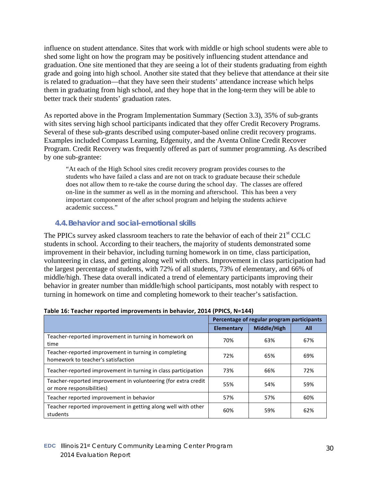influence on student attendance. Sites that work with middle or high school students were able to shed some light on how the program may be positively influencing student attendance and graduation. One site mentioned that they are seeing a lot of their students graduating from eighth grade and going into high school. Another site stated that they believe that attendance at their site is related to graduation—that they have seen their students' attendance increase which helps them in graduating from high school, and they hope that in the long-term they will be able to better track their students' graduation rates.

As reported above in the Program Implementation Summary (Section 3.3), 35% of sub-grants with sites serving high school participants indicated that they offer Credit Recovery Programs. Several of these sub-grants described using computer-based online credit recovery programs. Examples included Compass Learning, Edgenuity, and the Aventa Online Credit Recover Program. Credit Recovery was frequently offered as part of summer programming. As described by one sub-grantee:

"At each of the High School sites credit recovery program provides courses to the students who have failed a class and are not on track to graduate because their schedule does not allow them to re-take the course during the school day. The classes are offered on-line in the summer as well as in the morning and afterschool. This has been a very important component of the after school program and helping the students achieve academic success."

#### **4.4.Behavior and social-emotional skills**

The PPICs survey asked classroom teachers to rate the behavior of each of their 21<sup>st</sup> CCLC students in school. According to their teachers, the majority of students demonstrated some improvement in their behavior, including turning homework in on time, class participation, volunteering in class, and getting along well with others. Improvement in class participation had the largest percentage of students, with 72% of all students, 73% of elementary, and 66% of middle/high. These data overall indicated a trend of elementary participants improving their behavior in greater number than middle/high school participants, most notably with respect to turning in homework on time and completing homework to their teacher's satisfaction.

|                                                                                             | Percentage of regular program participants |             |     |
|---------------------------------------------------------------------------------------------|--------------------------------------------|-------------|-----|
|                                                                                             | Elementary                                 | Middle/High | All |
| Teacher-reported improvement in turning in homework on<br>time                              | 70%                                        | 63%         | 67% |
| Teacher-reported improvement in turning in completing<br>homework to teacher's satisfaction | 72%                                        | 65%         | 69% |
| Teacher-reported improvement in turning in class participation                              | 73%                                        | 66%         | 72% |
| Teacher-reported improvement in volunteering (for extra credit<br>or more responsibilities) | 55%                                        | 54%         | 59% |
| Teacher reported improvement in behavior                                                    | 57%                                        | 57%         | 60% |
| Teacher reported improvement in getting along well with other<br>students                   | 60%                                        | 59%         | 62% |

#### Table 16: Teacher reported improvements in behavior, 2014 (PPICS, N=144)

# **EDC** Illinois 21st Century Community Learning Center Program 2014 Evaluation Report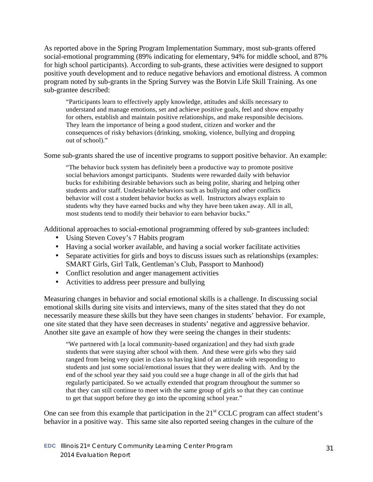As reported above in the Spring Program Implementation Summary, most sub-grants offered social-emotional programming (89% indicating for elementary, 94% for middle school, and 87% for high school participants). According to sub-grants, these activities were designed to support positive youth development and to reduce negative behaviors and emotional distress. A common program noted by sub-grants in the Spring Survey was the Botvin Life Skill Training. As one sub-grantee described:

"Participants learn to effectively apply knowledge, attitudes and skills necessary to understand and manage emotions, set and achieve positive goals, feel and show empathy for others, establish and maintain positive relationships, and make responsible decisions. They learn the importance of being a good student, citizen and worker and the consequences of risky behaviors (drinking, smoking, violence, bullying and dropping out of school)."

Some sub-grants shared the use of incentive programs to support positive behavior. An example:

"The behavior buck system has definitely been a productive way to promote positive social behaviors amongst participants. Students were rewarded daily with behavior bucks for exhibiting desirable behaviors such as being polite, sharing and helping other students and/or staff. Undesirable behaviors such as bullying and other conflicts behavior will cost a student behavior bucks as well. Instructors always explain to students why they have earned bucks and why they have been taken away. All in all, most students tend to modify their behavior to earn behavior bucks."

Additional approaches to social-emotional programming offered by sub-grantees included:

- Using Steven Covey's 7 Habits program
- Having a social worker available, and having a social worker facilitate activities
- Separate activities for girls and boys to discuss issues such as relationships (examples: SMART Girls, Girl Talk, Gentleman's Club, Passport to Manhood)
- Conflict resolution and anger management activities
- Activities to address peer pressure and bullying

Measuring changes in behavior and social emotional skills is a challenge. In discussing social emotional skills during site visits and interviews, many of the sites stated that they do not necessarily measure these skills but they have seen changes in students' behavior. For example, one site stated that they have seen decreases in students' negative and aggressive behavior. Another site gave an example of how they were seeing the changes in their students:

"We partnered with [a local community-based organization] and they had sixth grade students that were staying after school with them. And these were girls who they said ranged from being very quiet in class to having kind of an attitude with responding to students and just some social/emotional issues that they were dealing with. And by the end of the school year they said you could see a huge change in all of the girls that had regularly participated. So we actually extended that program throughout the summer so that they can still continue to meet with the same group of girls so that they can continue to get that support before they go into the upcoming school year."

One can see from this example that participation in the  $21<sup>st</sup>$  CCLC program can affect student's behavior in a positive way. This same site also reported seeing changes in the culture of the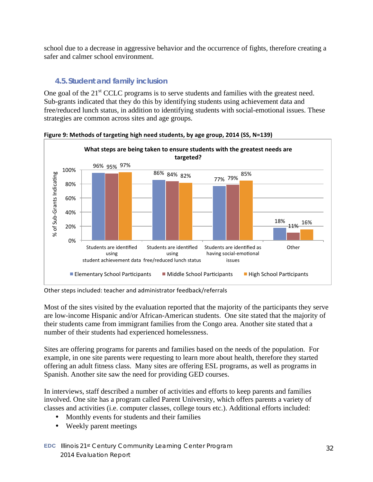school due to a decrease in aggressive behavior and the occurrence of fights, therefore creating a safer and calmer school environment.

# **4.5.Student and family inclusion**

One goal of the 21<sup>st</sup> CCLC programs is to serve students and families with the greatest need. Sub-grants indicated that they do this by identifying students using achievement data and free/reduced lunch status, in addition to identifying students with social-emotional issues. These strategies are common across sites and age groups.





Other steps included: teacher and administrator feedback/referrals

Most of the sites visited by the evaluation reported that the majority of the participants they serve are low-income Hispanic and/or African-American students. One site stated that the majority of their students came from immigrant families from the Congo area. Another site stated that a number of their students had experienced homelessness.

Sites are offering programs for parents and families based on the needs of the population. For example, in one site parents were requesting to learn more about health, therefore they started offering an adult fitness class. Many sites are offering ESL programs, as well as programs in Spanish. Another site saw the need for providing GED courses.

In interviews, staff described a number of activities and efforts to keep parents and families involved. One site has a program called Parent University, which offers parents a variety of classes and activities (i.e. computer classes, college tours etc.). Additional efforts included:

- Monthly events for students and their families
- Weekly parent meetings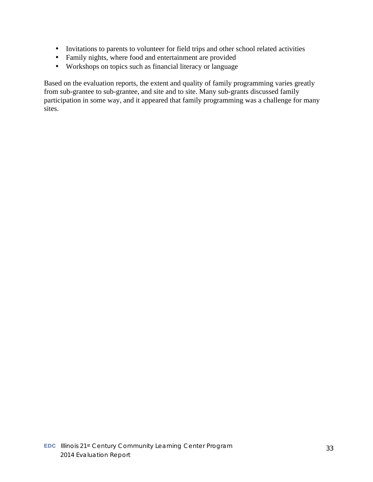- Invitations to parents to volunteer for field trips and other school related activities
- Family nights, where food and entertainment are provided
- Workshops on topics such as financial literacy or language

Based on the evaluation reports, the extent and quality of family programming varies greatly from sub-grantee to sub-grantee, and site and to site. Many sub-grants discussed family participation in some way, and it appeared that family programming was a challenge for many sites.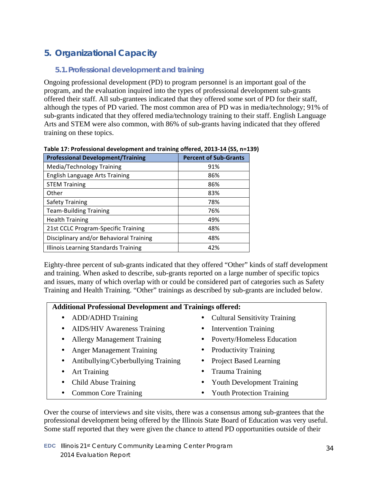# **5. Organizational Capacity**

# **5.1.Professional development and training**

Ongoing professional development (PD) to program personnel is an important goal of the program, and the evaluation inquired into the types of professional development sub-grants offered their staff. All sub-grantees indicated that they offered some sort of PD for their staff, although the types of PD varied. The most common area of PD was in media/technology; 91% of sub-grants indicated that they offered media/technology training to their staff. English Language Arts and STEM were also common, with 86% of sub-grants having indicated that they offered training on these topics.

| <b>Professional Development/Training</b> | <b>Percent of Sub-Grants</b> |
|------------------------------------------|------------------------------|
| Media/Technology Training                | 91%                          |
| <b>English Language Arts Training</b>    | 86%                          |
| <b>STEM Training</b>                     | 86%                          |
| Other                                    | 83%                          |
| <b>Safety Training</b>                   | 78%                          |
| <b>Team-Building Training</b>            | 76%                          |
| <b>Health Training</b>                   | 49%                          |
| 21st CCLC Program-Specific Training      | 48%                          |
| Disciplinary and/or Behavioral Training  | 48%                          |
| Illinois Learning Standards Training     | 42%                          |

Table 17: Professional development and training offered, 2013-14 (SS, n=139)

Eighty-three percent of sub-grants indicated that they offered "Other" kinds of staff development and training. When asked to describe, sub-grants reported on a large number of specific topics and issues, many of which overlap with or could be considered part of categories such as Safety Training and Health Training. "Other" trainings as described by sub-grants are included below.

| <b>Additional Professional Development and Trainings offered:</b> |                                      |  |  |
|-------------------------------------------------------------------|--------------------------------------|--|--|
| <b>ADD/ADHD Training</b>                                          | <b>Cultural Sensitivity Training</b> |  |  |
| $\bullet$                                                         | $\bullet$                            |  |  |
| <b>AIDS/HIV Awareness Training</b>                                | <b>Intervention Training</b>         |  |  |
| $\bullet$                                                         | $\bullet$                            |  |  |
| <b>Allergy Management Training</b>                                | <b>Poverty/Homeless Education</b>    |  |  |
| $\bullet$                                                         | $\bullet$                            |  |  |
| <b>Anger Management Training</b>                                  | <b>Productivity Training</b>         |  |  |
| $\bullet$                                                         | $\bullet$                            |  |  |
| Antibullying/Cyberbullying Training<br>$\bullet$                  | <b>Project Based Learning</b>        |  |  |
| <b>Art Training</b>                                               | <b>Trauma Training</b>               |  |  |
| $\bullet$                                                         | ٠                                    |  |  |
| <b>Child Abuse Training</b>                                       | <b>Youth Development Training</b>    |  |  |
| $\bullet$                                                         | $\bullet$                            |  |  |
| <b>Common Core Training</b>                                       | <b>Youth Protection Training</b>     |  |  |
| $\bullet$                                                         | ٠                                    |  |  |

Over the course of interviews and site visits, there was a consensus among sub-grantees that the professional development being offered by the Illinois State Board of Education was very useful. Some staff reported that they were given the chance to attend PD opportunities outside of their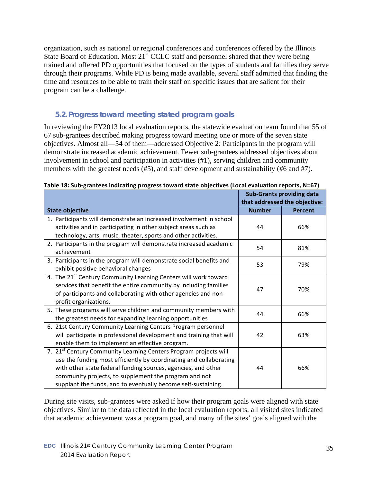organization, such as national or regional conferences and conferences offered by the Illinois State Board of Education. Most  $21<sup>st</sup>$  CCLC staff and personnel shared that they were being trained and offered PD opportunities that focused on the types of students and families they serve through their programs. While PD is being made available, several staff admitted that finding the time and resources to be able to train their staff on specific issues that are salient for their program can be a challenge.

# **5.2.Progress toward meeting stated program goals**

In reviewing the FY2013 local evaluation reports, the statewide evaluation team found that 55 of 67 sub-grantees described making progress toward meeting one or more of the seven state objectives. Almost all—54 of them—addressed Objective 2: Participants in the program will demonstrate increased academic achievement. Fewer sub-grantees addressed objectives about involvement in school and participation in activities (#1), serving children and community members with the greatest needs (#5), and staff development and sustainability (#6 and #7).

|                                                                              | <b>Sub-Grants providing data</b><br>that addressed the objective: |                |
|------------------------------------------------------------------------------|-------------------------------------------------------------------|----------------|
|                                                                              |                                                                   |                |
| <b>State objective</b>                                                       | <b>Number</b>                                                     | <b>Percent</b> |
| 1. Participants will demonstrate an increased involvement in school          |                                                                   |                |
| activities and in participating in other subject areas such as               | 44                                                                | 66%            |
| technology, arts, music, theater, sports and other activities.               |                                                                   |                |
| 2. Participants in the program will demonstrate increased academic           | 54                                                                | 81%            |
| achievement                                                                  |                                                                   |                |
| 3. Participants in the program will demonstrate social benefits and          | 53                                                                | 79%            |
| exhibit positive behavioral changes                                          |                                                                   |                |
| 4. The 21 <sup>st</sup> Century Community Learning Centers will work toward  |                                                                   |                |
| services that benefit the entire community by including families             | 47                                                                | 70%            |
| of participants and collaborating with other agencies and non-               |                                                                   |                |
| profit organizations.                                                        |                                                                   |                |
| 5. These programs will serve children and community members with             | 44                                                                | 66%            |
| the greatest needs for expanding learning opportunities                      |                                                                   |                |
| 6. 21st Century Community Learning Centers Program personnel                 |                                                                   |                |
| will participate in professional development and training that will          | 42                                                                | 63%            |
| enable them to implement an effective program.                               |                                                                   |                |
| 7. 21 <sup>st</sup> Century Community Learning Centers Program projects will |                                                                   |                |
| use the funding most efficiently by coordinating and collaborating           |                                                                   |                |
| with other state federal funding sources, agencies, and other                | 44                                                                | 66%            |
| community projects, to supplement the program and not                        |                                                                   |                |
| supplant the funds, and to eventually become self-sustaining.                |                                                                   |                |

| Table 18: Sub-grantees indicating progress toward state objectives (Local evaluation reports, N=67) |
|-----------------------------------------------------------------------------------------------------|
|-----------------------------------------------------------------------------------------------------|

During site visits, sub-grantees were asked if how their program goals were aligned with state objectives. Similar to the data reflected in the local evaluation reports, all visited sites indicated that academic achievement was a program goal, and many of the sites' goals aligned with the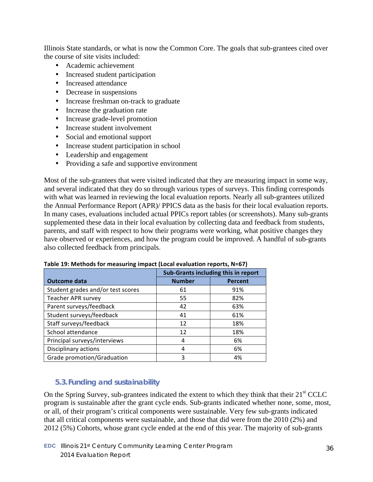Illinois State standards, or what is now the Common Core. The goals that sub-grantees cited over the course of site visits included:

- Academic achievement
- Increased student participation
- Increased attendance
- Decrease in suspensions
- Increase freshman on-track to graduate
- Increase the graduation rate
- Increase grade-level promotion
- Increase student involvement
- Social and emotional support
- Increase student participation in school
- Leadership and engagement
- Providing a safe and supportive environment

Most of the sub-grantees that were visited indicated that they are measuring impact in some way, and several indicated that they do so through various types of surveys. This finding corresponds with what was learned in reviewing the local evaluation reports. Nearly all sub-grantees utilized the Annual Performance Report (APR)/ PPICS data as the basis for their local evaluation reports. In many cases, evaluations included actual PPICs report tables (or screenshots). Many sub-grants supplemented these data in their local evaluation by collecting data and feedback from students, parents, and staff with respect to how their programs were working, what positive changes they have observed or experiences, and how the program could be improved. A handful of sub-grants also collected feedback from principals.

|                                   | Sub-Grants including this in report |                |  |
|-----------------------------------|-------------------------------------|----------------|--|
| <b>Outcome data</b>               | <b>Number</b>                       | <b>Percent</b> |  |
| Student grades and/or test scores | 61                                  | 91%            |  |
| Teacher APR survey                | 55                                  | 82%            |  |
| Parent surveys/feedback           | 42                                  | 63%            |  |
| Student surveys/feedback          | 41                                  | 61%            |  |
| Staff surveys/feedback            | 12                                  | 18%            |  |
| School attendance                 | 12                                  | 18%            |  |
| Principal surveys/interviews      | 4                                   | 6%             |  |
| Disciplinary actions              | 4                                   | 6%             |  |
| Grade promotion/Graduation        | 3                                   | 4%             |  |

Table 19: Methods for measuring impact (Local evaluation reports, N=67)

# **5.3.Funding and sustainability**

On the Spring Survey, sub-grantees indicated the extent to which they think that their  $21<sup>st</sup> CCLC$ program is sustainable after the grant cycle ends. Sub-grants indicated whether none, some, most, or all, of their program's critical components were sustainable. Very few sub-grants indicated that all critical components were sustainable, and those that did were from the 2010 (2%) and 2012 (5%) Cohorts, whose grant cycle ended at the end of this year. The majority of sub-grants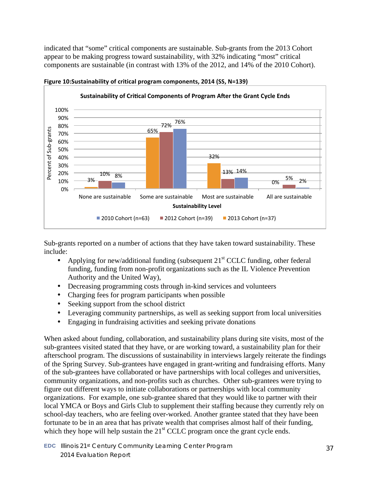indicated that "some" critical components are sustainable. Sub-grants from the 2013 Cohort appear to be making progress toward sustainability, with 32% indicating "most" critical components are sustainable (in contrast with 13% of the 2012, and 14% of the 2010 Cohort).



**Figure 10:Sustainability of critical program components, 2014 (SS, N=139)** 

Sub-grants reported on a number of actions that they have taken toward sustainability. These include:

- Applying for new/additional funding (subsequent  $21<sup>st</sup>$  CCLC funding, other federal funding, funding from non-profit organizations such as the IL Violence Prevention Authority and the United Way),
- Decreasing programming costs through in-kind services and volunteers
- Charging fees for program participants when possible
- Seeking support from the school district
- Leveraging community partnerships, as well as seeking support from local universities
- Engaging in fundraising activities and seeking private donations

When asked about funding, collaboration, and sustainability plans during site visits, most of the sub-grantees visited stated that they have, or are working toward, a sustainability plan for their afterschool program. The discussions of sustainability in interviews largely reiterate the findings of the Spring Survey. Sub-grantees have engaged in grant-writing and fundraising efforts. Many of the sub-grantees have collaborated or have partnerships with local colleges and universities, community organizations, and non-profits such as churches. Other sub-grantees were trying to figure out different ways to initiate collaborations or partnerships with local community organizations. For example, one sub-grantee shared that they would like to partner with their local YMCA or Boys and Girls Club to supplement their staffing because they currently rely on school-day teachers, who are feeling over-worked. Another grantee stated that they have been fortunate to be in an area that has private wealth that comprises almost half of their funding, which they hope will help sustain the  $21<sup>st</sup>$  CCLC program once the grant cycle ends.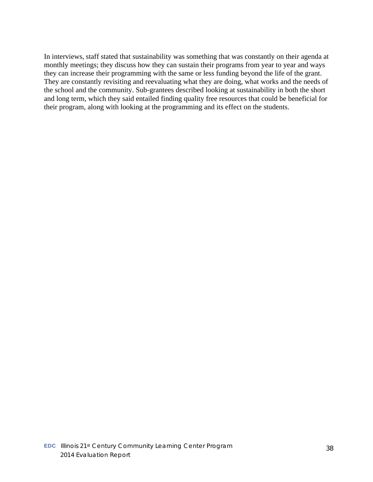In interviews, staff stated that sustainability was something that was constantly on their agenda at monthly meetings; they discuss how they can sustain their programs from year to year and ways they can increase their programming with the same or less funding beyond the life of the grant. They are constantly revisiting and reevaluating what they are doing, what works and the needs of the school and the community. Sub-grantees described looking at sustainability in both the short and long term, which they said entailed finding quality free resources that could be beneficial for their program, along with looking at the programming and its effect on the students.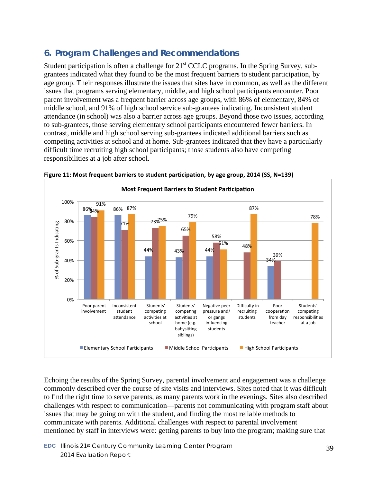# **6. Program Challenges and Recommendations**

Student participation is often a challenge for  $21<sup>st</sup>$  CCLC programs. In the Spring Survey, subgrantees indicated what they found to be the most frequent barriers to student participation, by age group. Their responses illustrate the issues that sites have in common, as well as the different issues that programs serving elementary, middle, and high school participants encounter. Poor parent involvement was a frequent barrier across age groups, with 86% of elementary, 84% of middle school, and 91% of high school service sub-grantees indicating. Inconsistent student attendance (in school) was also a barrier across age groups. Beyond those two issues, according to sub-grantees, those serving elementary school participants encountered fewer barriers. In contrast, middle and high school serving sub-grantees indicated additional barriers such as competing activities at school and at home. Sub-grantees indicated that they have a particularly difficult time recruiting high school participants; those students also have competing responsibilities at a job after school.





Echoing the results of the Spring Survey, parental involvement and engagement was a challenge commonly described over the course of site visits and interviews. Sites noted that it was difficult to find the right time to serve parents, as many parents work in the evenings. Sites also described challenges with respect to communication—parents not communicating with program staff about issues that may be going on with the student, and finding the most reliable methods to communicate with parents. Additional challenges with respect to parental involvement mentioned by staff in interviews were: getting parents to buy into the program; making sure that

#### **EDC** Illinois 21st Century Community Learning Center Program 2014 Evaluation Report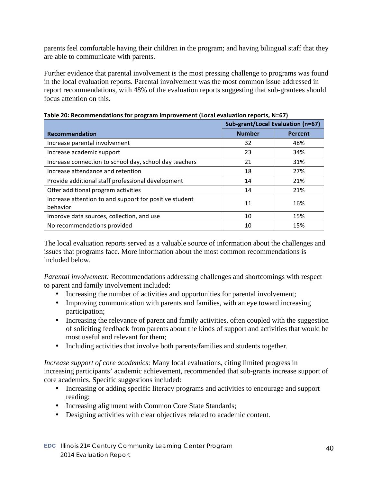parents feel comfortable having their children in the program; and having bilingual staff that they are able to communicate with parents.

Further evidence that parental involvement is the most pressing challenge to programs was found in the local evaluation reports. Parental involvement was the most common issue addressed in report recommendations, with 48% of the evaluation reports suggesting that sub-grantees should focus attention on this.

|                                                                    | Sub-grant/Local Evaluation (n=67) |                |  |  |  |
|--------------------------------------------------------------------|-----------------------------------|----------------|--|--|--|
| <b>Recommendation</b>                                              | <b>Number</b>                     | <b>Percent</b> |  |  |  |
| Increase parental involvement                                      | 32                                | 48%            |  |  |  |
| Increase academic support                                          | 23                                | 34%            |  |  |  |
| Increase connection to school day, school day teachers             | 21                                | 31%            |  |  |  |
| Increase attendance and retention                                  | 18                                | 27%            |  |  |  |
| Provide additional staff professional development                  | 14                                | 21%            |  |  |  |
| Offer additional program activities                                | 14                                | 21%            |  |  |  |
| Increase attention to and support for positive student<br>behavior | 11                                | 16%            |  |  |  |
| Improve data sources, collection, and use                          | 10                                | 15%            |  |  |  |
| No recommendations provided                                        | 10                                | 15%            |  |  |  |

Table 20: Recommendations for program improvement (Local evaluation reports, N=67)

The local evaluation reports served as a valuable source of information about the challenges and issues that programs face. More information about the most common recommendations is included below.

*Parental involvement:* Recommendations addressing challenges and shortcomings with respect to parent and family involvement included:

- Increasing the number of activities and opportunities for parental involvement;
- Improving communication with parents and families, with an eye toward increasing participation;
- Increasing the relevance of parent and family activities, often coupled with the suggestion of soliciting feedback from parents about the kinds of support and activities that would be most useful and relevant for them;
- Including activities that involve both parents/families and students together.

*Increase support of core academics:* Many local evaluations, citing limited progress in increasing participants' academic achievement, recommended that sub-grants increase support of core academics. Specific suggestions included:

- Increasing or adding specific literacy programs and activities to encourage and support reading;
- Increasing alignment with Common Core State Standards;
- Designing activities with clear objectives related to academic content.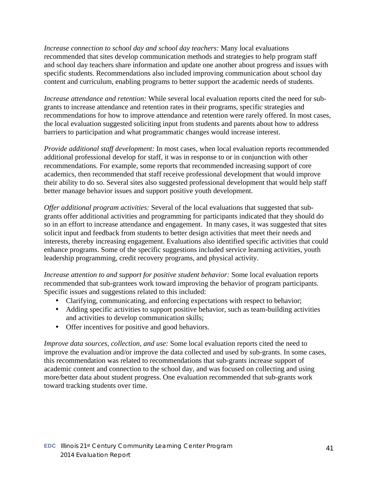*Increase connection to school day and school day teachers:* Many local evaluations recommended that sites develop communication methods and strategies to help program staff and school day teachers share information and update one another about progress and issues with specific students. Recommendations also included improving communication about school day content and curriculum, enabling programs to better support the academic needs of students.

*Increase attendance and retention:* While several local evaluation reports cited the need for subgrants to increase attendance and retention rates in their programs, specific strategies and recommendations for how to improve attendance and retention were rarely offered. In most cases, the local evaluation suggested soliciting input from students and parents about how to address barriers to participation and what programmatic changes would increase interest.

*Provide additional staff development:* In most cases, when local evaluation reports recommended additional professional develop for staff, it was in response to or in conjunction with other recommendations. For example, some reports that recommended increasing support of core academics, then recommended that staff receive professional development that would improve their ability to do so. Several sites also suggested professional development that would help staff better manage behavior issues and support positive youth development.

*Offer additional program activities:* Several of the local evaluations that suggested that subgrants offer additional activities and programming for participants indicated that they should do so in an effort to increase attendance and engagement. In many cases, it was suggested that sites solicit input and feedback from students to better design activities that meet their needs and interests, thereby increasing engagement. Evaluations also identified specific activities that could enhance programs. Some of the specific suggestions included service learning activities, youth leadership programming, credit recovery programs, and physical activity.

*Increase attention to and support for positive student behavior:* Some local evaluation reports recommended that sub-grantees work toward improving the behavior of program participants. Specific issues and suggestions related to this included:

- Clarifying, communicating, and enforcing expectations with respect to behavior;
- Adding specific activities to support positive behavior, such as team-building activities and activities to develop communication skills;
- Offer incentives for positive and good behaviors.

*Improve data sources, collection, and use:* Some local evaluation reports cited the need to improve the evaluation and/or improve the data collected and used by sub-grants. In some cases, this recommendation was related to recommendations that sub-grants increase support of academic content and connection to the school day, and was focused on collecting and using more/better data about student progress. One evaluation recommended that sub-grants work toward tracking students over time.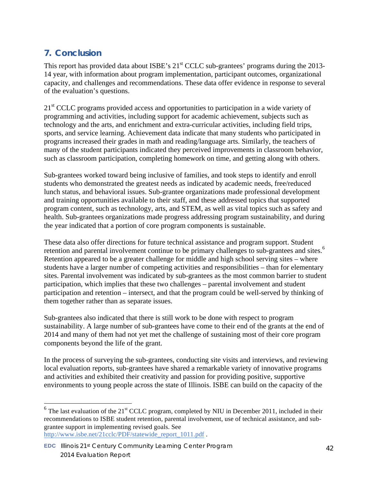# **7. Conclusion**

This report has provided data about ISBE's 21<sup>st</sup> CCLC sub-grantees' programs during the 2013-14 year, with information about program implementation, participant outcomes, organizational capacity, and challenges and recommendations. These data offer evidence in response to several of the evaluation's questions.

21<sup>st</sup> CCLC programs provided access and opportunities to participation in a wide variety of programming and activities, including support for academic achievement, subjects such as technology and the arts, and enrichment and extra-curricular activities, including field trips, sports, and service learning. Achievement data indicate that many students who participated in programs increased their grades in math and reading/language arts. Similarly, the teachers of many of the student participants indicated they perceived improvements in classroom behavior, such as classroom participation, completing homework on time, and getting along with others.

Sub-grantees worked toward being inclusive of families, and took steps to identify and enroll students who demonstrated the greatest needs as indicated by academic needs, free/reduced lunch status, and behavioral issues. Sub-grantee organizations made professional development and training opportunities available to their staff, and these addressed topics that supported program content, such as technology, arts, and STEM, as well as vital topics such as safety and health. Sub-grantees organizations made progress addressing program sustainability, and during the year indicated that a portion of core program components is sustainable.

These data also offer directions for future technical assistance and program support. Student retention and parental involvement continue to be primary challenges to sub-grantees and sites.<sup>6</sup> Retention appeared to be a greater challenge for middle and high school serving sites – where students have a larger number of competing activities and responsibilities – than for elementary sites. Parental involvement was indicated by sub-grantees as the most common barrier to student participation, which implies that these two challenges – parental involvement and student participation and retention – intersect, and that the program could be well-served by thinking of them together rather than as separate issues.

Sub-grantees also indicated that there is still work to be done with respect to program sustainability. A large number of sub-grantees have come to their end of the grants at the end of 2014 and many of them had not yet met the challenge of sustaining most of their core program components beyond the life of the grant.

In the process of surveying the sub-grantees, conducting site visits and interviews, and reviewing local evaluation reports, sub-grantees have shared a remarkable variety of innovative programs and activities and exhibited their creativity and passion for providing positive, supportive environments to young people across the state of Illinois. ISBE can build on the capacity of the

 $6$  The last evaluation of the 21<sup>st</sup> CCLC program, completed by NIU in December 2011, included in their recommendations to ISBE student retention, parental involvement, use of technical assistance, and subgrantee support in implementing revised goals. See http://www.isbe.net/21cclc/PDF/statewide\_report\_1011.pdf .

**EDC** Illinois 21st Century Community Learning Center Program 2014 Evaluation Report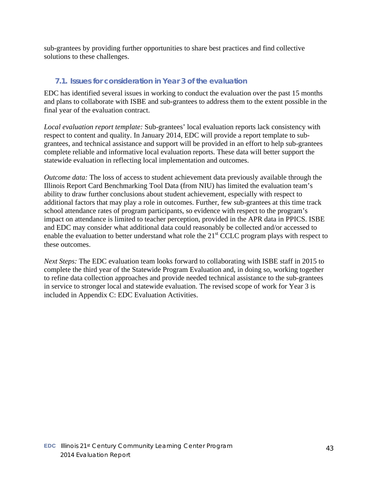sub-grantees by providing further opportunities to share best practices and find collective solutions to these challenges.

#### **7.1. Issues for consideration in Year 3 of the evaluation**

EDC has identified several issues in working to conduct the evaluation over the past 15 months and plans to collaborate with ISBE and sub-grantees to address them to the extent possible in the final year of the evaluation contract.

*Local evaluation report template:* Sub-grantees' local evaluation reports lack consistency with respect to content and quality. In January 2014, EDC will provide a report template to subgrantees, and technical assistance and support will be provided in an effort to help sub-grantees complete reliable and informative local evaluation reports. These data will better support the statewide evaluation in reflecting local implementation and outcomes.

*Outcome data:* The loss of access to student achievement data previously available through the Illinois Report Card Benchmarking Tool Data (from NIU) has limited the evaluation team's ability to draw further conclusions about student achievement, especially with respect to additional factors that may play a role in outcomes. Further, few sub-grantees at this time track school attendance rates of program participants, so evidence with respect to the program's impact on attendance is limited to teacher perception, provided in the APR data in PPICS. ISBE and EDC may consider what additional data could reasonably be collected and/or accessed to enable the evaluation to better understand what role the  $21<sup>st</sup> CCLC$  program plays with respect to these outcomes.

*Next Steps:* The EDC evaluation team looks forward to collaborating with ISBE staff in 2015 to complete the third year of the Statewide Program Evaluation and, in doing so, working together to refine data collection approaches and provide needed technical assistance to the sub-grantees in service to stronger local and statewide evaluation. The revised scope of work for Year 3 is included in Appendix C: EDC Evaluation Activities.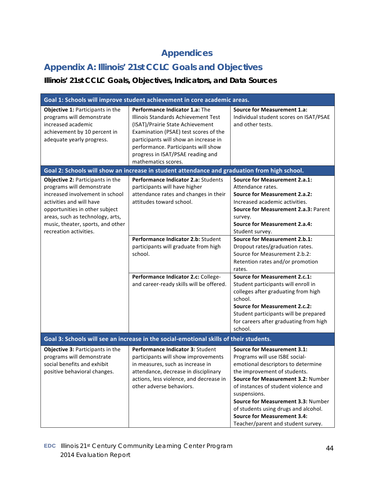# **Appendices**

# **Appendix A: Illinois' 21st CCLC Goals and Objectives**

## **Illinois' 21st CCLC Goals, Objectives, Indicators, and Data Sources**

|                                                                                                                                                                                                                                                                   | Goal 1: Schools will improve student achievement in core academic areas.                                                                                                                                                                                                                       |                                                                                                                                                                                                                                                                                                                                                                                                             |
|-------------------------------------------------------------------------------------------------------------------------------------------------------------------------------------------------------------------------------------------------------------------|------------------------------------------------------------------------------------------------------------------------------------------------------------------------------------------------------------------------------------------------------------------------------------------------|-------------------------------------------------------------------------------------------------------------------------------------------------------------------------------------------------------------------------------------------------------------------------------------------------------------------------------------------------------------------------------------------------------------|
| <b>Objective 1: Participants in the</b><br>programs will demonstrate<br>increased academic<br>achievement by 10 percent in<br>adequate yearly progress.                                                                                                           | Performance Indicator 1.a: The<br>Illinois Standards Achievement Test<br>(ISAT)/Prairie State Achievement<br>Examination (PSAE) test scores of the<br>participants will show an increase in<br>performance. Participants will show<br>progress in ISAT/PSAE reading and<br>mathematics scores. | <b>Source for Measurement 1.a:</b><br>Individual student scores on ISAT/PSAE<br>and other tests.                                                                                                                                                                                                                                                                                                            |
|                                                                                                                                                                                                                                                                   | Goal 2: Schools will show an increase in student attendance and graduation from high school.                                                                                                                                                                                                   |                                                                                                                                                                                                                                                                                                                                                                                                             |
| Objective 2: Participants in the<br>programs will demonstrate<br>increased involvement in school<br>activities and will have<br>opportunities in other subject<br>areas, such as technology, arts,<br>music, theater, sports, and other<br>recreation activities. | Performance Indicator 2.a: Students<br>participants will have higher<br>attendance rates and changes in their<br>attitudes toward school.<br>Performance Indicator 2.b: Student<br>participants will graduate from high<br>school.                                                             | <b>Source for Measurement 2.a.1:</b><br>Attendance rates.<br><b>Source for Measurement 2.a.2:</b><br>Increased academic activities.<br>Source for Measurement 2.a.3: Parent<br>survey.<br><b>Source for Measurement 2.a.4:</b><br>Student survey.<br><b>Source for Measurement 2.b.1:</b><br>Dropout rates/graduation rates.<br>Source for Measurement 2.b.2:<br>Retention rates and/or promotion<br>rates. |
|                                                                                                                                                                                                                                                                   | Performance Indicator 2.c: College-<br>and career-ready skills will be offered.                                                                                                                                                                                                                | <b>Source for Measurement 2.c.1:</b><br>Student participants will enroll in<br>colleges after graduating from high<br>school.<br><b>Source for Measurement 2.c.2:</b><br>Student participants will be prepared<br>for careers after graduating from high<br>school.                                                                                                                                         |
|                                                                                                                                                                                                                                                                   | Goal 3: Schools will see an increase in the social-emotional skills of their students.                                                                                                                                                                                                         |                                                                                                                                                                                                                                                                                                                                                                                                             |
| Objective 3: Participants in the<br>programs will demonstrate<br>social benefits and exhibit<br>positive behavioral changes.                                                                                                                                      | Performance Indicator 3: Student<br>participants will show improvements<br>in measures, such as increase in<br>attendance, decrease in disciplinary<br>actions, less violence, and decrease in<br>other adverse behaviors.                                                                     | <b>Source for Measurement 3.1:</b><br>Programs will use ISBE social-<br>emotional descriptors to determine<br>the improvement of students.<br>Source for Measurement 3.2: Number<br>of instances of student violence and<br>suspensions.<br>Source for Measurement 3.3: Number<br>of students using drugs and alcohol.<br><b>Source for Measurement 3.4:</b><br>Teacher/parent and student survey.          |

### **EDC** Illinois 21st Century Community Learning Center Program 2014 Evaluation Report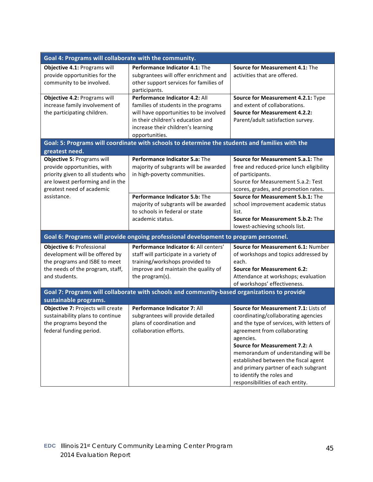| Goal 4: Programs will collaborate with the community.                                                                                                            |                                                                                                                                                                                                               |                                                                                                                                                                                                                                                                                                                                                                                                |
|------------------------------------------------------------------------------------------------------------------------------------------------------------------|---------------------------------------------------------------------------------------------------------------------------------------------------------------------------------------------------------------|------------------------------------------------------------------------------------------------------------------------------------------------------------------------------------------------------------------------------------------------------------------------------------------------------------------------------------------------------------------------------------------------|
| Objective 4.1: Programs will<br>provide opportunities for the<br>community to be involved.                                                                       | Performance Indicator 4.1: The<br>subgrantees will offer enrichment and<br>other support services for families of<br>participants.                                                                            | Source for Measurement 4.1: The<br>activities that are offered.                                                                                                                                                                                                                                                                                                                                |
| Objective 4.2: Programs will<br>increase family involvement of<br>the participating children.                                                                    | Performance Indicator 4.2: All<br>families of students in the programs<br>will have opportunities to be involved<br>in their children's education and<br>increase their children's learning<br>opportunities. | Source for Measurement 4.2.1: Type<br>and extent of collaborations.<br><b>Source for Measurement 4.2.2:</b><br>Parent/adult satisfaction survey.                                                                                                                                                                                                                                               |
| greatest need.                                                                                                                                                   | Goal: 5: Programs will coordinate with schools to determine the students and families with the                                                                                                                |                                                                                                                                                                                                                                                                                                                                                                                                |
| Objective 5: Programs will<br>provide opportunities, with<br>priority given to all students who<br>are lowest performing and in the<br>greatest need of academic | Performance Indicator 5.a: The<br>majority of subgrants will be awarded<br>in high-poverty communities.                                                                                                       | Source for Measurement 5.a.1: The<br>free and reduced-price lunch eligibility<br>of participants.<br>Source for Measurement 5.a.2: Test<br>scores, grades, and promotion rates.                                                                                                                                                                                                                |
| assistance.                                                                                                                                                      | Performance Indicator 5.b: The<br>majority of subgrants will be awarded<br>to schools in federal or state<br>academic status.                                                                                 | Source for Measurement 5.b.1: The<br>school improvement academic status<br>list.<br>Source for Measurement 5.b.2: The<br>lowest-achieving schools list.                                                                                                                                                                                                                                        |
|                                                                                                                                                                  | Goal 6: Programs will provide ongoing professional development to program personnel.                                                                                                                          |                                                                                                                                                                                                                                                                                                                                                                                                |
| Objective 6: Professional<br>development will be offered by<br>the programs and ISBE to meet<br>the needs of the program, staff,<br>and students.                | Performance Indicator 6: All centers'<br>staff will participate in a variety of<br>training/workshops provided to<br>improve and maintain the quality of<br>the program(s).                                   | Source for Measurement 6.1: Number<br>of workshops and topics addressed by<br>each.<br><b>Source for Measurement 6.2:</b><br>Attendance at workshops; evaluation<br>of workshops' effectiveness.                                                                                                                                                                                               |
| sustainable programs.                                                                                                                                            | Goal 7: Programs will collaborate with schools and community-based organizations to provide                                                                                                                   |                                                                                                                                                                                                                                                                                                                                                                                                |
| Objective 7: Projects will create<br>sustainability plans to continue<br>the programs beyond the<br>federal funding period.                                      | Performance Indicator 7: All<br>subgrantees will provide detailed<br>plans of coordination and<br>collaboration efforts.                                                                                      | Source for Measurement 7.1: Lists of<br>coordinating/collaborating agencies<br>and the type of services, with letters of<br>agreement from collaborating<br>agencies.<br>Source for Measurement 7.2: A<br>memorandum of understanding will be<br>established between the fiscal agent<br>and primary partner of each subgrant<br>to identify the roles and<br>responsibilities of each entity. |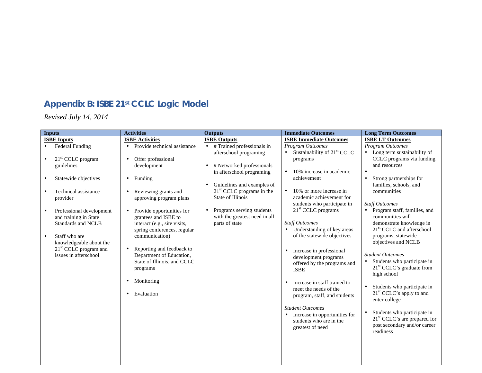# **Appendix B: ISBE 21st CCLC Logic Model**

*Revised July 14, 2014*

| <b>Inputs</b>                              | <b>Activities</b>                         | <b>Outputs</b>                                          | <b>Immediate Outcomes</b>                             | <b>Long Term Outcomes</b>                                            |
|--------------------------------------------|-------------------------------------------|---------------------------------------------------------|-------------------------------------------------------|----------------------------------------------------------------------|
| <b>ISBE</b> Inputs                         | <b>ISBE Activities</b>                    | <b>ISBE Outputs</b>                                     | <b>ISBE Immediate Outcomes</b>                        | <b>ISBE LT Outcomes</b>                                              |
| Federal Funding                            | Provide technical assistance<br>$\bullet$ | • # Trained professionals in                            | Program Outcomes                                      | Program Outcomes                                                     |
|                                            |                                           | afterschool programing                                  | Sustainability of 21 <sup>st</sup> CCLC               | Long term sustainability of                                          |
| 21 <sup>st</sup> CCLC program<br>$\bullet$ | Offer professional<br>$\bullet$           |                                                         | programs                                              | CCLC programs via funding                                            |
| guidelines                                 | development                               | # Networked professionals                               |                                                       | and resources                                                        |
|                                            |                                           | in afterschool programing                               | 10% increase in academic                              | $\bullet$                                                            |
| Statewide objectives<br>$\bullet$          | Funding<br>$\bullet$                      |                                                         | achievement                                           | Strong partnerships for<br>$\bullet$                                 |
|                                            |                                           | Guidelines and examples of<br>$\bullet$                 | 10% or more increase in<br>$\bullet$                  | families, schools, and<br>communities                                |
| Technical assistance                       | Reviewing grants and                      | $21st$ CCLC programs in the<br><b>State of Illinois</b> | academic achievement for                              |                                                                      |
| provider                                   | approving program plans                   |                                                         | students who participate in                           | <b>Staff Outcomes</b>                                                |
| Professional development<br>$\bullet$      | Provide opportunities for<br>$\bullet$    | Programs serving students                               | $21st$ CCLC programs                                  | Program staff, families, and                                         |
| and training in State                      | grantees and ISBE to                      | with the greatest need in all                           |                                                       | communities will                                                     |
| <b>Standards and NCLB</b>                  | interact (e.g., site visits,              | parts of state                                          | <b>Staff Outcomes</b>                                 | demonstrate knowledge in                                             |
|                                            | spring conferences, regular               |                                                         | Understanding of key areas                            | 21 <sup>st</sup> CCLC and afterschool                                |
| Staff who are<br>$\bullet$                 | communication)                            |                                                         | of the statewide objectives                           | programs, statewide                                                  |
| knowledgeable about the                    |                                           |                                                         |                                                       | objectives and NCLB                                                  |
| $21st$ CCLC program and                    | Reporting and feedback to                 |                                                         | Increase in professional                              |                                                                      |
| issues in afterschool                      | Department of Education,                  |                                                         | development programs                                  | <b>Student Outcomes</b>                                              |
|                                            | State of Illinois, and CCLC               |                                                         | offered by the programs and                           | Students who participate in<br>21 <sup>st</sup> CCLC's graduate from |
|                                            | programs                                  |                                                         | <b>ISBE</b>                                           | high school                                                          |
|                                            | Monitoring<br>$\bullet$                   |                                                         |                                                       |                                                                      |
|                                            |                                           |                                                         | Increase in staff trained to<br>meet the needs of the | Students who participate in                                          |
|                                            | Evaluation                                |                                                         | program, staff, and students                          | $21st$ CCLC's apply to and                                           |
|                                            |                                           |                                                         |                                                       | enter college                                                        |
|                                            |                                           |                                                         | <b>Student Outcomes</b>                               |                                                                      |
|                                            |                                           |                                                         | Increase in opportunities for                         | Students who participate in                                          |
|                                            |                                           |                                                         | students who are in the                               | $21st$ CCLC's are prepared for                                       |
|                                            |                                           |                                                         | greatest of need                                      | post secondary and/or career                                         |
|                                            |                                           |                                                         |                                                       | readiness                                                            |
|                                            |                                           |                                                         |                                                       |                                                                      |
|                                            |                                           |                                                         |                                                       |                                                                      |
|                                            |                                           |                                                         |                                                       |                                                                      |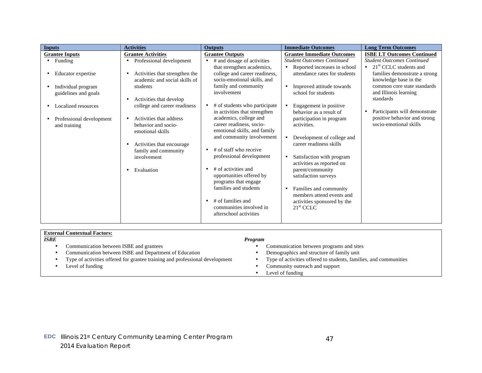|           | <b>Inputs</b>                              | <b>Activities</b>                                                               | <b>Outputs</b>                                                                     | <b>Immediate Outcomes</b>                              | <b>Long Term Outcomes</b>                              |
|-----------|--------------------------------------------|---------------------------------------------------------------------------------|------------------------------------------------------------------------------------|--------------------------------------------------------|--------------------------------------------------------|
|           | <b>Grantee Inputs</b>                      | <b>Grantee Activities</b>                                                       | <b>Grantee Outputs</b>                                                             | <b>Grantee Immediate Outcomes</b>                      | <b>ISBE LT Outcomes Continued</b>                      |
| $\bullet$ | Funding                                    | Professional development<br>$\bullet$                                           | # and dosage of activities<br>$\bullet$                                            | <b>Student Outcomes Continued</b>                      | <b>Student Outcomes Continued</b>                      |
|           |                                            |                                                                                 | that strengthen academics,                                                         | Reported increases in school                           | $21st$ CCLC students and                               |
|           | Educator expertise                         | Activities that strengthen the<br>$\bullet$<br>academic and social skills of    | college and career readiness,<br>socio-emotional skills, and                       | attendance rates for students                          | families demonstrate a strong<br>knowledge base in the |
|           | Individual program<br>guidelines and goals | students                                                                        | family and community<br>involvement                                                | Improved attitude towards<br>school for students       | common core state standards<br>and Illinois learning   |
|           |                                            | Activities that develop<br>$\bullet$                                            |                                                                                    |                                                        | standards                                              |
| $\bullet$ | Localized resources                        | college and career readiness                                                    | # of students who participate<br>$\bullet$<br>in activities that strengthen        | Engagement in positive<br>behavior as a result of      | Participants will demonstrate                          |
|           | Professional development<br>and training   | Activities that address<br>$\bullet$<br>behavior and socio-<br>emotional skills | academics, college and<br>career readiness, socio-<br>emotional skills, and family | participation in program<br>activities.                | positive behavior and strong<br>socio-emotional skills |
|           |                                            |                                                                                 | and community involvement                                                          | Development of college and                             |                                                        |
|           |                                            | Activities that encourage<br>$\bullet$                                          |                                                                                    | career readiness skills                                |                                                        |
|           |                                            | family and community                                                            | # of staff who receive                                                             |                                                        |                                                        |
|           |                                            | involvement                                                                     | professional development                                                           | Satisfaction with program<br>activities as reported on |                                                        |
|           |                                            | Evaluation                                                                      | # of activities and                                                                | parent/community                                       |                                                        |
|           |                                            |                                                                                 | opportunities offered by<br>programs that engage                                   | satisfaction surveys                                   |                                                        |
|           |                                            |                                                                                 | families and students                                                              | Families and community<br>members attend events and    |                                                        |
|           |                                            |                                                                                 | # of families and<br>communities involved in<br>afterschool activities             | activities sponsored by the<br>$21^{\rm st}$ CCLC      |                                                        |

| <b>ISBE</b><br>Program<br>Communication between ISBE and grantees<br>Communication between programs and sites<br>Communication between ISBE and Department of Education<br>Demographics and structure of family unit<br>Type of activities offered for grantee training and professional development<br>Type of activities offered to students, families, and communities<br>Community outreach and support<br>Level of funding | <b>External Contextual Factors:</b> |                  |
|---------------------------------------------------------------------------------------------------------------------------------------------------------------------------------------------------------------------------------------------------------------------------------------------------------------------------------------------------------------------------------------------------------------------------------|-------------------------------------|------------------|
|                                                                                                                                                                                                                                                                                                                                                                                                                                 |                                     |                  |
|                                                                                                                                                                                                                                                                                                                                                                                                                                 |                                     |                  |
|                                                                                                                                                                                                                                                                                                                                                                                                                                 |                                     |                  |
|                                                                                                                                                                                                                                                                                                                                                                                                                                 |                                     |                  |
|                                                                                                                                                                                                                                                                                                                                                                                                                                 |                                     |                  |
|                                                                                                                                                                                                                                                                                                                                                                                                                                 |                                     | Level of funding |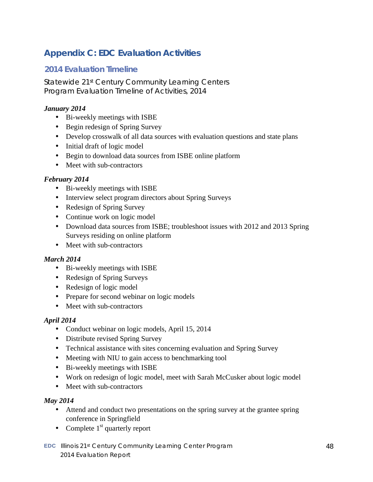# **Appendix C: EDC Evaluation Activities**

## **2014 Evaluation Timeline**

Statewide 21<sup>st</sup> Century Community Learning Centers Program Evaluation Timeline of Activities, 2014

### *January 2014*

- Bi-weekly meetings with ISBE
- Begin redesign of Spring Survey
- Develop crosswalk of all data sources with evaluation questions and state plans
- Initial draft of logic model
- Begin to download data sources from ISBE online platform
- Meet with sub-contractors

### *February 2014*

- Bi-weekly meetings with ISBE
- Interview select program directors about Spring Surveys
- Redesign of Spring Survey
- Continue work on logic model
- Download data sources from ISBE; troubleshoot issues with 2012 and 2013 Spring Surveys residing on online platform
- Meet with sub-contractors

#### *March 2014*

- Bi-weekly meetings with ISBE
- Redesign of Spring Surveys
- Redesign of logic model
- Prepare for second webinar on logic models
- Meet with sub-contractors

#### *April 2014*

- Conduct webinar on logic models, April 15, 2014
- Distribute revised Spring Survey
- Technical assistance with sites concerning evaluation and Spring Survey
- Meeting with NIU to gain access to benchmarking tool
- Bi-weekly meetings with ISBE
- Work on redesign of logic model, meet with Sarah McCusker about logic model
- Meet with sub-contractors

#### *May 2014*

- Attend and conduct two presentations on the spring survey at the grantee spring conference in Springfield
- Complete  $1<sup>st</sup>$  quarterly report
- **EDC** Illinois 21st Century Community Learning Center Program 2014 Evaluation Report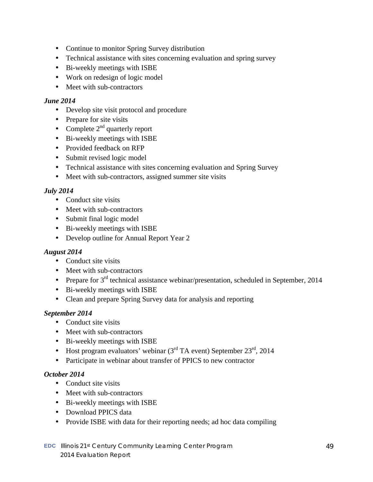- Continue to monitor Spring Survey distribution
- Technical assistance with sites concerning evaluation and spring survey
- Bi-weekly meetings with ISBE
- Work on redesign of logic model
- Meet with sub-contractors

#### *June 2014*

- Develop site visit protocol and procedure
- Prepare for site visits
- Complete  $2<sup>nd</sup>$  quarterly report
- Bi-weekly meetings with ISBE
- Provided feedback on RFP
- Submit revised logic model
- Technical assistance with sites concerning evaluation and Spring Survey
- Meet with sub-contractors, assigned summer site visits

### *July 2014*

- Conduct site visits
- Meet with sub-contractors
- Submit final logic model
- Bi-weekly meetings with ISBE
- Develop outline for Annual Report Year 2

#### *August 2014*

- Conduct site visits
- Meet with sub-contractors
- Prepare for  $3<sup>rd</sup>$  technical assistance webinar/presentation, scheduled in September, 2014
- Bi-weekly meetings with ISBE
- Clean and prepare Spring Survey data for analysis and reporting

#### *September 2014*

- Conduct site visits
- Meet with sub-contractors
- Bi-weekly meetings with ISBE
- Host program evaluators' webinar  $(3<sup>rd</sup> TA$  event) September  $23<sup>rd</sup>$ , 2014
- Participate in webinar about transfer of PPICS to new contractor

#### *October 2014*

- Conduct site visits
- Meet with sub-contractors
- Bi-weekly meetings with ISBE
- Download PPICS data
- Provide ISBE with data for their reporting needs; ad hoc data compiling
- **EDC** Illinois 21st Century Community Learning Center Program 2014 Evaluation Report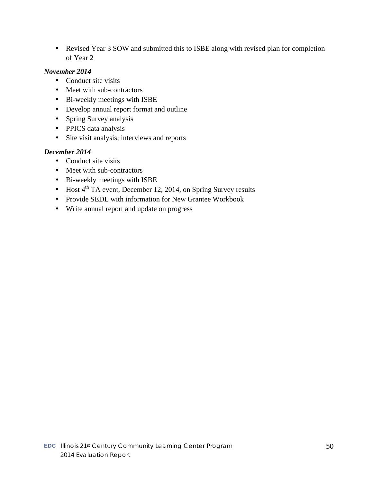• Revised Year 3 SOW and submitted this to ISBE along with revised plan for completion of Year 2

### *November 2014*

- Conduct site visits
- Meet with sub-contractors
- Bi-weekly meetings with ISBE
- Develop annual report format and outline
- Spring Survey analysis
- PPICS data analysis
- Site visit analysis; interviews and reports

#### *December 2014*

- Conduct site visits
- Meet with sub-contractors
- Bi-weekly meetings with ISBE
- Host  $4<sup>th</sup> TA$  event, December 12, 2014, on Spring Survey results
- Provide SEDL with information for New Grantee Workbook
- Write annual report and update on progress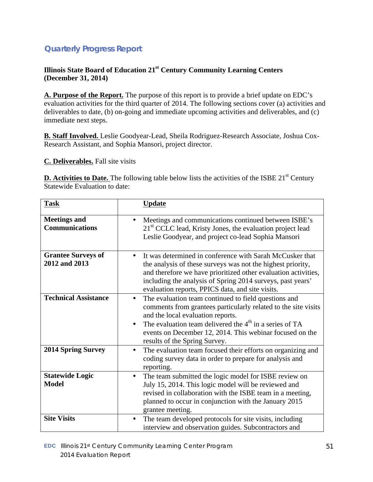## **Quarterly Progress Report**

## **Illinois State Board of Education 21st Century Community Learning Centers (December 31, 2014)**

**A. Purpose of the Report.** The purpose of this report is to provide a brief update on EDC's evaluation activities for the third quarter of 2014. The following sections cover (a) activities and deliverables to date, (b) on-going and immediate upcoming activities and deliverables, and (c) immediate next steps.

**B. Staff Involved.** Leslie Goodyear-Lead, Sheila Rodriguez-Research Associate, Joshua Cox-Research Assistant, and Sophia Mansori, project director.

**C. Deliverables.** Fall site visits

**D. Activities to Date.** The following table below lists the activities of the ISBE 21<sup>st</sup> Century Statewide Evaluation to date:

| <b>Task</b>                                  | <b>Update</b>                                                                                                                                                                                                                                                                                                                                   |
|----------------------------------------------|-------------------------------------------------------------------------------------------------------------------------------------------------------------------------------------------------------------------------------------------------------------------------------------------------------------------------------------------------|
| <b>Meetings and</b><br><b>Communications</b> | Meetings and communications continued between ISBE's<br>$21st$ CCLC lead, Kristy Jones, the evaluation project lead<br>Leslie Goodyear, and project co-lead Sophia Mansori                                                                                                                                                                      |
| <b>Grantee Surveys of</b><br>2012 and 2013   | It was determined in conference with Sarah McCusker that<br>$\bullet$<br>the analysis of these surveys was not the highest priority,<br>and therefore we have prioritized other evaluation activities,<br>including the analysis of Spring 2014 surveys, past years'<br>evaluation reports, PPICS data, and site visits.                        |
| <b>Technical Assistance</b>                  | The evaluation team continued to field questions and<br>$\bullet$<br>comments from grantees particularly related to the site visits<br>and the local evaluation reports.<br>The evaluation team delivered the $4th$ in a series of TA<br>$\bullet$<br>events on December 12, 2014. This webinar focused on the<br>results of the Spring Survey. |
| <b>2014 Spring Survey</b>                    | The evaluation team focused their efforts on organizing and<br>coding survey data in order to prepare for analysis and<br>reporting.                                                                                                                                                                                                            |
| <b>Statewide Logic</b><br><b>Model</b>       | The team submitted the logic model for ISBE review on<br>$\bullet$<br>July 15, 2014. This logic model will be reviewed and<br>revised in collaboration with the ISBE team in a meeting,<br>planned to occur in conjunction with the January 2015<br>grantee meeting.                                                                            |
| <b>Site Visits</b>                           | The team developed protocols for site visits, including<br>$\bullet$<br>interview and observation guides. Subcontractors and                                                                                                                                                                                                                    |

### **EDC** Illinois 21st Century Community Learning Center Program 2014 Evaluation Report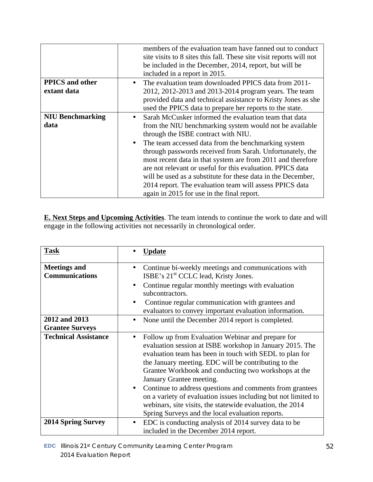|                                 | members of the evaluation team have fanned out to conduct<br>site visits to 8 sites this fall. These site visit reports will not<br>be included in the December, 2014, report, but will be<br>included in a report in 2015.                                                                                                                                                                                                         |
|---------------------------------|-------------------------------------------------------------------------------------------------------------------------------------------------------------------------------------------------------------------------------------------------------------------------------------------------------------------------------------------------------------------------------------------------------------------------------------|
| <b>PPICS</b> and other          | The evaluation team downloaded PPICS data from 2011-                                                                                                                                                                                                                                                                                                                                                                                |
| extant data                     | 2012, 2012-2013 and 2013-2014 program years. The team                                                                                                                                                                                                                                                                                                                                                                               |
|                                 | provided data and technical assistance to Kristy Jones as she                                                                                                                                                                                                                                                                                                                                                                       |
|                                 | used the PPICS data to prepare her reports to the state.                                                                                                                                                                                                                                                                                                                                                                            |
| <b>NIU Benchmarking</b><br>data | Sarah McCusker informed the evaluation team that data<br>from the NIU benchmarking system would not be available<br>through the ISBE contract with NIU.                                                                                                                                                                                                                                                                             |
|                                 | The team accessed data from the benchmarking system<br>$\bullet$<br>through passwords received from Sarah. Unfortunately, the<br>most recent data in that system are from 2011 and therefore<br>are not relevant or useful for this evaluation. PPICS data<br>will be used as a substitute for these data in the December,<br>2014 report. The evaluation team will assess PPICS data<br>again in 2015 for use in the final report. |

**E. Next Steps and Upcoming Activities**. The team intends to continue the work to date and will engage in the following activities not necessarily in chronological order.

| <b>Task</b>                                  | <b>Update</b>                                                                                                                                                                                                                                                                                                                                                                                                                                                                                                                                                       |
|----------------------------------------------|---------------------------------------------------------------------------------------------------------------------------------------------------------------------------------------------------------------------------------------------------------------------------------------------------------------------------------------------------------------------------------------------------------------------------------------------------------------------------------------------------------------------------------------------------------------------|
| <b>Meetings and</b><br><b>Communications</b> | Continue bi-weekly meetings and communications with<br>ISBE's 21 <sup>st</sup> CCLC lead, Kristy Jones.<br>Continue regular monthly meetings with evaluation<br>$\bullet$<br>subcontractors.<br>Continue regular communication with grantees and<br>evaluators to convey important evaluation information.                                                                                                                                                                                                                                                          |
| 2012 and 2013<br><b>Grantee Surveys</b>      | None until the December 2014 report is completed.                                                                                                                                                                                                                                                                                                                                                                                                                                                                                                                   |
| <b>Technical Assistance</b>                  | Follow up from Evaluation Webinar and prepare for<br>evaluation session at ISBE workshop in January 2015. The<br>evaluation team has been in touch with SEDL to plan for<br>the January meeting. EDC will be contributing to the<br>Grantee Workbook and conducting two workshops at the<br>January Grantee meeting.<br>Continue to address questions and comments from grantees<br>on a variety of evaluation issues including but not limited to<br>webinars, site visits, the statewide evaluation, the 2014<br>Spring Surveys and the local evaluation reports. |
| <b>2014 Spring Survey</b>                    | EDC is conducting analysis of 2014 survey data to be<br>$\bullet$<br>included in the December 2014 report.                                                                                                                                                                                                                                                                                                                                                                                                                                                          |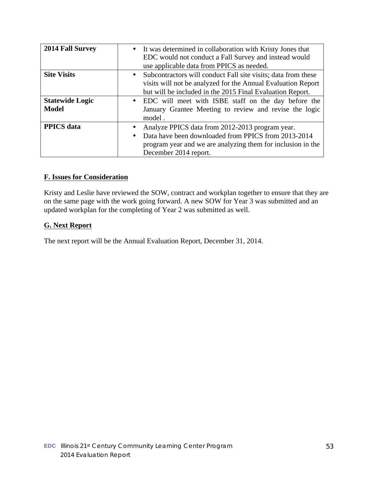| 2014 Fall Survey                       | • It was determined in collaboration with Kristy Jones that<br>EDC would not conduct a Fall Survey and instead would<br>use applicable data from PPICS as needed.                                           |
|----------------------------------------|-------------------------------------------------------------------------------------------------------------------------------------------------------------------------------------------------------------|
| <b>Site Visits</b>                     | Subcontractors will conduct Fall site visits; data from these<br>$\bullet$<br>visits will not be analyzed for the Annual Evaluation Report<br>but will be included in the 2015 Final Evaluation Report.     |
| <b>Statewide Logic</b><br><b>Model</b> | • EDC will meet with ISBE staff on the day before the<br>January Grantee Meeting to review and revise the logic<br>model.                                                                                   |
| <b>PPICS</b> data                      | Analyze PPICS data from 2012-2013 program year.<br>Data have been downloaded from PPICS from 2013-2014<br>$\bullet$<br>program year and we are analyzing them for inclusion in the<br>December 2014 report. |

#### **F. Issues for Consideration**

Kristy and Leslie have reviewed the SOW, contract and workplan together to ensure that they are on the same page with the work going forward. A new SOW for Year 3 was submitted and an updated workplan for the completing of Year 2 was submitted as well.

#### **G. Next Report**

The next report will be the Annual Evaluation Report, December 31, 2014.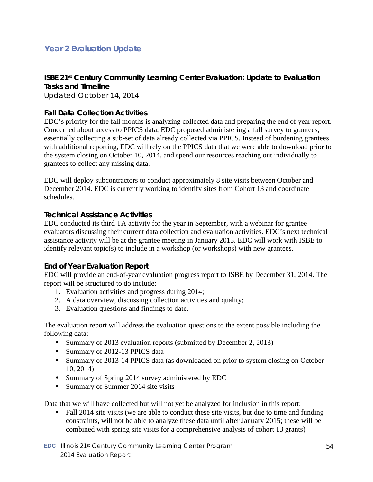## **Year 2 Evaluation Update**

**ISBE 21st Century Community Learning Center Evaluation: Update to Evaluation Tasks and Timeline** *Updated October 14, 2014*

### **Fall Data Collection Activities**

EDC's priority for the fall months is analyzing collected data and preparing the end of year report. Concerned about access to PPICS data, EDC proposed administering a fall survey to grantees, essentially collecting a sub-set of data already collected via PPICS. Instead of burdening grantees with additional reporting, EDC will rely on the PPICS data that we were able to download prior to the system closing on October 10, 2014, and spend our resources reaching out individually to grantees to collect any missing data.

EDC will deploy subcontractors to conduct approximately 8 site visits between October and December 2014. EDC is currently working to identify sites from Cohort 13 and coordinate schedules.

#### **Technical Assistance Activities**

EDC conducted its third TA activity for the year in September, with a webinar for grantee evaluators discussing their current data collection and evaluation activities. EDC's next technical assistance activity will be at the grantee meeting in January 2015. EDC will work with ISBE to identify relevant topic(s) to include in a workshop (or workshops) with new grantees.

#### **End of Year Evaluation Report**

EDC will provide an end-of-year evaluation progress report to ISBE by December 31, 2014. The report will be structured to do include:

- 1. Evaluation activities and progress during 2014;
- 2. A data overview, discussing collection activities and quality;
- 3. Evaluation questions and findings to date.

The evaluation report will address the evaluation questions to the extent possible including the following data:

- Summary of 2013 evaluation reports (submitted by December 2, 2013)
- Summary of 2012-13 PPICS data
- Summary of 2013-14 PPICS data (as downloaded on prior to system closing on October 10, 2014)
- Summary of Spring 2014 survey administered by EDC
- Summary of Summer 2014 site visits

Data that we will have collected but will not yet be analyzed for inclusion in this report:

• Fall 2014 site visits (we are able to conduct these site visits, but due to time and funding constraints, will not be able to analyze these data until after January 2015; these will be combined with spring site visits for a comprehensive analysis of cohort 13 grants)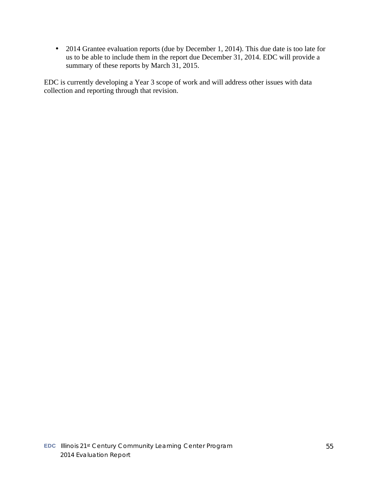• 2014 Grantee evaluation reports (due by December 1, 2014). This due date is too late for us to be able to include them in the report due December 31, 2014. EDC will provide a summary of these reports by March 31, 2015.

EDC is currently developing a Year 3 scope of work and will address other issues with data collection and reporting through that revision.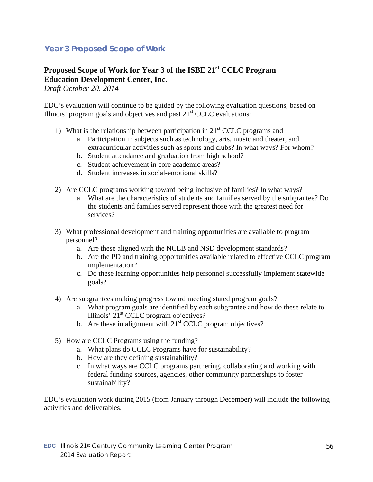## **Year 3 Proposed Scope of Work**

# **Proposed Scope of Work for Year 3 of the ISBE 21st CCLC Program Education Development Center, Inc.**

*Draft October 20, 2014*

EDC's evaluation will continue to be guided by the following evaluation questions, based on Illinois' program goals and objectives and past  $21<sup>st</sup> CCLC$  evaluations:

- 1) What is the relationship between participation in  $21<sup>st</sup> CCLC$  programs and
	- a. Participation in subjects such as technology, arts, music and theater, and extracurricular activities such as sports and clubs? In what ways? For whom?
	- b. Student attendance and graduation from high school?
	- c. Student achievement in core academic areas?
	- d. Student increases in social-emotional skills?
- 2) Are CCLC programs working toward being inclusive of families? In what ways?
	- a. What are the characteristics of students and families served by the subgrantee? Do the students and families served represent those with the greatest need for services?
- 3) What professional development and training opportunities are available to program personnel?
	- a. Are these aligned with the NCLB and NSD development standards?
	- b. Are the PD and training opportunities available related to effective CCLC program implementation?
	- c. Do these learning opportunities help personnel successfully implement statewide goals?
- 4) Are subgrantees making progress toward meeting stated program goals?
	- a. What program goals are identified by each subgrantee and how do these relate to Illinois' 21st CCLC program objectives?
	- b. Are these in alignment with  $21<sup>st</sup>$  CCLC program objectives?
- 5) How are CCLC Programs using the funding?
	- a. What plans do CCLC Programs have for sustainability?
	- b. How are they defining sustainability?
	- c. In what ways are CCLC programs partnering, collaborating and working with federal funding sources, agencies, other community partnerships to foster sustainability?

EDC's evaluation work during 2015 (from January through December) will include the following activities and deliverables.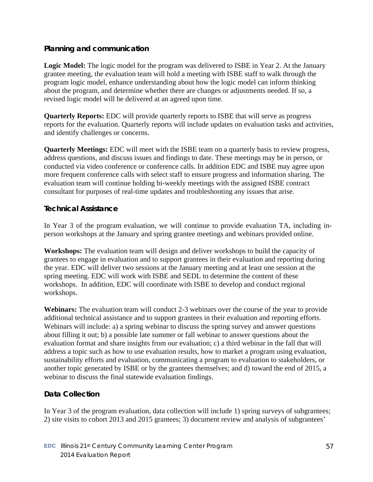### **Planning and communication**

**Logic Model:** The logic model for the program was delivered to ISBE in Year 2. At the January grantee meeting, the evaluation team will hold a meeting with ISBE staff to walk through the program logic model, enhance understanding about how the logic model can inform thinking about the program, and determine whether there are changes or adjustments needed. If so, a revised logic model will be delivered at an agreed upon time.

**Quarterly Reports:** EDC will provide quarterly reports to ISBE that will serve as progress reports for the evaluation. Quarterly reports will include updates on evaluation tasks and activities, and identify challenges or concerns.

**Quarterly Meetings:** EDC will meet with the ISBE team on a quarterly basis to review progress, address questions, and discuss issues and findings to date. These meetings may be in person, or conducted via video conference or conference calls. In addition EDC and ISBE may agree upon more frequent conference calls with select staff to ensure progress and information sharing. The evaluation team will continue holding bi-weekly meetings with the assigned ISBE contract consultant for purposes of real-time updates and troubleshooting any issues that arise.

#### **Technical Assistance**

In Year 3 of the program evaluation, we will continue to provide evaluation TA, including inperson workshops at the January and spring grantee meetings and webinars provided online.

**Workshops:** The evaluation team will design and deliver workshops to build the capacity of grantees to engage in evaluation and to support grantees in their evaluation and reporting during the year. EDC will deliver two sessions at the January meeting and at least one session at the spring meeting. EDC will work with ISBE and SEDL to determine the content of these workshops. In addition, EDC will coordinate with ISBE to develop and conduct regional workshops.

**Webinars:** The evaluation team will conduct 2-3 webinars over the course of the year to provide additional technical assistance and to support grantees in their evaluation and reporting efforts. Webinars will include: a) a spring webinar to discuss the spring survey and answer questions about filling it out; b) a possible late summer or fall webinar to answer questions about the evaluation format and share insights from our evaluation; c) a third webinar in the fall that will address a topic such as how to use evaluation results, how to market a program using evaluation, sustainability efforts and evaluation, communicating a program to evaluation to stakeholders, or another topic generated by ISBE or by the grantees themselves; and d) toward the end of 2015, a webinar to discuss the final statewide evaluation findings.

#### **Data Collection**

In Year 3 of the program evaluation, data collection will include 1) spring surveys of subgrantees; 2) site visits to cohort 2013 and 2015 grantees; 3) document review and analysis of subgrantees'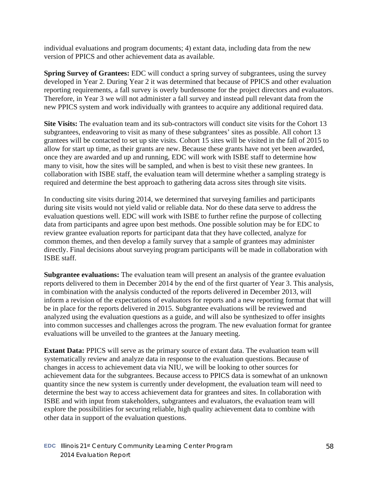individual evaluations and program documents; 4) extant data, including data from the new version of PPICS and other achievement data as available.

**Spring Survey of Grantees:** EDC will conduct a spring survey of subgrantees, using the survey developed in Year 2. During Year 2 it was determined that because of PPICS and other evaluation reporting requirements, a fall survey is overly burdensome for the project directors and evaluators. Therefore, in Year 3 we will not administer a fall survey and instead pull relevant data from the new PPICS system and work individually with grantees to acquire any additional required data.

**Site Visits:** The evaluation team and its sub-contractors will conduct site visits for the Cohort 13 subgrantees, endeavoring to visit as many of these subgrantees' sites as possible. All cohort 13 grantees will be contacted to set up site visits. Cohort 15 sites will be visited in the fall of 2015 to allow for start up time, as their grants are new. Because these grants have not yet been awarded, once they are awarded and up and running, EDC will work with ISBE staff to determine how many to visit, how the sites will be sampled, and when is best to visit these new grantees. In collaboration with ISBE staff, the evaluation team will determine whether a sampling strategy is required and determine the best approach to gathering data across sites through site visits.

In conducting site visits during 2014, we determined that surveying families and participants during site visits would not yield valid or reliable data. Nor do these data serve to address the evaluation questions well. EDC will work with ISBE to further refine the purpose of collecting data from participants and agree upon best methods. One possible solution may be for EDC to review grantee evaluation reports for participant data that they have collected, analyze for common themes, and then develop a family survey that a sample of grantees may administer directly. Final decisions about surveying program participants will be made in collaboration with ISBE staff.

**Subgrantee evaluations:** The evaluation team will present an analysis of the grantee evaluation reports delivered to them in December 2014 by the end of the first quarter of Year 3. This analysis, in combination with the analysis conducted of the reports delivered in December 2013, will inform a revision of the expectations of evaluators for reports and a new reporting format that will be in place for the reports delivered in 2015. Subgrantee evaluations will be reviewed and analyzed using the evaluation questions as a guide, and will also be synthesized to offer insights into common successes and challenges across the program. The new evaluation format for grantee evaluations will be unveiled to the grantees at the January meeting.

**Extant Data:** PPICS will serve as the primary source of extant data. The evaluation team will systematically review and analyze data in response to the evaluation questions. Because of changes in access to achievement data via NIU, we will be looking to other sources for achievement data for the subgrantees. Because access to PPICS data is somewhat of an unknown quantity since the new system is currently under development, the evaluation team will need to determine the best way to access achievement data for grantees and sites. In collaboration with ISBE and with input from stakeholders, subgrantees and evaluators, the evaluation team will explore the possibilities for securing reliable, high quality achievement data to combine with other data in support of the evaluation questions.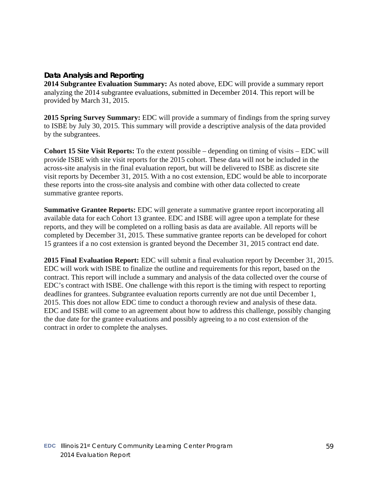### **Data Analysis and Reporting**

**2014 Subgrantee Evaluation Summary:** As noted above, EDC will provide a summary report analyzing the 2014 subgrantee evaluations, submitted in December 2014. This report will be provided by March 31, 2015.

**2015 Spring Survey Summary:** EDC will provide a summary of findings from the spring survey to ISBE by July 30, 2015. This summary will provide a descriptive analysis of the data provided by the subgrantees.

**Cohort 15 Site Visit Reports:** To the extent possible – depending on timing of visits – EDC will provide ISBE with site visit reports for the 2015 cohort. These data will not be included in the across-site analysis in the final evaluation report, but will be delivered to ISBE as discrete site visit reports by December 31, 2015. With a no cost extension, EDC would be able to incorporate these reports into the cross-site analysis and combine with other data collected to create summative grantee reports.

**Summative Grantee Reports:** EDC will generate a summative grantee report incorporating all available data for each Cohort 13 grantee. EDC and ISBE will agree upon a template for these reports, and they will be completed on a rolling basis as data are available. All reports will be completed by December 31, 2015. These summative grantee reports can be developed for cohort 15 grantees if a no cost extension is granted beyond the December 31, 2015 contract end date.

**2015 Final Evaluation Report:** EDC will submit a final evaluation report by December 31, 2015. EDC will work with ISBE to finalize the outline and requirements for this report, based on the contract. This report will include a summary and analysis of the data collected over the course of EDC's contract with ISBE. One challenge with this report is the timing with respect to reporting deadlines for grantees. Subgrantee evaluation reports currently are not due until December 1, 2015. This does not allow EDC time to conduct a thorough review and analysis of these data. EDC and ISBE will come to an agreement about how to address this challenge, possibly changing the due date for the grantee evaluations and possibly agreeing to a no cost extension of the contract in order to complete the analyses.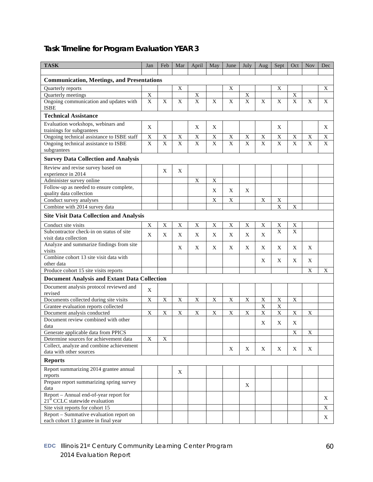# **Task Timeline for Program Evaluation YEAR 3**

| <b>TASK</b>                                                                     | Jan            | Feb                     | Mar            | April                   | May            | June           | July                    | Aug         | Sept             | Oct            | Nov | Dec         |
|---------------------------------------------------------------------------------|----------------|-------------------------|----------------|-------------------------|----------------|----------------|-------------------------|-------------|------------------|----------------|-----|-------------|
|                                                                                 |                |                         |                |                         |                |                |                         |             |                  |                |     |             |
| <b>Communication, Meetings, and Presentations</b>                               |                |                         |                |                         |                |                |                         |             |                  |                |     |             |
| Quarterly reports                                                               |                |                         | X              |                         |                | X              |                         |             | Χ                |                |     | X           |
| Quarterly meetings                                                              | $\mathbf X$    |                         |                | $\mathbf X$             |                |                | $\mathbf X$             |             |                  | $\mathbf X$    |     |             |
| Ongoing communication and updates with                                          | $\overline{X}$ | $\mathbf X$             | $\mathbf X$    | $\overline{\mathbf{X}}$ | $\mathbf X$    | $\mathbf X$    | $\overline{\mathrm{X}}$ | X           | X                | $\overline{X}$ | X   | X           |
| <b>ISBE</b>                                                                     |                |                         |                |                         |                |                |                         |             |                  |                |     |             |
| <b>Technical Assistance</b>                                                     |                |                         |                |                         |                |                |                         |             |                  |                |     |             |
| Evaluation workshops, webinars and                                              |                |                         |                |                         |                |                |                         |             |                  |                |     |             |
| trainings for subgrantees                                                       | X              |                         |                | X                       | Χ              |                |                         |             | X                |                |     | X           |
| Ongoing technical assistance to ISBE staff                                      | $\mathbf X$    | X                       | $\mathbf X$    | $\mathbf X$             | $\mathbf X$    | $\mathbf X$    | X                       | X           | X                | X              | X   | X           |
| Ongoing technical assistance to ISBE                                            | $\overline{X}$ | $\overline{\mathbf{X}}$ | $\overline{X}$ | $\overline{\mathbf{X}}$ | $\overline{X}$ | $\overline{X}$ | $\overline{X}$          | X           | X                | $\mathbf X$    | X   | X           |
| subgrantees                                                                     |                |                         |                |                         |                |                |                         |             |                  |                |     |             |
| <b>Survey Data Collection and Analysis</b>                                      |                |                         |                |                         |                |                |                         |             |                  |                |     |             |
| Review and revise survey based on                                               |                | X                       | X              |                         |                |                |                         |             |                  |                |     |             |
| experience in 2014                                                              |                |                         |                |                         |                |                |                         |             |                  |                |     |             |
| Administer survey online                                                        |                |                         |                | $\mathbf X$             | X              |                |                         |             |                  |                |     |             |
| Follow-up as needed to ensure complete,                                         |                |                         |                |                         | X              | X              | X                       |             |                  |                |     |             |
| quality data collection                                                         |                |                         |                |                         | $\mathbf X$    |                |                         |             |                  |                |     |             |
| Conduct survey analyses<br>Combine with 2014 survey data                        |                |                         |                |                         |                | X              |                         | X           | X<br>$\mathbf X$ | $\mathbf X$    |     |             |
|                                                                                 |                |                         |                |                         |                |                |                         |             |                  |                |     |             |
| <b>Site Visit Data Collection and Analysis</b>                                  |                |                         |                |                         |                |                |                         |             |                  |                |     |             |
| Conduct site visits                                                             | X              | X                       | $\mathbf X$    | $\mathbf X$             | $\mathbf X$    | $\mathbf X$    | X                       | X           | X                | X              |     |             |
| Subcontractor check-in on status of site                                        | X              | X                       | X              | X                       | X              | X              | X                       | $\mathbf X$ | X                | $\mathbf{X}$   |     |             |
| visit data collection                                                           |                |                         |                |                         |                |                |                         |             |                  |                |     |             |
| Analyze and summarize findings from site<br>visits                              |                |                         | X              | X                       | X              | X              | X                       | X           | X                | X              | X   |             |
| Combine cohort 13 site visit data with                                          |                |                         |                |                         |                |                |                         |             |                  |                |     |             |
| other data                                                                      |                |                         |                |                         |                |                |                         | X           | X                | X              | X   |             |
| Produce cohort 15 site visits reports                                           |                |                         |                |                         |                |                |                         |             |                  |                | X   | $\mathbf X$ |
| <b>Document Analysis and Extant Data Collection</b>                             |                |                         |                |                         |                |                |                         |             |                  |                |     |             |
| Document analysis protocol reviewed and                                         |                |                         |                |                         |                |                |                         |             |                  |                |     |             |
| revised                                                                         | X              |                         |                |                         |                |                |                         |             |                  |                |     |             |
| Documents collected during site visits                                          | $\mathbf X$    | $\mathbf X$             | X              | $\mathbf X$             | $\mathbf X$    | $\mathbf X$    | $\mathbf X$             | $\mathbf X$ | $\mathbf X$      | $\mathbf X$    |     |             |
| Grantee evaluation reports collected                                            |                |                         |                |                         |                |                |                         | $\mathbf X$ | $\mathbf X$      |                |     |             |
| Document analysis conducted                                                     | $\mathbf X$    | X                       | X              | $\mathbf X$             | $\mathbf X$    | X              | X                       | $\mathbf X$ | X                | X              | X   |             |
| Document review combined with other                                             |                |                         |                |                         |                |                |                         | X           | X                | X              |     |             |
| data<br>Generate applicable data from PPICS                                     |                |                         |                |                         |                |                |                         |             |                  | $\mathbf X$    | X   |             |
| Determine sources for achievement data                                          | $\mathbf X$    | X                       |                |                         |                |                |                         |             |                  |                |     |             |
| Collect, analyze and combine achievement                                        |                |                         |                |                         |                |                |                         |             |                  |                |     |             |
| data with other sources                                                         |                |                         |                |                         |                | X              | X                       | X           | X                | X              | X   |             |
| <b>Reports</b>                                                                  |                |                         |                |                         |                |                |                         |             |                  |                |     |             |
| Report summarizing 2014 grantee annual                                          |                |                         |                |                         |                |                |                         |             |                  |                |     |             |
| reports                                                                         |                |                         | X              |                         |                |                |                         |             |                  |                |     |             |
| Prepare report summarizing spring survey                                        |                |                         |                |                         |                |                | X                       |             |                  |                |     |             |
| data                                                                            |                |                         |                |                         |                |                |                         |             |                  |                |     |             |
| Report - Annual end-of-year report for                                          |                |                         |                |                         |                |                |                         |             |                  |                |     | X           |
| 21 <sup>st</sup> CCLC statewide evaluation                                      |                |                         |                |                         |                |                |                         |             |                  |                |     |             |
| Site visit reports for cohort 15                                                |                |                         |                |                         |                |                |                         |             |                  |                |     | X           |
| Report - Summative evaluation report on<br>each cohort 13 grantee in final year |                |                         |                |                         |                |                |                         |             |                  |                |     | X           |

**EDC** Illinois 21st Century Community Learning Center Program 2014 Evaluation Report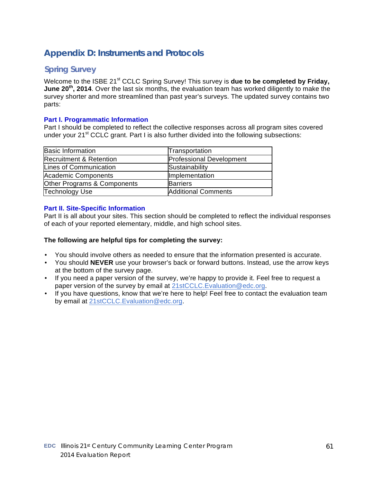# **Appendix D: Instruments and Protocols**

## **Spring Survey**

Welcome to the ISBE 21<sup>st</sup> CCLC Spring Survey! This survey is **due to be completed by Friday**, **June 20th, 2014**. Over the last six months, the evaluation team has worked diligently to make the survey shorter and more streamlined than past year's surveys. The updated survey contains two parts:

#### **Part I. Programmatic Information**

Part I should be completed to reflect the collective responses across all program sites covered under your 21<sup>st</sup> CCLC grant. Part I is also further divided into the following subsections:

| <b>Basic Information</b>           | Transportation                  |
|------------------------------------|---------------------------------|
| <b>Recruitment &amp; Retention</b> | <b>Professional Development</b> |
| Lines of Communication             | Sustainability                  |
| Academic Components                | Implementation                  |
| Other Programs & Components        | Barriers                        |
| <b>Technology Use</b>              | <b>Additional Comments</b>      |

#### **Part II. Site-Specific Information**

Part II is all about your sites. This section should be completed to reflect the individual responses of each of your reported elementary, middle, and high school sites.

#### **The following are helpful tips for completing the survey:**

- You should involve others as needed to ensure that the information presented is accurate.
- You should **NEVER** use your browser's back or forward buttons. Instead, use the arrow keys at the bottom of the survey page.
- If you need a paper version of the survey, we're happy to provide it. Feel free to request a paper version of the survey by email at 21stCCLC.Evaluation@edc.org.
- If you have questions, know that we're here to help! Feel free to contact the evaluation team by email at 21stCCLC.Evaluation@edc.org.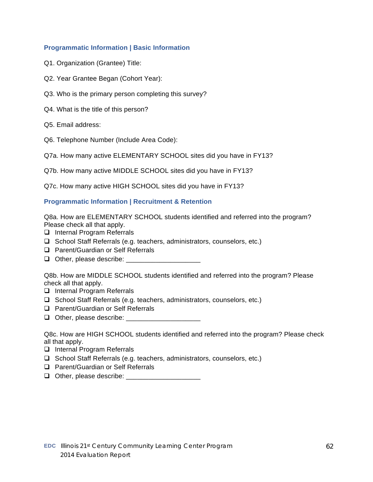#### **Programmatic Information | Basic Information**

- Q1. Organization (Grantee) Title:
- Q2. Year Grantee Began (Cohort Year):
- Q3. Who is the primary person completing this survey?
- Q4. What is the title of this person?
- Q5. Email address:
- Q6. Telephone Number (Include Area Code):

Q7a. How many active ELEMENTARY SCHOOL sites did you have in FY13?

Q7b. How many active MIDDLE SCHOOL sites did you have in FY13?

Q7c. How many active HIGH SCHOOL sites did you have in FY13?

#### **Programmatic Information | Recruitment & Retention**

Q8a. How are ELEMENTARY SCHOOL students identified and referred into the program? Please check all that apply.

- □ Internal Program Referrals
- G School Staff Referrals (e.g. teachers, administrators, counselors, etc.)
- □ Parent/Guardian or Self Referrals
- q Other, please describe: \_\_\_\_\_\_\_\_\_\_\_\_\_\_\_\_\_\_\_\_

Q8b. How are MIDDLE SCHOOL students identified and referred into the program? Please check all that apply.

- □ Internal Program Referrals
- G School Staff Referrals (e.g. teachers, administrators, counselors, etc.)
- **□ Parent/Guardian or Self Referrals**
- q Other, please describe: \_\_\_\_\_\_\_\_\_\_\_\_\_\_\_\_\_\_\_\_

Q8c. How are HIGH SCHOOL students identified and referred into the program? Please check all that apply.

- $\Box$  Internal Program Referrals
- □ School Staff Referrals (e.g. teachers, administrators, counselors, etc.)
- □ Parent/Guardian or Self Referrals
- $\Box$  Other, please describe: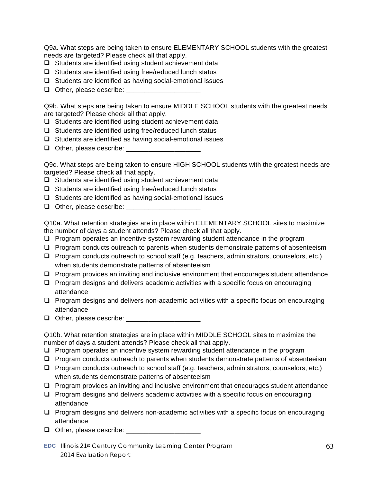Q9a. What steps are being taken to ensure ELEMENTARY SCHOOL students with the greatest needs are targeted? Please check all that apply.

- $\Box$  Students are identified using student achievement data
- $\Box$  Students are identified using free/reduced lunch status
- $\Box$  Students are identified as having social-emotional issues
- $\Box$  Other, please describe:

Q9b. What steps are being taken to ensure MIDDLE SCHOOL students with the greatest needs are targeted? Please check all that apply.

- $\Box$  Students are identified using student achievement data
- $\Box$  Students are identified using free/reduced lunch status
- $\Box$  Students are identified as having social-emotional issues
- $\Box$  Other, please describe:  $\Box$

Q9c. What steps are being taken to ensure HIGH SCHOOL students with the greatest needs are targeted? Please check all that apply.

- $\Box$  Students are identified using student achievement data
- $\Box$  Students are identified using free/reduced lunch status
- $\Box$  Students are identified as having social-emotional issues
- q Other, please describe: \_\_\_\_\_\_\_\_\_\_\_\_\_\_\_\_\_\_\_\_

Q10a. What retention strategies are in place within ELEMENTARY SCHOOL sites to maximize the number of days a student attends? Please check all that apply.

- $\Box$  Program operates an incentive system rewarding student attendance in the program
- $\Box$  Program conducts outreach to parents when students demonstrate patterns of absenteeism
- $\Box$  Program conducts outreach to school staff (e.g. teachers, administrators, counselors, etc.) when students demonstrate patterns of absenteeism
- $\Box$  Program provides an inviting and inclusive environment that encourages student attendance
- $\Box$  Program designs and delivers academic activities with a specific focus on encouraging attendance
- $\Box$  Program designs and delivers non-academic activities with a specific focus on encouraging attendance
- q Other, please describe: \_\_\_\_\_\_\_\_\_\_\_\_\_\_\_\_\_\_\_\_

Q10b. What retention strategies are in place within MIDDLE SCHOOL sites to maximize the number of days a student attends? Please check all that apply.

- $\Box$  Program operates an incentive system rewarding student attendance in the program
- $\Box$  Program conducts outreach to parents when students demonstrate patterns of absenteeism
- $\Box$  Program conducts outreach to school staff (e.g. teachers, administrators, counselors, etc.) when students demonstrate patterns of absenteeism
- $\Box$  Program provides an inviting and inclusive environment that encourages student attendance
- $\Box$  Program designs and delivers academic activities with a specific focus on encouraging attendance
- $\Box$  Program designs and delivers non-academic activities with a specific focus on encouraging attendance
- $\Box$  Other, please describe:
- **EDC** Illinois 21st Century Community Learning Center Program 2014 Evaluation Report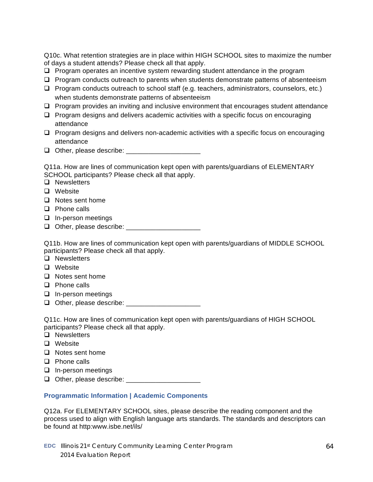Q10c. What retention strategies are in place within HIGH SCHOOL sites to maximize the number of days a student attends? Please check all that apply.

- $\Box$  Program operates an incentive system rewarding student attendance in the program
- $\Box$  Program conducts outreach to parents when students demonstrate patterns of absenteeism
- $\Box$  Program conducts outreach to school staff (e.g. teachers, administrators, counselors, etc.) when students demonstrate patterns of absenteeism
- $\Box$  Program provides an inviting and inclusive environment that encourages student attendance
- $\Box$  Program designs and delivers academic activities with a specific focus on encouraging attendance
- $\Box$  Program designs and delivers non-academic activities with a specific focus on encouraging attendance
- $\Box$  Other, please describe:

Q11a. How are lines of communication kept open with parents/guardians of ELEMENTARY SCHOOL participants? Please check all that apply.

- $\Box$  Newsletters
- $\Box$  Website
- $\Box$  Notes sent home
- $\Box$  Phone calls
- $\Box$  In-person meetings
- q Other, please describe: \_\_\_\_\_\_\_\_\_\_\_\_\_\_\_\_\_\_\_\_

Q11b. How are lines of communication kept open with parents/guardians of MIDDLE SCHOOL participants? Please check all that apply.

- $\Box$  Newsletters
- $\Box$  Website
- $\Box$  Notes sent home
- $\Box$  Phone calls
- $\Box$  In-person meetings
- q Other, please describe: \_\_\_\_\_\_\_\_\_\_\_\_\_\_\_\_\_\_\_\_

Q11c. How are lines of communication kept open with parents/guardians of HIGH SCHOOL participants? Please check all that apply.

- $\Box$  Newsletters
- $\Box$  Website
- $\Box$  Notes sent home
- $\Box$  Phone calls
- $\Box$  In-person meetings
- q Other, please describe: \_\_\_\_\_\_\_\_\_\_\_\_\_\_\_\_\_\_\_\_

#### **Programmatic Information | Academic Components**

Q12a. For ELEMENTARY SCHOOL sites, please describe the reading component and the process used to align with English language arts standards. The standards and descriptors can be found at http:www.isbe.net/ils/

**EDC** Illinois 21st Century Community Learning Center Program 2014 Evaluation Report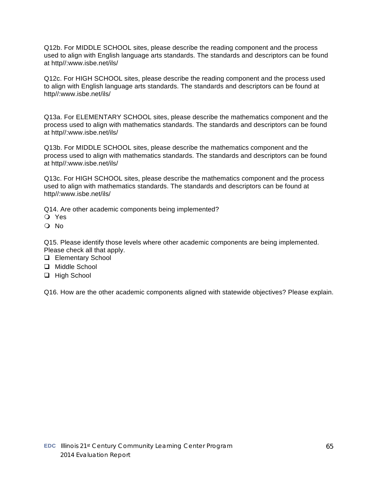Q12b. For MIDDLE SCHOOL sites, please describe the reading component and the process used to align with English language arts standards. The standards and descriptors can be found at http//:www.isbe.net/ils/

Q12c. For HIGH SCHOOL sites, please describe the reading component and the process used to align with English language arts standards. The standards and descriptors can be found at http//:www.isbe.net/ils/

Q13a. For ELEMENTARY SCHOOL sites, please describe the mathematics component and the process used to align with mathematics standards. The standards and descriptors can be found at http//:www.isbe.net/ils/

Q13b. For MIDDLE SCHOOL sites, please describe the mathematics component and the process used to align with mathematics standards. The standards and descriptors can be found at http//:www.isbe.net/ils/

Q13c. For HIGH SCHOOL sites, please describe the mathematics component and the process used to align with mathematics standards. The standards and descriptors can be found at http//:www.isbe.net/ils/

Q14. Are other academic components being implemented?

O Yes

 $\Omega$  No.

Q15. Please identify those levels where other academic components are being implemented. Please check all that apply.

- **Q** Elementary School
- q Middle School
- q High School

Q16. How are the other academic components aligned with statewide objectives? Please explain.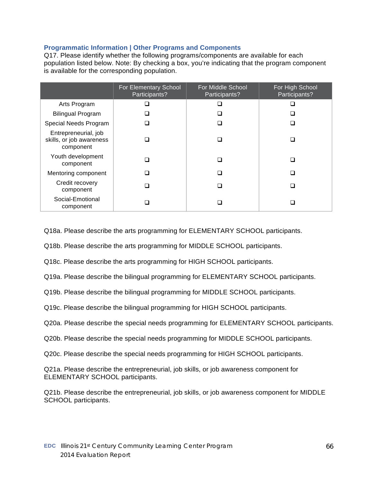#### **Programmatic Information | Other Programs and Components**

Q17. Please identify whether the following programs/components are available for each population listed below. Note: By checking a box, you're indicating that the program component is available for the corresponding population.

|                                                               | For Elementary School<br>Participants? | For Middle School<br>Participants? | For High School<br>Participants? |
|---------------------------------------------------------------|----------------------------------------|------------------------------------|----------------------------------|
| Arts Program                                                  |                                        |                                    |                                  |
| <b>Bilingual Program</b>                                      |                                        |                                    |                                  |
| Special Needs Program                                         |                                        |                                    |                                  |
| Entrepreneurial, job<br>skills, or job awareness<br>component |                                        |                                    |                                  |
| Youth development<br>component                                |                                        |                                    |                                  |
| Mentoring component                                           |                                        |                                    |                                  |
| Credit recovery<br>component                                  |                                        |                                    |                                  |
| Social-Emotional<br>component                                 |                                        |                                    |                                  |

Q18a. Please describe the arts programming for ELEMENTARY SCHOOL participants.

Q18b. Please describe the arts programming for MIDDLE SCHOOL participants.

Q18c. Please describe the arts programming for HIGH SCHOOL participants.

Q19a. Please describe the bilingual programming for ELEMENTARY SCHOOL participants.

Q19b. Please describe the bilingual programming for MIDDLE SCHOOL participants.

Q19c. Please describe the bilingual programming for HIGH SCHOOL participants.

Q20a. Please describe the special needs programming for ELEMENTARY SCHOOL participants.

Q20b. Please describe the special needs programming for MIDDLE SCHOOL participants.

Q20c. Please describe the special needs programming for HIGH SCHOOL participants.

Q21a. Please describe the entrepreneurial, job skills, or job awareness component for ELEMENTARY SCHOOL participants.

Q21b. Please describe the entrepreneurial, job skills, or job awareness component for MIDDLE SCHOOL participants.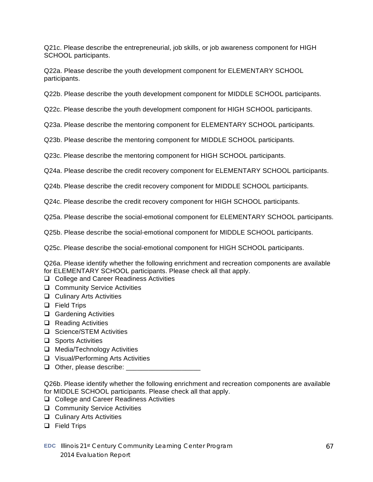Q21c. Please describe the entrepreneurial, job skills, or job awareness component for HIGH SCHOOL participants.

Q22a. Please describe the youth development component for ELEMENTARY SCHOOL participants.

Q22b. Please describe the youth development component for MIDDLE SCHOOL participants.

Q22c. Please describe the youth development component for HIGH SCHOOL participants.

Q23a. Please describe the mentoring component for ELEMENTARY SCHOOL participants.

Q23b. Please describe the mentoring component for MIDDLE SCHOOL participants.

Q23c. Please describe the mentoring component for HIGH SCHOOL participants.

Q24a. Please describe the credit recovery component for ELEMENTARY SCHOOL participants.

Q24b. Please describe the credit recovery component for MIDDLE SCHOOL participants.

Q24c. Please describe the credit recovery component for HIGH SCHOOL participants.

Q25a. Please describe the social-emotional component for ELEMENTARY SCHOOL participants.

Q25b. Please describe the social-emotional component for MIDDLE SCHOOL participants.

Q25c. Please describe the social-emotional component for HIGH SCHOOL participants.

Q26a. Please identify whether the following enrichment and recreation components are available for ELEMENTARY SCHOOL participants. Please check all that apply.

- $\Box$  College and Career Readiness Activities
- **Q** Community Service Activities
- $\Box$  Culinary Arts Activities
- **Q** Field Trips
- $\Box$  Gardening Activities
- $\Box$  Reading Activities
- □ Science/STEM Activities
- $\Box$  Sports Activities
- □ Media/Technology Activities
- $\Box$  Visual/Performing Arts Activities
- $\Box$  Other, please describe:

Q26b. Please identify whether the following enrichment and recreation components are available for MIDDLE SCHOOL participants. Please check all that apply.

- $\Box$  College and Career Readiness Activities
- **Q** Community Service Activities
- $\Box$  Culinary Arts Activities
- $\Box$  Field Trips
- **EDC** Illinois 21st Century Community Learning Center Program 2014 Evaluation Report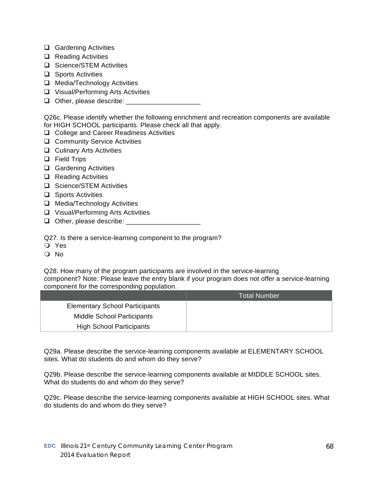- $\Box$  Gardening Activities
- $\Box$  Reading Activities
- □ Science/STEM Activities
- $\Box$  Sports Activities
- □ Media/Technology Activities
- $\Box$  Visual/Performing Arts Activities
- $\Box$  Other, please describe:

Q26c. Please identify whether the following enrichment and recreation components are available for HIGH SCHOOL participants. Please check all that apply.

- $\Box$  College and Career Readiness Activities
- **□** Community Service Activities
- $\Box$  Culinary Arts Activities
- **Q** Field Trips
- $\Box$  Gardening Activities
- $\Box$  Reading Activities
- □ Science/STEM Activities
- $\Box$  Sports Activities
- $\Box$  Media/Technology Activities
- $\Box$  Visual/Performing Arts Activities
- q Other, please describe: \_\_\_\_\_\_\_\_\_\_\_\_\_\_\_\_\_\_\_\_

Q27. Is there a service-learning component to the program?

- O Yes
- $\Omega$  No

Q28. How many of the program participants are involved in the service-learning component? Note: Please leave the entry blank if your program does not offer a service-learning component for the corresponding population.

|                                       | <b>Total Number</b> |
|---------------------------------------|---------------------|
| <b>Elementary School Participants</b> |                     |
| <b>Middle School Participants</b>     |                     |
| <b>High School Participants</b>       |                     |
|                                       |                     |

Q29a. Please describe the service-learning components available at ELEMENTARY SCHOOL sites. What do students do and whom do they serve?

Q29b. Please describe the service-learning components available at MIDDLE SCHOOL sites. What do students do and whom do they serve?

Q29c. Please describe the service-learning components available at HIGH SCHOOL sites. What do students do and whom do they serve?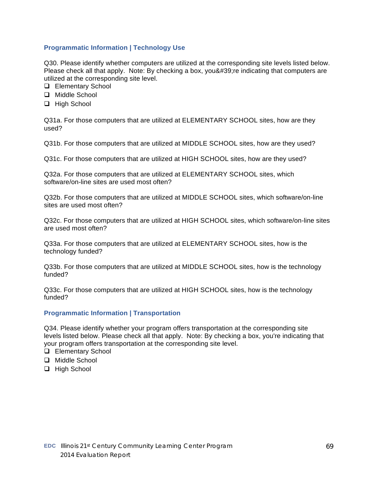#### **Programmatic Information | Technology Use**

Q30. Please identify whether computers are utilized at the corresponding site levels listed below. Please check all that apply. Note: By checking a box, you're indicating that computers are utilized at the corresponding site level.

- **Q** Elementary School
- $\Box$  Middle School
- □ High School

Q31a. For those computers that are utilized at ELEMENTARY SCHOOL sites, how are they used?

Q31b. For those computers that are utilized at MIDDLE SCHOOL sites, how are they used?

Q31c. For those computers that are utilized at HIGH SCHOOL sites, how are they used?

Q32a. For those computers that are utilized at ELEMENTARY SCHOOL sites, which software/on-line sites are used most often?

Q32b. For those computers that are utilized at MIDDLE SCHOOL sites, which software/on-line sites are used most often?

Q32c. For those computers that are utilized at HIGH SCHOOL sites, which software/on-line sites are used most often?

Q33a. For those computers that are utilized at ELEMENTARY SCHOOL sites, how is the technology funded?

Q33b. For those computers that are utilized at MIDDLE SCHOOL sites, how is the technology funded?

Q33c. For those computers that are utilized at HIGH SCHOOL sites, how is the technology funded?

#### **Programmatic Information | Transportation**

Q34. Please identify whether your program offers transportation at the corresponding site levels listed below. Please check all that apply. Note: By checking a box, you're indicating that your program offers transportation at the corresponding site level.

- **Q** Elementary School
- □ Middle School
- □ High School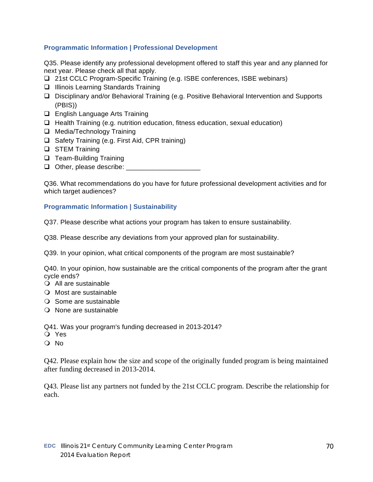### **Programmatic Information | Professional Development**

Q35. Please identify any professional development offered to staff this year and any planned for next year. Please check all that apply.

- □ 21st CCLC Program-Specific Training (e.g. ISBE conferences, ISBE webinars)
- **Q** Illinois Learning Standards Training
- □ Disciplinary and/or Behavioral Training (e.g. Positive Behavioral Intervention and Supports (PBIS))
- □ English Language Arts Training
- $\Box$  Health Training (e.g. nutrition education, fitness education, sexual education)
- □ Media/Technology Training
- $\Box$  Safety Training (e.g. First Aid, CPR training)
- **Q** STEM Training
- **Q** Team-Building Training
- $\Box$  Other, please describe:

Q36. What recommendations do you have for future professional development activities and for which target audiences?

#### **Programmatic Information | Sustainability**

Q37. Please describe what actions your program has taken to ensure sustainability.

Q38. Please describe any deviations from your approved plan for sustainability.

Q39. In your opinion, what critical components of the program are most sustainable?

Q40. In your opinion, how sustainable are the critical components of the program after the grant cycle ends?

- $\Omega$  All are sustainable
- $\Omega$  Most are sustainable
- $\Omega$  Some are sustainable
- $\Omega$  None are sustainable

Q41. Was your program's funding decreased in 2013-2014?

- O Yes
- $\Omega$  No

Q42. Please explain how the size and scope of the originally funded program is being maintained after funding decreased in 2013-2014.

Q43. Please list any partners not funded by the 21st CCLC program. Describe the relationship for each.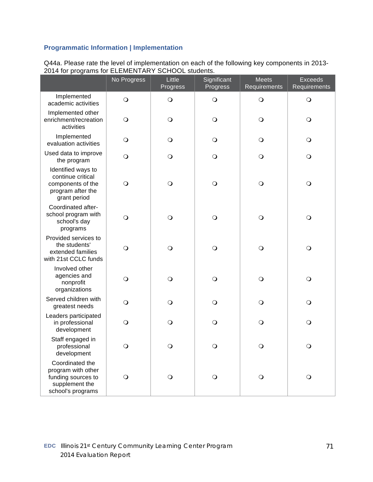### **Programmatic Information | Implementation**

|                                                                                                    | No Progress | Little<br>Progress | Significant<br>Progress | <b>Meets</b><br>Requirements | <b>Exceeds</b><br>Requirements |
|----------------------------------------------------------------------------------------------------|-------------|--------------------|-------------------------|------------------------------|--------------------------------|
| Implemented<br>academic activities                                                                 | $\bigcirc$  | $\circ$            | $\bigcirc$              | $\circ$                      | $\circ$                        |
| Implemented other<br>enrichment/recreation<br>activities                                           | $\bigcirc$  | $\circ$            | $\circ$                 | $\circ$                      | $\bigcirc$                     |
| Implemented<br>evaluation activities                                                               | $\bigcirc$  | $\circ$            | $\circ$                 | O                            | $\circ$                        |
| Used data to improve<br>the program                                                                | $\bigcirc$  | $\bigcirc$         | $\circ$                 | $\circ$                      | $\circ$                        |
| Identified ways to<br>continue critical<br>components of the<br>program after the<br>grant period  | $\bigcirc$  | $\bigcirc$         | $\circ$                 | $\circ$                      | $\circ$                        |
| Coordinated after-<br>school program with<br>school's day<br>programs                              | $\bigcirc$  | $\bigcirc$         | $\circ$                 | O                            | $\circ$                        |
| Provided services to<br>the students'<br>extended families<br>with 21st CCLC funds                 | $\circ$     | $\circ$            | $\circ$                 | $\circ$                      | $\circ$                        |
| Involved other<br>agencies and<br>nonprofit<br>organizations                                       | $\bigcirc$  | $\bigcirc$         | $\circ$                 | $\circ$                      | $\circ$                        |
| Served children with<br>greatest needs                                                             | $\bigcirc$  | $\bigcirc$         | $\bigcirc$              | $\circ$                      | $\circ$                        |
| Leaders participated<br>in professional<br>development                                             | $\bigcirc$  | $\circ$            | $\circ$                 | $\circ$                      | $\circ$                        |
| Staff engaged in<br>professional<br>development                                                    | ∩           | ∩                  | ∩                       | ∩                            | ∩                              |
| Coordinated the<br>program with other<br>funding sources to<br>supplement the<br>school's programs | $\bigcirc$  | $\circ$            | $\bigcirc$              | $\circ$                      | $\bigcirc$                     |

Q44a. Please rate the level of implementation on each of the following key components in 2013- 2014 for programs for ELEMENTARY SCHOOL students.

### **EDC** Illinois 21st Century Community Learning Center Program 2014 Evaluation Report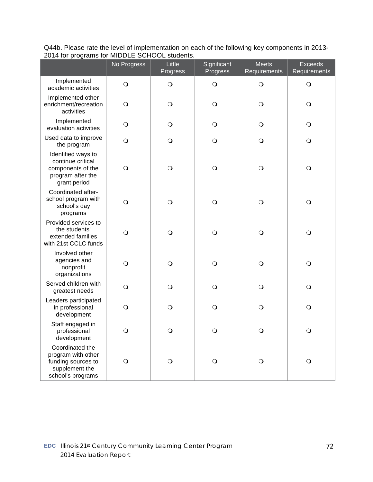|                                                                                                    | No Progress | Little<br>Progress | Significant<br>Progress | <b>Meets</b><br>Requirements | <b>Exceeds</b><br>Requirements |
|----------------------------------------------------------------------------------------------------|-------------|--------------------|-------------------------|------------------------------|--------------------------------|
| Implemented<br>academic activities                                                                 | $\circ$     | $\circ$            | $\bigcirc$              | $\bigcirc$                   | $\circ$                        |
| Implemented other<br>enrichment/recreation<br>activities                                           | $\bigcirc$  | $\circ$            | $\bigcirc$              | $\bigcirc$                   | $\circ$                        |
| Implemented<br>evaluation activities                                                               | $\bigcirc$  | $\circ$            | $\circ$                 | $\circ$                      | $\circ$                        |
| Used data to improve<br>the program                                                                | $\bigcirc$  | $\circ$            | $\circ$                 | $\circ$                      | $\circ$                        |
| Identified ways to<br>continue critical<br>components of the<br>program after the<br>grant period  | $\circ$     | $\circ$            | $\bigcirc$              | $\bigcirc$                   | $\circ$                        |
| Coordinated after-<br>school program with<br>school's day<br>programs                              | $\bigcirc$  | $\circ$            | $\circ$                 | $\circ$                      | $\circ$                        |
| Provided services to<br>the students'<br>extended families<br>with 21st CCLC funds                 | $\bigcirc$  | $\circ$            | $\circ$                 | $\circ$                      | $\circ$                        |
| Involved other<br>agencies and<br>nonprofit<br>organizations                                       | $\bigcirc$  | $\circ$            | $\circ$                 | $\circ$                      | $\circ$                        |
| Served children with<br>greatest needs                                                             | $\bigcirc$  | $\circ$            | $\circ$                 | $\circ$                      | $\circ$                        |
| Leaders participated<br>in professional<br>development                                             | $\circ$     | $\circ$            | $\circ$                 | $\circ$                      | $\circ$                        |
| Staff engaged in<br>professional<br>development                                                    | ∩           | ∩                  | ∩                       | ∩                            | ∩                              |
| Coordinated the<br>program with other<br>funding sources to<br>supplement the<br>school's programs | $\bigcirc$  | $\circ$            | $\bigcirc$              | $\bigcirc$                   | $\bigcirc$                     |

Q44b. Please rate the level of implementation on each of the following key components in 2013- 2014 for programs for MIDDLE SCHOOL students.

### **EDC** Illinois 21st Century Community Learning Center Program 2014 Evaluation Report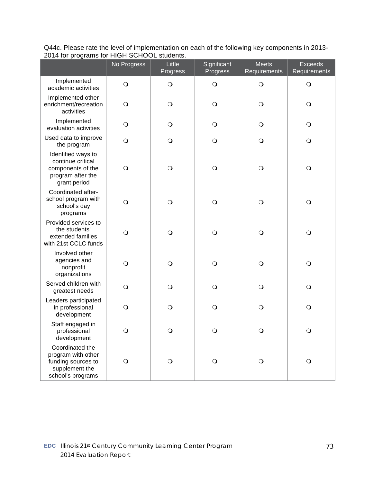|                                                                                                    | No Progress | Little<br>Progress | Significant<br>Progress | <b>Meets</b><br>Requirements | <b>Exceeds</b><br>Requirements |
|----------------------------------------------------------------------------------------------------|-------------|--------------------|-------------------------|------------------------------|--------------------------------|
| Implemented<br>academic activities                                                                 | $\bigcirc$  | $\circ$            | $\bigcirc$              | $\bigcirc$                   | $\bigcirc$                     |
| Implemented other<br>enrichment/recreation<br>activities                                           | $\bigcirc$  | $\circ$            | $\bigcirc$              | $\bigcirc$                   | $\circ$                        |
| Implemented<br>evaluation activities                                                               | $\circ$     | $\circ$            | $\circ$                 | $\circ$                      | $\circ$                        |
| Used data to improve<br>the program                                                                | $\bigcirc$  | $\circ$            | $\bigcirc$              | $\circ$                      | $\bigcirc$                     |
| Identified ways to<br>continue critical<br>components of the<br>program after the<br>grant period  | $\bigcirc$  | $\circ$            | $\bigcirc$              | $\bigcirc$                   | $\circ$                        |
| Coordinated after-<br>school program with<br>school's day<br>programs                              | $\circ$     | $\circ$            | $\circ$                 | $\circ$                      | $\circ$                        |
| Provided services to<br>the students'<br>extended families<br>with 21st CCLC funds                 | $\bigcirc$  | $\circ$            | $\bigcirc$              | $\bigcirc$                   | $\bigcirc$                     |
| Involved other<br>agencies and<br>nonprofit<br>organizations                                       | $\bigcirc$  | $\circ$            | $\bigcirc$              | $\circ$                      | $\circ$                        |
| Served children with<br>greatest needs                                                             | $\bigcirc$  | $\circ$            | $\bigcirc$              | $\circ$                      | $\circ$                        |
| Leaders participated<br>in professional<br>development                                             | $\bigcirc$  | $\circ$            | $\circ$                 | $\circ$                      | $\circ$                        |
| Staff engaged in<br>professional<br>development                                                    | $\Omega$    | ∩                  | $\Omega$                | $\Omega$                     | $\Omega$                       |
| Coordinated the<br>program with other<br>funding sources to<br>supplement the<br>school's programs | $\bigcirc$  | $\circ$            | $\bigcirc$              | $\bigcirc$                   | $\bigcirc$                     |

Q44c. Please rate the level of implementation on each of the following key components in 2013- 2014 for programs for HIGH SCHOOL students.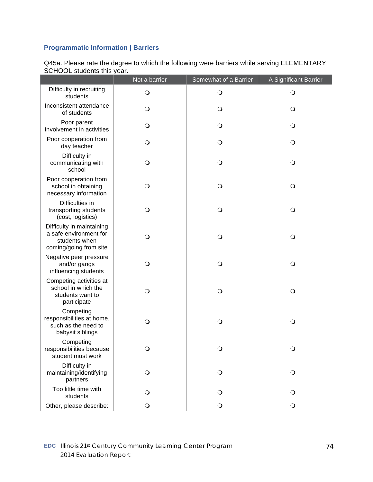# **Programmatic Information | Barriers**

|                            | Q45a. Please rate the degree to which the following were barriers while serving ELEMENTARY |  |
|----------------------------|--------------------------------------------------------------------------------------------|--|
| SCHOOL students this year. |                                                                                            |  |

|                                                                                                | Not a barrier | Somewhat of a Barrier | A Significant Barrier |
|------------------------------------------------------------------------------------------------|---------------|-----------------------|-----------------------|
| Difficulty in recruiting<br>students                                                           | $\bigcirc$    | $\bigcirc$            | $\bigcirc$            |
| Inconsistent attendance<br>of students                                                         | $\circ$       | $\circ$               | $\circ$               |
| Poor parent<br>involvement in activities                                                       | $\circ$       | $\circ$               | $\circ$               |
| Poor cooperation from<br>day teacher                                                           | $\bigcirc$    | $\circ$               | $\bigcirc$            |
| Difficulty in<br>communicating with<br>school                                                  | $\circ$       | $\bigcirc$            | $\bigcirc$            |
| Poor cooperation from<br>school in obtaining<br>necessary information                          | $\bigcirc$    | $\circ$               | $\circ$               |
| Difficulties in<br>transporting students<br>(cost, logistics)                                  | $\bigcirc$    | $\bigcirc$            | $\circ$               |
| Difficulty in maintaining<br>a safe environment for<br>students when<br>coming/going from site | $\circ$       | $\circ$               | $\circ$               |
| Negative peer pressure<br>and/or gangs<br>influencing students                                 | $\bigcirc$    | $\bigcirc$            | $\circ$               |
| Competing activities at<br>school in which the<br>students want to<br>participate              | $\circ$       | $\circ$               | $\circ$               |
| Competing<br>responsibilities at home,<br>such as the need to<br>babysit siblings              | $\circ$       | $\bigcirc$            | $\bigcirc$            |
| Competing<br>responsibilities because<br>student must work                                     |               |                       |                       |
| Difficulty in<br>maintaining/identifying<br>partners                                           | $\circ$       | $\circ$               | $\circ$               |
| Too little time with<br>students                                                               | $\circ$       | $\circ$               | O                     |
| Other, please describe:                                                                        | $\circ$       | $\bigcirc$            | $\bigcirc$            |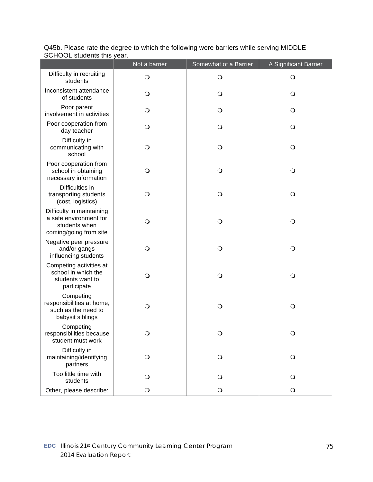|                                                                                                | Not a barrier | Somewhat of a Barrier | A Significant Barrier |
|------------------------------------------------------------------------------------------------|---------------|-----------------------|-----------------------|
| Difficulty in recruiting<br>students                                                           | $\bigcirc$    | $\bigcirc$            | $\circ$               |
| Inconsistent attendance<br>of students                                                         | $\circ$       | $\bigcirc$            | $\circ$               |
| Poor parent<br>involvement in activities                                                       | $\circ$       | $\bigcirc$            | $\circ$               |
| Poor cooperation from<br>day teacher                                                           | $\bigcirc$    | $\bigcirc$            | $\bigcirc$            |
| Difficulty in<br>communicating with<br>school                                                  | $\circ$       | $\circ$               | $\circ$               |
| Poor cooperation from<br>school in obtaining<br>necessary information                          | $\bigcirc$    | $\bigcirc$            | $\circ$               |
| Difficulties in<br>transporting students<br>(cost, logistics)                                  | $\circ$       | $\bigcirc$            | $\circ$               |
| Difficulty in maintaining<br>a safe environment for<br>students when<br>coming/going from site | $\bigcirc$    | $\bigcirc$            | $\circ$               |
| Negative peer pressure<br>and/or gangs<br>influencing students                                 | $\circ$       | $\circ$               | $\circ$               |
| Competing activities at<br>school in which the<br>students want to<br>participate              | $\circ$       | $\circ$               | $\circ$               |
| Competing<br>responsibilities at home,<br>such as the need to<br>babysit siblings              | $\bigcirc$    | $\circ$               | $\circ$               |
| Competing<br>responsibilities because<br>student must work                                     | O             | O                     | $\circ$               |
| Difficulty in<br>maintaining/identifying<br>partners                                           | $\bigcirc$    | $\bigcirc$            | $\bigcirc$            |
| Too little time with<br>students                                                               | $\circ$       | $\circ$               | $\circ$               |
| Other, please describe:                                                                        | $\bigcirc$    | $\bigcirc$            | $\bigcirc$            |

Q45b. Please rate the degree to which the following were barriers while serving MIDDLE SCHOOL students this year.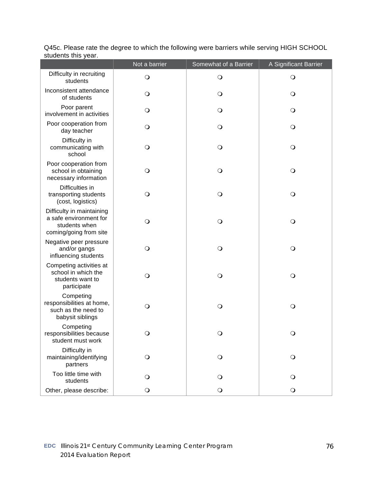|                                                                                                | Not a barrier | Somewhat of a Barrier | A Significant Barrier |
|------------------------------------------------------------------------------------------------|---------------|-----------------------|-----------------------|
| Difficulty in recruiting<br>students                                                           | $\bigcirc$    | $\bigcirc$            | $\circ$               |
| Inconsistent attendance<br>of students                                                         | $\circ$       | $\circ$               | $\circ$               |
| Poor parent<br>involvement in activities                                                       | $\bigcirc$    | $\bigcirc$            | $\bigcirc$            |
| Poor cooperation from<br>day teacher                                                           | $\circ$       | $\circ$               | $\circ$               |
| Difficulty in<br>communicating with<br>school                                                  | $\bigcirc$    | $\bigcirc$            | $\bigcirc$            |
| Poor cooperation from<br>school in obtaining<br>necessary information                          | $\circ$       | $\bigcirc$            | $\circ$               |
| Difficulties in<br>transporting students<br>(cost, logistics)                                  | $\circ$       | $\bigcirc$            | $\bigcirc$            |
| Difficulty in maintaining<br>a safe environment for<br>students when<br>coming/going from site | $\bigcirc$    | $\bigcirc$            | $\bigcirc$            |
| Negative peer pressure<br>and/or gangs<br>influencing students                                 | $\circ$       | $\circ$               | $\bigcirc$            |
| Competing activities at<br>school in which the<br>students want to<br>participate              | $\bigcirc$    | $\circ$               | $\circ$               |
| Competing<br>responsibilities at home,<br>such as the need to<br>babysit siblings              | $\circ$       | $\circ$               | $\bigcirc$            |
| Competing<br>responsibilities because<br>student must work                                     | $\bigcirc$    | $\circ$               | $\circ$               |
| Difficulty in<br>maintaining/identifying<br>partners                                           | $\circ$       | $\circ$               | $\circ$               |
| Too little time with<br>students                                                               | $\circ$       | $\circ$               | $\circ$               |
| Other, please describe:                                                                        | $\bigcirc$    | $\bigcirc$            | $\circ$               |

Q45c. Please rate the degree to which the following were barriers while serving HIGH SCHOOL students this year.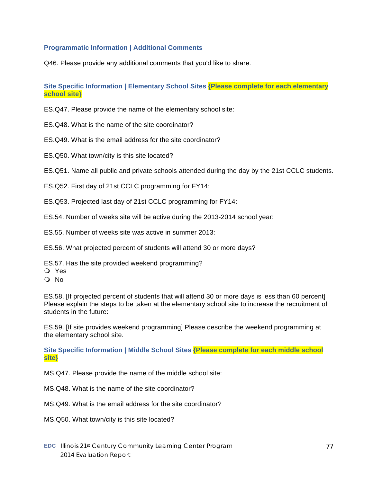#### **Programmatic Information | Additional Comments**

Q46. Please provide any additional comments that you'd like to share.

**Site Specific Information | Elementary School Sites {Please complete for each elementary school site}**

ES.Q47. Please provide the name of the elementary school site:

ES.Q48. What is the name of the site coordinator?

ES.Q49. What is the email address for the site coordinator?

ES.Q50. What town/city is this site located?

ES.Q51. Name all public and private schools attended during the day by the 21st CCLC students.

ES.Q52. First day of 21st CCLC programming for FY14:

ES.Q53. Projected last day of 21st CCLC programming for FY14:

ES.54. Number of weeks site will be active during the 2013-2014 school year:

ES.55. Number of weeks site was active in summer 2013:

ES.56. What projected percent of students will attend 30 or more days?

ES.57. Has the site provided weekend programming?

O Yes

O No

ES.58. [If projected percent of students that will attend 30 or more days is less than 60 percent] Please explain the steps to be taken at the elementary school site to increase the recruitment of students in the future:

ES.59. [If site provides weekend programming] Please describe the weekend programming at the elementary school site.

**Site Specific Information | Middle School Sites {Please complete for each middle school site}**

MS.Q47. Please provide the name of the middle school site:

MS.Q48. What is the name of the site coordinator?

MS.Q49. What is the email address for the site coordinator?

MS.Q50. What town/city is this site located?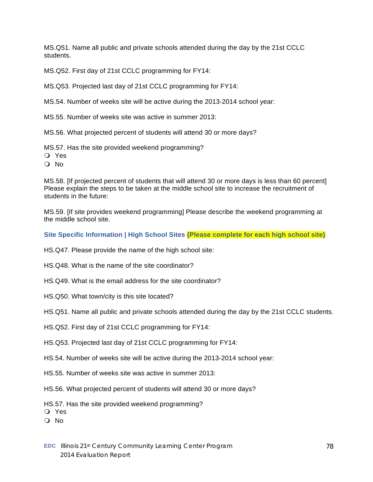MS.Q51. Name all public and private schools attended during the day by the 21st CCLC students.

MS.Q52. First day of 21st CCLC programming for FY14:

MS.Q53. Projected last day of 21st CCLC programming for FY14:

MS.54. Number of weeks site will be active during the 2013-2014 school year:

MS.55. Number of weeks site was active in summer 2013:

MS.56. What projected percent of students will attend 30 or more days?

MS.57. Has the site provided weekend programming?

- O Yes
- O No

MS.58. [If projected percent of students that will attend 30 or more days is less than 60 percent] Please explain the steps to be taken at the middle school site to increase the recruitment of students in the future:

MS.59. [If site provides weekend programming] Please describe the weekend programming at the middle school site.

**Site Specific Information | High School Sites {Please complete for each high school site}**

HS.Q47. Please provide the name of the high school site:

HS.Q48. What is the name of the site coordinator?

- HS.Q49. What is the email address for the site coordinator?
- HS.Q50. What town/city is this site located?

HS.Q51. Name all public and private schools attended during the day by the 21st CCLC students.

HS.Q52. First day of 21st CCLC programming for FY14:

HS.Q53. Projected last day of 21st CCLC programming for FY14:

HS.54. Number of weeks site will be active during the 2013-2014 school year:

HS.55. Number of weeks site was active in summer 2013:

HS.56. What projected percent of students will attend 30 or more days?

HS.57. Has the site provided weekend programming?

 $O$  Yes

- O No
- **EDC** Illinois 21st Century Community Learning Center Program 2014 Evaluation Report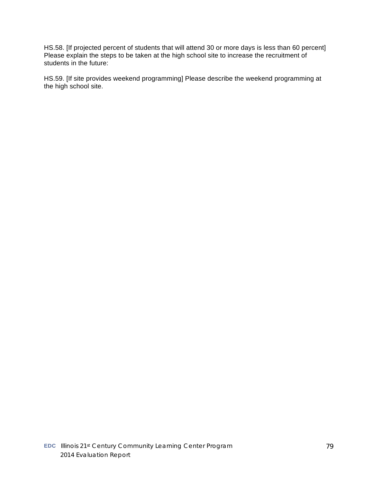HS.58. [If projected percent of students that will attend 30 or more days is less than 60 percent] Please explain the steps to be taken at the high school site to increase the recruitment of students in the future:

HS.59. [If site provides weekend programming] Please describe the weekend programming at the high school site.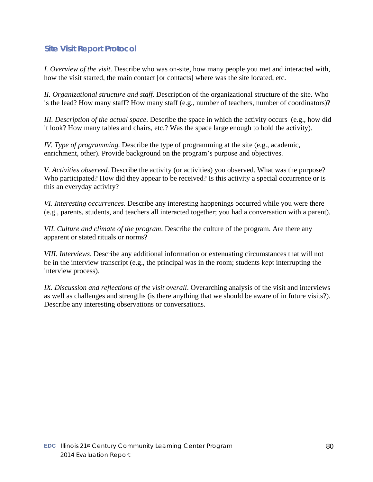# **Site Visit Report Protocol**

*I. Overview of the visit*. Describe who was on-site, how many people you met and interacted with, how the visit started, the main contact [or contacts] where was the site located, etc.

*II. Organizational structure and staff*. Description of the organizational structure of the site. Who is the lead? How many staff? How many staff (e.g., number of teachers, number of coordinators)?

*III. Description of the actual space*. Describe the space in which the activity occurs (e.g., how did it look? How many tables and chairs, etc.? Was the space large enough to hold the activity).

*IV. Type of programming.* Describe the type of programming at the site (e.g., academic, enrichment, other). Provide background on the program's purpose and objectives.

*V. Activities observed.* Describe the activity (or activities) you observed. What was the purpose? Who participated? How did they appear to be received? Is this activity a special occurrence or is this an everyday activity?

*VI. Interesting occurrences*. Describe any interesting happenings occurred while you were there (e.g., parents, students, and teachers all interacted together; you had a conversation with a parent).

*VII. Culture and climate of the program*. Describe the culture of the program. Are there any apparent or stated rituals or norms?

*VIII. Interviews*. Describe any additional information or extenuating circumstances that will not be in the interview transcript (e.g., the principal was in the room; students kept interrupting the interview process).

*IX. Discussion and reflections of the visit overall*. Overarching analysis of the visit and interviews as well as challenges and strengths (is there anything that we should be aware of in future visits?). Describe any interesting observations or conversations.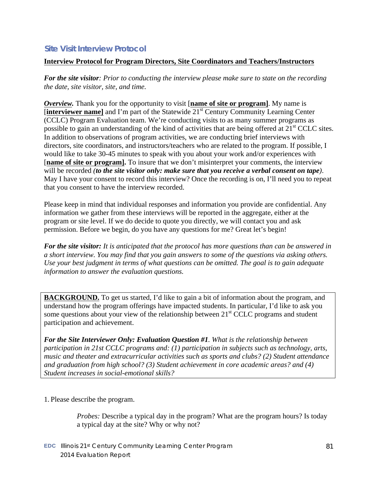# **Site Visit Interview Protocol**

#### **Interview Protocol for Program Directors, Site Coordinators and Teachers/Instructors**

*For the site visitor: Prior to conducting the interview please make sure to state on the recording the date, site visitor, site, and time.*

*Overview.* Thank you for the opportunity to visit [**name of site or program]**. My name is **[interviewer name]** and I'm part of the Statewide 21<sup>st</sup> Century Community Learning Center (CCLC) Program Evaluation team. We're conducting visits to as many summer programs as possible to gain an understanding of the kind of activities that are being offered at 21<sup>st</sup> CCLC sites. In addition to observations of program activities, we are conducting brief interviews with directors, site coordinators, and instructors/teachers who are related to the program. If possible, I would like to take 30-45 minutes to speak with you about your work and/or experiences with [**name of site or program].** To insure that we don't misinterpret your comments, the interview will be recorded *(to the site visitor only: make sure that you receive a verbal consent on tape)*. May I have your consent to record this interview? Once the recording is on, I'll need you to repeat that you consent to have the interview recorded.

Please keep in mind that individual responses and information you provide are confidential. Any information we gather from these interviews will be reported in the aggregate, either at the program or site level. If we do decide to quote you directly, we will contact you and ask permission. Before we begin, do you have any questions for me? Great let's begin!

*For the site visitor: It is anticipated that the protocol has more questions than can be answered in a short interview. You may find that you gain answers to some of the questions via asking others. Use your best judgment in terms of what questions can be omitted. The goal is to gain adequate information to answer the evaluation questions.*

**BACKGROUND.** To get us started, I'd like to gain a bit of information about the program, and understand how the program offerings have impacted students. In particular, I'd like to ask you some questions about your view of the relationship between  $21<sup>st</sup> CCLC$  programs and student participation and achievement.

*For the Site Interviewer Only: Evaluation Question #1. What is the relationship between participation in 21st CCLC programs and: (1) participation in subjects such as technology, arts, music and theater and extracurricular activities such as sports and clubs? (2) Student attendance and graduation from high school? (3) Student achievement in core academic areas? and (4) Student increases in social-emotional skills?*

1. Please describe the program.

*Probes:* Describe a typical day in the program? What are the program hours? Is today a typical day at the site? Why or why not?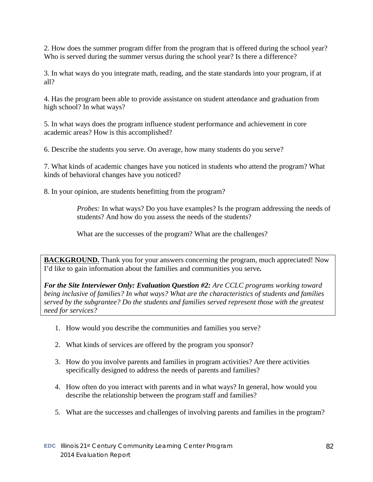2. How does the summer program differ from the program that is offered during the school year? Who is served during the summer versus during the school year? Is there a difference?

3. In what ways do you integrate math, reading, and the state standards into your program, if at all?

4. Has the program been able to provide assistance on student attendance and graduation from high school? In what ways?

5. In what ways does the program influence student performance and achievement in core academic areas? How is this accomplished?

6. Describe the students you serve. On average, how many students do you serve?

7. What kinds of academic changes have you noticed in students who attend the program? What kinds of behavioral changes have you noticed?

8. In your opinion, are students benefitting from the program?

*Probes:* In what ways? Do you have examples? Is the program addressing the needs of students? And how do you assess the needs of the students?

What are the successes of the program? What are the challenges?

**BACKGROUND.** Thank you for your answers concerning the program, much appreciated! Now I'd like to gain information about the families and communities you serve*.* 

*For the Site Interviewer Only: Evaluation Question #2: Are CCLC programs working toward being inclusive of families? In what ways? What are the characteristics of students and families served by the subgrantee? Do the students and families served represent those with the greatest need for services?*

- 1. How would you describe the communities and families you serve?
- 2. What kinds of services are offered by the program you sponsor?
- 3. How do you involve parents and families in program activities? Are there activities specifically designed to address the needs of parents and families?
- 4. How often do you interact with parents and in what ways? In general, how would you describe the relationship between the program staff and families?
- 5. What are the successes and challenges of involving parents and families in the program?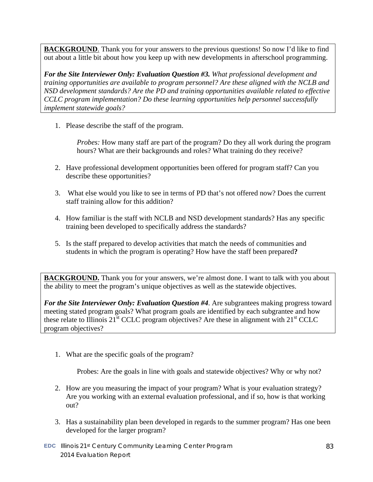**BACKGROUND**. Thank you for your answers to the previous questions! So now I'd like to find out about a little bit about how you keep up with new developments in afterschool programming.

*For the Site Interviewer Only: Evaluation Question #3. What professional development and training opportunities are available to program personnel? Are these aligned with the NCLB and NSD development standards? Are the PD and training opportunities available related to effective CCLC program implementation? Do these learning opportunities help personnel successfully implement statewide goals?*

1. Please describe the staff of the program.

*Probes:* How many staff are part of the program? Do they all work during the program hours? What are their backgrounds and roles? What training do they receive?

- 2. Have professional development opportunities been offered for program staff? Can you describe these opportunities?
- 3. What else would you like to see in terms of PD that's not offered now? Does the current staff training allow for this addition?
- 4. How familiar is the staff with NCLB and NSD development standards? Has any specific training been developed to specifically address the standards?
- 5. Is the staff prepared to develop activities that match the needs of communities and students in which the program is operating? How have the staff been prepared**?**

**BACKGROUND.** Thank you for your answers, we're almost done. I want to talk with you about the ability to meet the program's unique objectives as well as the statewide objectives.

*For the Site Interviewer Only: Evaluation Question #4*. Are subgrantees making progress toward meeting stated program goals? What program goals are identified by each subgrantee and how these relate to Illinois  $21^{st}$  CCLC program objectives? Are these in alignment with  $21^{st}$  CCLC program objectives?

1. What are the specific goals of the program?

Probes: Are the goals in line with goals and statewide objectives? Why or why not?

- 2. How are you measuring the impact of your program? What is your evaluation strategy? Are you working with an external evaluation professional, and if so, how is that working out?
- 3. Has a sustainability plan been developed in regards to the summer program? Has one been developed for the larger program?
- **EDC** Illinois 21st Century Community Learning Center Program 2014 Evaluation Report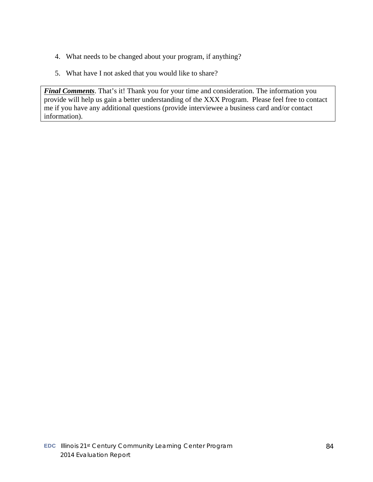- 4. What needs to be changed about your program, if anything?
- 5. What have I not asked that you would like to share?

*Final Comments*. That's it! Thank you for your time and consideration. The information you provide will help us gain a better understanding of the XXX Program. Please feel free to contact me if you have any additional questions (provide interviewee a business card and/or contact information).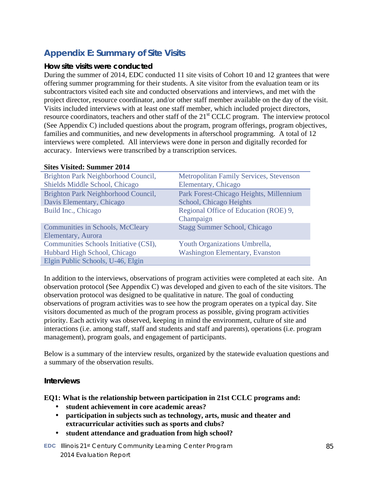# **Appendix E: Summary of Site Visits**

## **How site visits were conducted**

During the summer of 2014, EDC conducted 11 site visits of Cohort 10 and 12 grantees that were offering summer programming for their students. A site visitor from the evaluation team or its subcontractors visited each site and conducted observations and interviews, and met with the project director, resource coordinator, and/or other staff member available on the day of the visit. Visits included interviews with at least one staff member, which included project directors, resource coordinators, teachers and other staff of the 21<sup>st</sup> CCLC program. The interview protocol (See Appendix C) included questions about the program, program offerings, program objectives, families and communities, and new developments in afterschool programming. A total of 12 interviews were completed. All interviews were done in person and digitally recorded for accuracy. Interviews were transcribed by a transcription services.

| онсо твиса: очинно зот-                                               |                                                                       |
|-----------------------------------------------------------------------|-----------------------------------------------------------------------|
| Brighton Park Neighborhood Council,<br>Shields Middle School, Chicago | <b>Metropolitan Family Services, Stevenson</b><br>Elementary, Chicago |
| Brighton Park Neighborhood Council,                                   | Park Forest-Chicago Heights, Millennium                               |
| Davis Elementary, Chicago                                             | School, Chicago Heights                                               |
| Build Inc., Chicago                                                   | Regional Office of Education (ROE) 9,                                 |
|                                                                       | Champaign                                                             |
| <b>Communities in Schools, McCleary</b>                               | <b>Stagg Summer School, Chicago</b>                                   |
| <b>Elementary</b> , Aurora                                            |                                                                       |
| Communities Schools Initiative (CSI),                                 | Youth Organizations Umbrella,                                         |
| Hubbard High School, Chicago                                          | <b>Washington Elementary, Evanston</b>                                |
| Elgin Public Schools, U-46, Elgin                                     |                                                                       |

#### **Sites Visited: Summer 2014**

In addition to the interviews, observations of program activities were completed at each site. An observation protocol (See Appendix C) was developed and given to each of the site visitors. The observation protocol was designed to be qualitative in nature. The goal of conducting observations of program activities was to see how the program operates on a typical day. Site visitors documented as much of the program process as possible, giving program activities priority. Each activity was observed, keeping in mind the environment, culture of site and interactions (i.e. among staff, staff and students and staff and parents), operations (i.e. program management), program goals, and engagement of participants.

Below is a summary of the interview results, organized by the statewide evaluation questions and a summary of the observation results.

## **Interviews**

**EQ1: What is the relationship between participation in 21st CCLC programs and:** 

- **student achievement in core academic areas?**
- **participation in subjects such as technology, arts, music and theater and extracurricular activities such as sports and clubs?**
- **student attendance and graduation from high school?**
- **EDC** Illinois 21st Century Community Learning Center Program 2014 Evaluation Report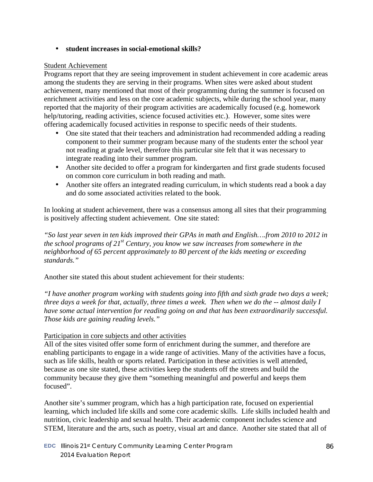• **student increases in social-emotional skills?**

## Student Achievement

Programs report that they are seeing improvement in student achievement in core academic areas among the students they are serving in their programs. When sites were asked about student achievement, many mentioned that most of their programming during the summer is focused on enrichment activities and less on the core academic subjects, while during the school year, many reported that the majority of their program activities are academically focused (e.g. homework help/tutoring, reading activities, science focused activities etc.). However, some sites were offering academically focused activities in response to specific needs of their students.

- One site stated that their teachers and administration had recommended adding a reading component to their summer program because many of the students enter the school year not reading at grade level, therefore this particular site felt that it was necessary to integrate reading into their summer program.
- Another site decided to offer a program for kindergarten and first grade students focused on common core curriculum in both reading and math.
- Another site offers an integrated reading curriculum, in which students read a book a day and do some associated activities related to the book.

In looking at student achievement, there was a consensus among all sites that their programming is positively affecting student achievement. One site stated:

*"So last year seven in ten kids improved their GPAs in math and English….from 2010 to 2012 in the school programs of 21st Century, you know we saw increases from somewhere in the neighborhood of 65 percent approximately to 80 percent of the kids meeting or exceeding standards."*

Another site stated this about student achievement for their students:

*"I have another program working with students going into fifth and sixth grade two days a week; three days a week for that, actually, three times a week. Then when we do the -- almost daily I have some actual intervention for reading going on and that has been extraordinarily successful. Those kids are gaining reading levels."* 

## Participation in core subjects and other activities

All of the sites visited offer some form of enrichment during the summer, and therefore are enabling participants to engage in a wide range of activities. Many of the activities have a focus, such as life skills, health or sports related. Participation in these activities is well attended, because as one site stated, these activities keep the students off the streets and build the community because they give them "something meaningful and powerful and keeps them focused".

Another site's summer program, which has a high participation rate, focused on experiential learning, which included life skills and some core academic skills. Life skills included health and nutrition, civic leadership and sexual health. Their academic component includes science and STEM, literature and the arts, such as poetry, visual art and dance. Another site stated that all of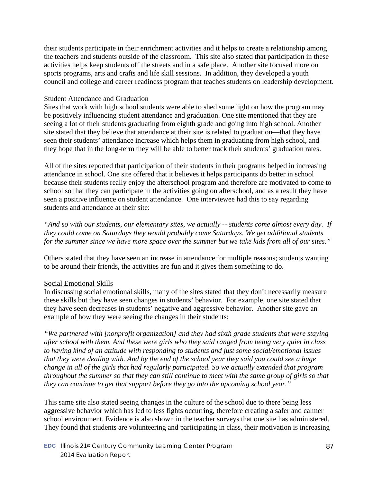their students participate in their enrichment activities and it helps to create a relationship among the teachers and students outside of the classroom. This site also stated that participation in these activities helps keep students off the streets and in a safe place. Another site focused more on sports programs, arts and crafts and life skill sessions. In addition, they developed a youth council and college and career readiness program that teaches students on leadership development.

#### Student Attendance and Graduation

Sites that work with high school students were able to shed some light on how the program may be positively influencing student attendance and graduation. One site mentioned that they are seeing a lot of their students graduating from eighth grade and going into high school. Another site stated that they believe that attendance at their site is related to graduation—that they have seen their students' attendance increase which helps them in graduating from high school, and they hope that in the long-term they will be able to better track their students' graduation rates.

All of the sites reported that participation of their students in their programs helped in increasing attendance in school. One site offered that it believes it helps participants do better in school because their students really enjoy the afterschool program and therefore are motivated to come to school so that they can participate in the activities going on afterschool, and as a result they have seen a positive influence on student attendance. One interviewee had this to say regarding students and attendance at their site:

*"And so with our students, our elementary sites, we actually -- students come almost every day. If they could come on Saturdays they would probably come Saturdays. We get additional students for the summer since we have more space over the summer but we take kids from all of our sites."* 

Others stated that they have seen an increase in attendance for multiple reasons; students wanting to be around their friends, the activities are fun and it gives them something to do.

#### Social Emotional Skills

In discussing social emotional skills, many of the sites stated that they don't necessarily measure these skills but they have seen changes in students' behavior. For example, one site stated that they have seen decreases in students' negative and aggressive behavior. Another site gave an example of how they were seeing the changes in their students:

*"We partnered with [nonprofit organization] and they had sixth grade students that were staying after school with them. And these were girls who they said ranged from being very quiet in class to having kind of an attitude with responding to students and just some social/emotional issues that they were dealing with. And by the end of the school year they said you could see a huge change in all of the girls that had regularly participated. So we actually extended that program throughout the summer so that they can still continue to meet with the same group of girls so that they can continue to get that support before they go into the upcoming school year."* 

This same site also stated seeing changes in the culture of the school due to there being less aggressive behavior which has led to less fights occurring, therefore creating a safer and calmer school environment. Evidence is also shown in the teacher surveys that one site has administered. They found that students are volunteering and participating in class, their motivation is increasing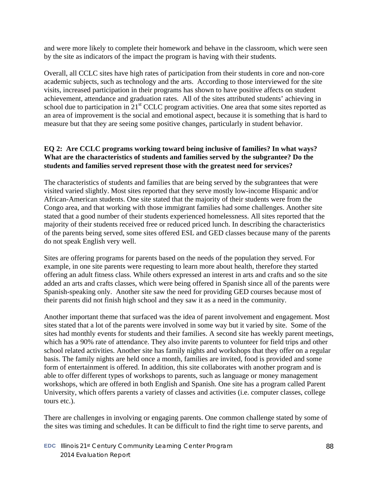and were more likely to complete their homework and behave in the classroom, which were seen by the site as indicators of the impact the program is having with their students.

Overall, all CCLC sites have high rates of participation from their students in core and non-core academic subjects, such as technology and the arts. According to those interviewed for the site visits, increased participation in their programs has shown to have positive affects on student achievement, attendance and graduation rates. All of the sites attributed students' achieving in school due to participation in 21<sup>st</sup> CCLC program activities. One area that some sites reported as an area of improvement is the social and emotional aspect, because it is something that is hard to measure but that they are seeing some positive changes, particularly in student behavior.

### **EQ 2: Are CCLC programs working toward being inclusive of families? In what ways? What are the characteristics of students and families served by the subgrantee? Do the students and families served represent those with the greatest need for services?**

The characteristics of students and families that are being served by the subgrantees that were visited varied slightly. Most sites reported that they serve mostly low-income Hispanic and/or African-American students. One site stated that the majority of their students were from the Congo area, and that working with those immigrant families had some challenges. Another site stated that a good number of their students experienced homelessness. All sites reported that the majority of their students received free or reduced priced lunch. In describing the characteristics of the parents being served, some sites offered ESL and GED classes because many of the parents do not speak English very well.

Sites are offering programs for parents based on the needs of the population they served. For example, in one site parents were requesting to learn more about health, therefore they started offering an adult fitness class. While others expressed an interest in arts and crafts and so the site added an arts and crafts classes, which were being offered in Spanish since all of the parents were Spanish-speaking only. Another site saw the need for providing GED courses because most of their parents did not finish high school and they saw it as a need in the community.

Another important theme that surfaced was the idea of parent involvement and engagement. Most sites stated that a lot of the parents were involved in some way but it varied by site. Some of the sites had monthly events for students and their families. A second site has weekly parent meetings, which has a 90% rate of attendance. They also invite parents to volunteer for field trips and other school related activities. Another site has family nights and workshops that they offer on a regular basis. The family nights are held once a month, families are invited, food is provided and some form of entertainment is offered. In addition, this site collaborates with another program and is able to offer different types of workshops to parents, such as language or money management workshops, which are offered in both English and Spanish. One site has a program called Parent University, which offers parents a variety of classes and activities (i.e. computer classes, college tours etc.).

There are challenges in involving or engaging parents. One common challenge stated by some of the sites was timing and schedules. It can be difficult to find the right time to serve parents, and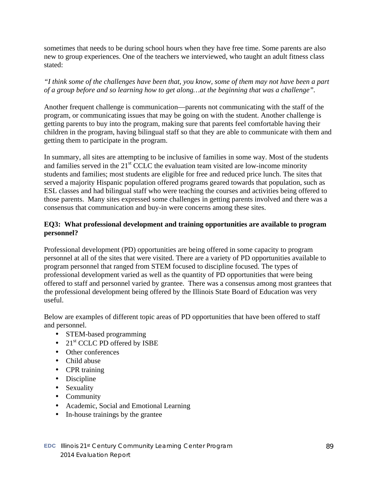sometimes that needs to be during school hours when they have free time. Some parents are also new to group experiences. One of the teachers we interviewed, who taught an adult fitness class stated:

*"I think some of the challenges have been that, you know, some of them may not have been a part of a group before and so learning how to get along…at the beginning that was a challenge".*

Another frequent challenge is communication—parents not communicating with the staff of the program, or communicating issues that may be going on with the student. Another challenge is getting parents to buy into the program, making sure that parents feel comfortable having their children in the program, having bilingual staff so that they are able to communicate with them and getting them to participate in the program.

In summary, all sites are attempting to be inclusive of families in some way. Most of the students and families served in the  $21<sup>st</sup>$  CCLC the evaluation team visited are low-income minority students and families; most students are eligible for free and reduced price lunch. The sites that served a majority Hispanic population offered programs geared towards that population, such as ESL classes and had bilingual staff who were teaching the courses and activities being offered to those parents. Many sites expressed some challenges in getting parents involved and there was a consensus that communication and buy-in were concerns among these sites.

## **EQ3: What professional development and training opportunities are available to program personnel?**

Professional development (PD) opportunities are being offered in some capacity to program personnel at all of the sites that were visited. There are a variety of PD opportunities available to program personnel that ranged from STEM focused to discipline focused. The types of professional development varied as well as the quantity of PD opportunities that were being offered to staff and personnel varied by grantee. There was a consensus among most grantees that the professional development being offered by the Illinois State Board of Education was very useful.

Below are examples of different topic areas of PD opportunities that have been offered to staff and personnel.

- STEM-based programming
- $21^{\text{st}}$  CCLC PD offered by ISBE
- Other conferences
- Child abuse
- CPR training
- Discipline
- Sexuality
- Community
- Academic, Social and Emotional Learning
- In-house trainings by the grantee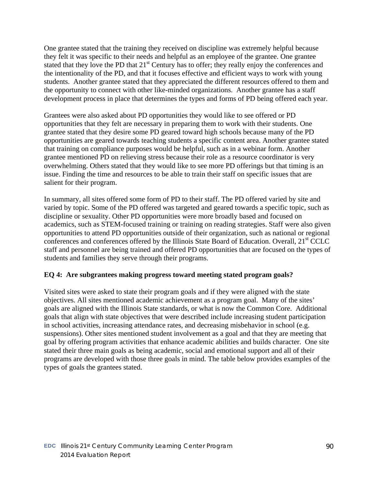One grantee stated that the training they received on discipline was extremely helpful because they felt it was specific to their needs and helpful as an employee of the grantee. One grantee stated that they love the PD that  $21<sup>st</sup>$  Century has to offer; they really enjoy the conferences and the intentionality of the PD, and that it focuses effective and efficient ways to work with young students. Another grantee stated that they appreciated the different resources offered to them and the opportunity to connect with other like-minded organizations. Another grantee has a staff development process in place that determines the types and forms of PD being offered each year.

Grantees were also asked about PD opportunities they would like to see offered or PD opportunities that they felt are necessary in preparing them to work with their students. One grantee stated that they desire some PD geared toward high schools because many of the PD opportunities are geared towards teaching students a specific content area. Another grantee stated that training on compliance purposes would be helpful, such as in a webinar form. Another grantee mentioned PD on relieving stress because their role as a resource coordinator is very overwhelming. Others stated that they would like to see more PD offerings but that timing is an issue. Finding the time and resources to be able to train their staff on specific issues that are salient for their program.

In summary, all sites offered some form of PD to their staff. The PD offered varied by site and varied by topic. Some of the PD offered was targeted and geared towards a specific topic, such as discipline or sexuality. Other PD opportunities were more broadly based and focused on academics, such as STEM-focused training or training on reading strategies. Staff were also given opportunities to attend PD opportunities outside of their organization, such as national or regional conferences and conferences offered by the Illinois State Board of Education. Overall, 21<sup>st</sup> CCLC staff and personnel are being trained and offered PD opportunities that are focused on the types of students and families they serve through their programs.

# **EQ 4: Are subgrantees making progress toward meeting stated program goals?**

Visited sites were asked to state their program goals and if they were aligned with the state objectives. All sites mentioned academic achievement as a program goal. Many of the sites' goals are aligned with the Illinois State standards, or what is now the Common Core. Additional goals that align with state objectives that were described include increasing student participation in school activities, increasing attendance rates, and decreasing misbehavior in school (e.g. suspensions). Other sites mentioned student involvement as a goal and that they are meeting that goal by offering program activities that enhance academic abilities and builds character. One site stated their three main goals as being academic, social and emotional support and all of their programs are developed with those three goals in mind. The table below provides examples of the types of goals the grantees stated.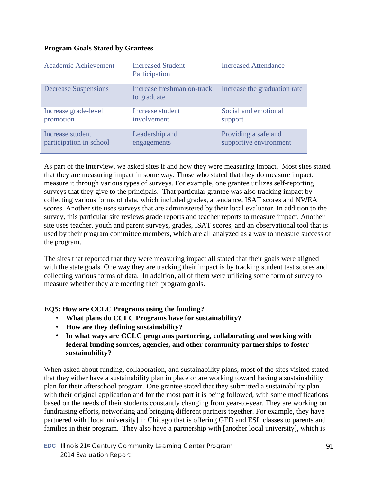## **Program Goals Stated by Grantees**

| <b>Academic Achievement</b> | <b>Increased Student</b><br>Participation | <b>Increased Attendance</b>  |
|-----------------------------|-------------------------------------------|------------------------------|
| <b>Decrease Suspensions</b> | Increase freshman on-track<br>to graduate | Increase the graduation rate |
| Increase grade-level        | Increase student                          | Social and emotional         |
| promotion                   | involvement                               | support                      |
| Increase student            | Leadership and                            | Providing a safe and         |
| participation in school     | engagements                               | supportive environment       |

As part of the interview, we asked sites if and how they were measuring impact. Most sites stated that they are measuring impact in some way. Those who stated that they do measure impact, measure it through various types of surveys. For example, one grantee utilizes self-reporting surveys that they give to the principals. That particular grantee was also tracking impact by collecting various forms of data, which included grades, attendance, ISAT scores and NWEA scores. Another site uses surveys that are administered by their local evaluator. In addition to the survey, this particular site reviews grade reports and teacher reports to measure impact. Another site uses teacher, youth and parent surveys, grades, ISAT scores, and an observational tool that is used by their program committee members, which are all analyzed as a way to measure success of the program.

The sites that reported that they were measuring impact all stated that their goals were aligned with the state goals. One way they are tracking their impact is by tracking student test scores and collecting various forms of data. In addition, all of them were utilizing some form of survey to measure whether they are meeting their program goals.

# **EQ5: How are CCLC Programs using the funding?**

- **What plans do CCLC Programs have for sustainability?**
- **How are they defining sustainability?**
- **In what ways are CCLC programs partnering, collaborating and working with federal funding sources, agencies, and other community partnerships to foster sustainability?**

When asked about funding, collaboration, and sustainability plans, most of the sites visited stated that they either have a sustainability plan in place or are working toward having a sustainability plan for their afterschool program. One grantee stated that they submitted a sustainability plan with their original application and for the most part it is being followed, with some modifications based on the needs of their students constantly changing from year-to-year. They are working on fundraising efforts, networking and bringing different partners together. For example, they have partnered with [local university] in Chicago that is offering GED and ESL classes to parents and families in their program. They also have a partnership with [another local university], which is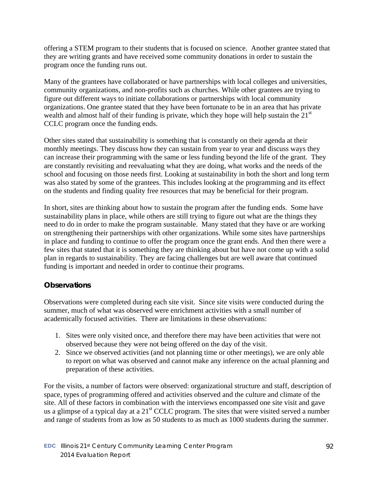offering a STEM program to their students that is focused on science. Another grantee stated that they are writing grants and have received some community donations in order to sustain the program once the funding runs out.

Many of the grantees have collaborated or have partnerships with local colleges and universities, community organizations, and non-profits such as churches. While other grantees are trying to figure out different ways to initiate collaborations or partnerships with local community organizations. One grantee stated that they have been fortunate to be in an area that has private wealth and almost half of their funding is private, which they hope will help sustain the  $21<sup>st</sup>$ CCLC program once the funding ends.

Other sites stated that sustainability is something that is constantly on their agenda at their monthly meetings. They discuss how they can sustain from year to year and discuss ways they can increase their programming with the same or less funding beyond the life of the grant. They are constantly revisiting and reevaluating what they are doing, what works and the needs of the school and focusing on those needs first. Looking at sustainability in both the short and long term was also stated by some of the grantees. This includes looking at the programming and its effect on the students and finding quality free resources that may be beneficial for their program.

In short, sites are thinking about how to sustain the program after the funding ends. Some have sustainability plans in place, while others are still trying to figure out what are the things they need to do in order to make the program sustainable. Many stated that they have or are working on strengthening their partnerships with other organizations. While some sites have partnerships in place and funding to continue to offer the program once the grant ends. And then there were a few sites that stated that it is something they are thinking about but have not come up with a solid plan in regards to sustainability. They are facing challenges but are well aware that continued funding is important and needed in order to continue their programs.

# **Observations**

Observations were completed during each site visit. Since site visits were conducted during the summer, much of what was observed were enrichment activities with a small number of academically focused activities. There are limitations in these observations:

- 1. Sites were only visited once, and therefore there may have been activities that were not observed because they were not being offered on the day of the visit.
- 2. Since we observed activities (and not planning time or other meetings), we are only able to report on what was observed and cannot make any inference on the actual planning and preparation of these activities.

For the visits, a number of factors were observed: organizational structure and staff, description of space, types of programming offered and activities observed and the culture and climate of the site. All of these factors in combination with the interviews encompassed one site visit and gave us a glimpse of a typical day at a 21<sup>st</sup> CCLC program. The sites that were visited served a number and range of students from as low as 50 students to as much as 1000 students during the summer.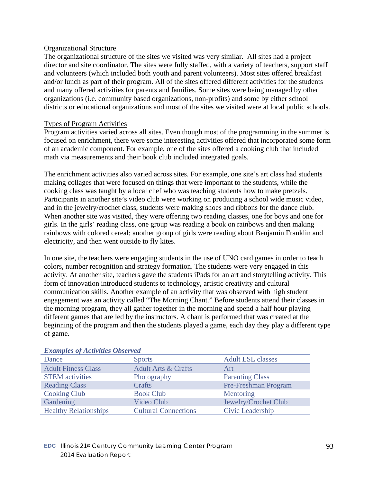#### Organizational Structure

The organizational structure of the sites we visited was very similar. All sites had a project director and site coordinator. The sites were fully staffed, with a variety of teachers, support staff and volunteers (which included both youth and parent volunteers). Most sites offered breakfast and/or lunch as part of their program. All of the sites offered different activities for the students and many offered activities for parents and families. Some sites were being managed by other organizations (i.e. community based organizations, non-profits) and some by either school districts or educational organizations and most of the sites we visited were at local public schools.

#### Types of Program Activities

Program activities varied across all sites. Even though most of the programming in the summer is focused on enrichment, there were some interesting activities offered that incorporated some form of an academic component. For example, one of the sites offered a cooking club that included math via measurements and their book club included integrated goals.

The enrichment activities also varied across sites. For example, one site's art class had students making collages that were focused on things that were important to the students, while the cooking class was taught by a local chef who was teaching students how to make pretzels. Participants in another site's video club were working on producing a school wide music video, and in the jewelry/crochet class, students were making shoes and ribbons for the dance club. When another site was visited, they were offering two reading classes, one for boys and one for girls. In the girls' reading class, one group was reading a book on rainbows and then making rainbows with colored cereal; another group of girls were reading about Benjamin Franklin and electricity, and then went outside to fly kites.

In one site, the teachers were engaging students in the use of UNO card games in order to teach colors, number recognition and strategy formation. The students were very engaged in this activity. At another site, teachers gave the students iPads for an art and storytelling activity. This form of innovation introduced students to technology, artistic creativity and cultural communication skills. Another example of an activity that was observed with high student engagement was an activity called "The Morning Chant." Before students attend their classes in the morning program, they all gather together in the morning and spend a half hour playing different games that are led by the instructors. A chant is performed that was created at the beginning of the program and then the students played a game, each day they play a different type of game.

| Dance                        | <b>Sports</b>                  | <b>Adult ESL classes</b> |
|------------------------------|--------------------------------|--------------------------|
| <b>Adult Fitness Class</b>   | <b>Adult Arts &amp; Crafts</b> | Art                      |
| <b>STEM</b> activities       | Photography                    | <b>Parenting Class</b>   |
| <b>Reading Class</b>         | Crafts                         | Pre-Freshman Program     |
| <b>Cooking Club</b>          | <b>Book Club</b>               | Mentoring                |
| Gardening                    | Video Club                     | Jewelry/Crochet Club     |
| <b>Healthy Relationships</b> | <b>Cultural Connections</b>    | Civic Leadership         |

#### *Examples of Activities Observed*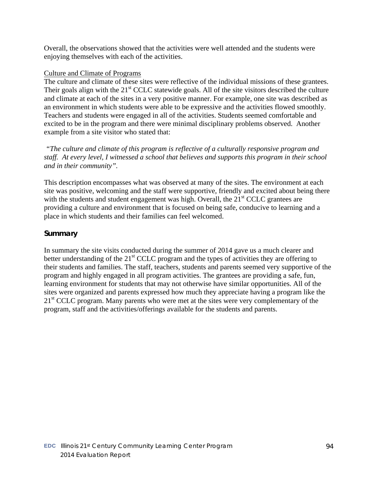Overall, the observations showed that the activities were well attended and the students were enjoying themselves with each of the activities.

#### Culture and Climate of Programs

The culture and climate of these sites were reflective of the individual missions of these grantees. Their goals align with the 21<sup>st</sup> CCLC statewide goals. All of the site visitors described the culture and climate at each of the sites in a very positive manner. For example, one site was described as an environment in which students were able to be expressive and the activities flowed smoothly. Teachers and students were engaged in all of the activities. Students seemed comfortable and excited to be in the program and there were minimal disciplinary problems observed. Another example from a site visitor who stated that:

*"The culture and climate of this program is reflective of a culturally responsive program and staff. At every level, I witnessed a school that believes and supports this program in their school and in their community".*

This description encompasses what was observed at many of the sites. The environment at each site was positive, welcoming and the staff were supportive, friendly and excited about being there with the students and student engagement was high. Overall, the  $21<sup>st</sup> CCLC$  grantees are providing a culture and environment that is focused on being safe, conducive to learning and a place in which students and their families can feel welcomed.

#### **Summary**

In summary the site visits conducted during the summer of 2014 gave us a much clearer and better understanding of the 21<sup>st</sup> CCLC program and the types of activities they are offering to their students and families. The staff, teachers, students and parents seemed very supportive of the program and highly engaged in all program activities. The grantees are providing a safe, fun, learning environment for students that may not otherwise have similar opportunities. All of the sites were organized and parents expressed how much they appreciate having a program like the 21<sup>st</sup> CCLC program. Many parents who were met at the sites were very complementary of the program, staff and the activities/offerings available for the students and parents.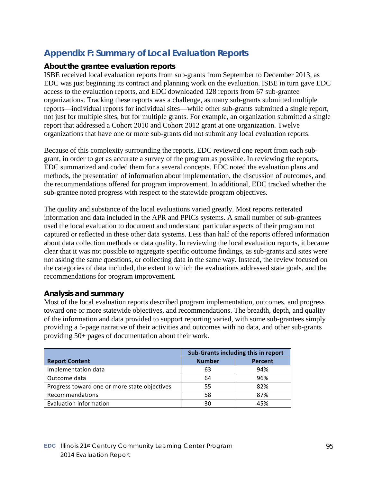# **Appendix F: Summary of Local Evaluation Reports**

## **About the grantee evaluation reports**

ISBE received local evaluation reports from sub-grants from September to December 2013, as EDC was just beginning its contract and planning work on the evaluation. ISBE in turn gave EDC access to the evaluation reports, and EDC downloaded 128 reports from 67 sub-grantee organizations. Tracking these reports was a challenge, as many sub-grants submitted multiple reports—individual reports for individual sites—while other sub-grants submitted a single report, not just for multiple sites, but for multiple grants. For example, an organization submitted a single report that addressed a Cohort 2010 and Cohort 2012 grant at one organization. Twelve organizations that have one or more sub-grants did not submit any local evaluation reports.

Because of this complexity surrounding the reports, EDC reviewed one report from each subgrant, in order to get as accurate a survey of the program as possible. In reviewing the reports, EDC summarized and coded them for a several concepts. EDC noted the evaluation plans and methods, the presentation of information about implementation, the discussion of outcomes, and the recommendations offered for program improvement. In additional, EDC tracked whether the sub-grantee noted progress with respect to the statewide program objectives.

The quality and substance of the local evaluations varied greatly. Most reports reiterated information and data included in the APR and PPICs systems. A small number of sub-grantees used the local evaluation to document and understand particular aspects of their program not captured or reflected in these other data systems. Less than half of the reports offered information about data collection methods or data quality. In reviewing the local evaluation reports, it became clear that it was not possible to aggregate specific outcome findings, as sub-grants and sites were not asking the same questions, or collecting data in the same way. Instead, the review focused on the categories of data included, the extent to which the evaluations addressed state goals, and the recommendations for program improvement.

## **Analysis and summary**

Most of the local evaluation reports described program implementation, outcomes, and progress toward one or more statewide objectives, and recommendations. The breadth, depth, and quality of the information and data provided to support reporting varied, with some sub-grantees simply providing a 5-page narrative of their activities and outcomes with no data, and other sub-grants providing 50+ pages of documentation about their work.

|                                              | Sub-Grants including this in report |                |
|----------------------------------------------|-------------------------------------|----------------|
| <b>Report Content</b>                        | <b>Number</b>                       | <b>Percent</b> |
| Implementation data                          | 63                                  | 94%            |
| Outcome data                                 | 64                                  | 96%            |
| Progress toward one or more state objectives | 55                                  | 82%            |
| Recommendations                              | 58                                  | 87%            |
| Evaluation information                       | 30                                  | 45%            |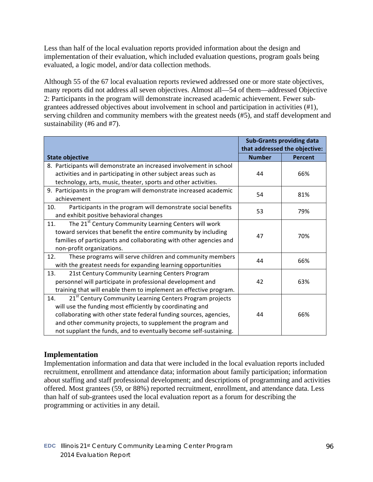Less than half of the local evaluation reports provided information about the design and implementation of their evaluation, which included evaluation questions, program goals being evaluated, a logic model, and/or data collection methods.

Although 55 of the 67 local evaluation reports reviewed addressed one or more state objectives, many reports did not address all seven objectives. Almost all—54 of them—addressed Objective 2: Participants in the program will demonstrate increased academic achievement. Fewer subgrantees addressed objectives about involvement in school and participation in activities (#1), serving children and community members with the greatest needs (#5), and staff development and sustainability (#6 and #7).

|                                                                             | <b>Sub-Grants providing data</b><br>that addressed the objective: |                |
|-----------------------------------------------------------------------------|-------------------------------------------------------------------|----------------|
| <b>State objective</b>                                                      | <b>Number</b>                                                     | <b>Percent</b> |
| 8. Participants will demonstrate an increased involvement in school         |                                                                   |                |
| activities and in participating in other subject areas such as              | 44                                                                | 66%            |
| technology, arts, music, theater, sports and other activities.              |                                                                   |                |
| 9. Participants in the program will demonstrate increased academic          | 54                                                                | 81%            |
| achievement                                                                 |                                                                   |                |
| 10.<br>Participants in the program will demonstrate social benefits         | 53                                                                | 79%            |
| and exhibit positive behavioral changes                                     |                                                                   |                |
| The 21 <sup>st</sup> Century Community Learning Centers will work<br>11.    |                                                                   |                |
| toward services that benefit the entire community by including              | 47                                                                | 70%            |
| families of participants and collaborating with other agencies and          |                                                                   |                |
| non-profit organizations.                                                   |                                                                   |                |
| These programs will serve children and community members<br>12.             | 44                                                                | 66%            |
| with the greatest needs for expanding learning opportunities                |                                                                   |                |
| 21st Century Community Learning Centers Program<br>13.                      |                                                                   |                |
| personnel will participate in professional development and                  | 42                                                                | 63%            |
| training that will enable them to implement an effective program.           |                                                                   |                |
| 21 <sup>st</sup> Century Community Learning Centers Program projects<br>14. |                                                                   |                |
| will use the funding most efficiently by coordinating and                   |                                                                   |                |
| collaborating with other state federal funding sources, agencies,           | 44                                                                | 66%            |
| and other community projects, to supplement the program and                 |                                                                   |                |
| not supplant the funds, and to eventually become self-sustaining.           |                                                                   |                |

# **Implementation**

Implementation information and data that were included in the local evaluation reports included recruitment, enrollment and attendance data; information about family participation; information about staffing and staff professional development; and descriptions of programming and activities offered. Most grantees (59, or 88%) reported recruitment, enrollment, and attendance data. Less than half of sub-grantees used the local evaluation report as a forum for describing the programming or activities in any detail.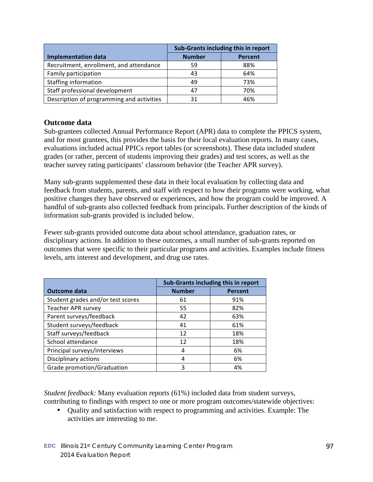|                                           | Sub-Grants including this in report |         |
|-------------------------------------------|-------------------------------------|---------|
| <b>Implementation data</b>                | <b>Number</b>                       | Percent |
| Recruitment, enrollment, and attendance   | 59                                  | 88%     |
| Family participation                      | 43                                  | 64%     |
| <b>Staffing information</b>               | 49                                  | 73%     |
| Staff professional development            | 47                                  | 70%     |
| Description of programming and activities | 31                                  | 46%     |

## **Outcome data**

Sub-grantees collected Annual Performance Report (APR) data to complete the PPICS system, and for most grantees, this provides the basis for their local evaluation reports. In many cases, evaluations included actual PPICs report tables (or screenshots). These data included student grades (or rather, percent of students improving their grades) and test scores, as well as the teacher survey rating participants' classroom behavior (the Teacher APR survey).

Many sub-grants supplemented these data in their local evaluation by collecting data and feedback from students, parents, and staff with respect to how their programs were working, what positive changes they have observed or experiences, and how the program could be improved. A handful of sub-grants also collected feedback from principals. Further description of the kinds of information sub-grants provided is included below.

Fewer sub-grants provided outcome data about school attendance, graduation rates, or disciplinary actions. In addition to these outcomes, a small number of sub-grants reported on outcomes that were specific to their particular programs and activities. Examples include fitness levels, arts interest and development, and drug use rates.

|                                   | Sub-Grants including this in report |                |
|-----------------------------------|-------------------------------------|----------------|
| <b>Outcome data</b>               | <b>Number</b>                       | <b>Percent</b> |
| Student grades and/or test scores | 61                                  | 91%            |
| Teacher APR survey                | 55                                  | 82%            |
| Parent surveys/feedback           | 42                                  | 63%            |
| Student surveys/feedback          | 41                                  | 61%            |
| Staff surveys/feedback            | 12                                  | 18%            |
| School attendance                 | 12                                  | 18%            |
| Principal surveys/interviews      | 4                                   | 6%             |
| Disciplinary actions              | 4                                   | 6%             |
| Grade promotion/Graduation        | 3                                   | 4%             |

*Student feedback:* Many evaluation reports (61%) included data from student surveys, contributing to findings with respect to one or more program outcomes/statewide objectives:

• Quality and satisfaction with respect to programming and activities. Example: The activities are interesting to me.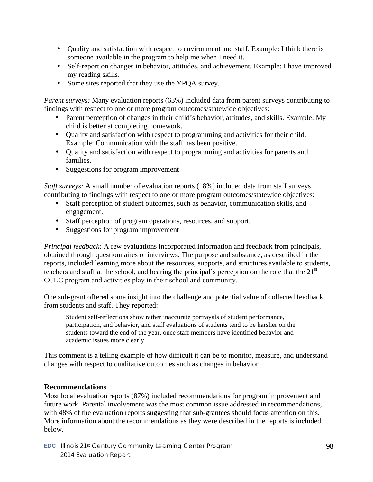- Quality and satisfaction with respect to environment and staff. Example: I think there is someone available in the program to help me when I need it.
- Self-report on changes in behavior, attitudes, and achievement. Example: I have improved my reading skills.
- Some sites reported that they use the YPQA survey.

*Parent surveys:* Many evaluation reports (63%) included data from parent surveys contributing to findings with respect to one or more program outcomes/statewide objectives:

- Parent perception of changes in their child's behavior, attitudes, and skills. Example: My child is better at completing homework.
- Quality and satisfaction with respect to programming and activities for their child. Example: Communication with the staff has been positive.
- Quality and satisfaction with respect to programming and activities for parents and families.
- Suggestions for program improvement

*Staff surveys:* A small number of evaluation reports (18%) included data from staff surveys contributing to findings with respect to one or more program outcomes/statewide objectives:

- Staff perception of student outcomes, such as behavior, communication skills, and engagement.
- Staff perception of program operations, resources, and support.
- Suggestions for program improvement

*Principal feedback:* A few evaluations incorporated information and feedback from principals, obtained through questionnaires or interviews. The purpose and substance, as described in the reports, included learning more about the resources, supports, and structures available to students, teachers and staff at the school, and hearing the principal's perception on the role that the 21<sup>st</sup> CCLC program and activities play in their school and community.

One sub-grant offered some insight into the challenge and potential value of collected feedback from students and staff. They reported:

Student self-reflections show rather inaccurate portrayals of student performance, participation, and behavior, and staff evaluations of students tend to be harsher on the students toward the end of the year, once staff members have identified behavior and academic issues more clearly.

This comment is a telling example of how difficult it can be to monitor, measure, and understand changes with respect to qualitative outcomes such as changes in behavior.

## **Recommendations**

Most local evaluation reports (87%) included recommendations for program improvement and future work. Parental involvement was the most common issue addressed in recommendations, with 48% of the evaluation reports suggesting that sub-grantees should focus attention on this. More information about the recommendations as they were described in the reports is included below.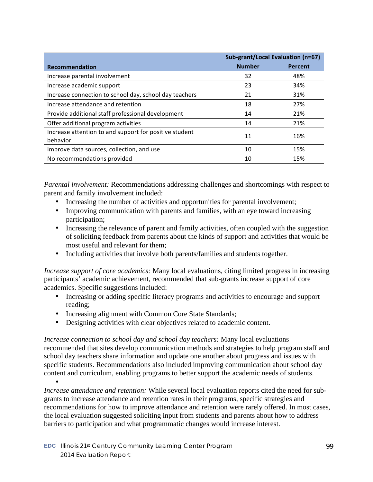|                                                                    | Sub-grant/Local Evaluation (n=67) |                |
|--------------------------------------------------------------------|-----------------------------------|----------------|
| Recommendation                                                     | <b>Number</b>                     | <b>Percent</b> |
| Increase parental involvement                                      | 32                                | 48%            |
| Increase academic support                                          | 23                                | 34%            |
| Increase connection to school day, school day teachers             | 21                                | 31%            |
| Increase attendance and retention                                  | 18                                | 27%            |
| Provide additional staff professional development                  | 14                                | 21%            |
| Offer additional program activities                                | 14                                | 21%            |
| Increase attention to and support for positive student<br>behavior | 11                                | 16%            |
| Improve data sources, collection, and use                          | 10                                | 15%            |
| No recommendations provided                                        | 10                                | 15%            |

*Parental involvement:* Recommendations addressing challenges and shortcomings with respect to parent and family involvement included:

- Increasing the number of activities and opportunities for parental involvement;
- Improving communication with parents and families, with an eye toward increasing participation;
- Increasing the relevance of parent and family activities, often coupled with the suggestion of soliciting feedback from parents about the kinds of support and activities that would be most useful and relevant for them;
- Including activities that involve both parents/families and students together.

*Increase support of core academics:* Many local evaluations, citing limited progress in increasing participants' academic achievement, recommended that sub-grants increase support of core academics. Specific suggestions included:

- Increasing or adding specific literacy programs and activities to encourage and support reading;
- Increasing alignment with Common Core State Standards;
- Designing activities with clear objectives related to academic content.

*Increase connection to school day and school day teachers:* Many local evaluations recommended that sites develop communication methods and strategies to help program staff and school day teachers share information and update one another about progress and issues with specific students. Recommendations also included improving communication about school day content and curriculum, enabling programs to better support the academic needs of students.

• *Increase attendance and retention:* While several local evaluation reports cited the need for subgrants to increase attendance and retention rates in their programs, specific strategies and recommendations for how to improve attendance and retention were rarely offered. In most cases, the local evaluation suggested soliciting input from students and parents about how to address barriers to participation and what programmatic changes would increase interest.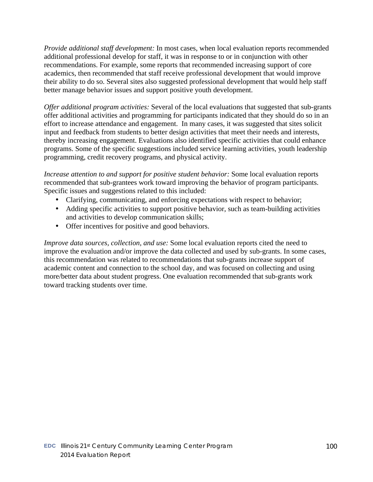*Provide additional staff development:* In most cases, when local evaluation reports recommended additional professional develop for staff, it was in response to or in conjunction with other recommendations. For example, some reports that recommended increasing support of core academics, then recommended that staff receive professional development that would improve their ability to do so. Several sites also suggested professional development that would help staff better manage behavior issues and support positive youth development.

*Offer additional program activities:* Several of the local evaluations that suggested that sub-grants offer additional activities and programming for participants indicated that they should do so in an effort to increase attendance and engagement. In many cases, it was suggested that sites solicit input and feedback from students to better design activities that meet their needs and interests, thereby increasing engagement. Evaluations also identified specific activities that could enhance programs. Some of the specific suggestions included service learning activities, youth leadership programming, credit recovery programs, and physical activity.

*Increase attention to and support for positive student behavior:* Some local evaluation reports recommended that sub-grantees work toward improving the behavior of program participants. Specific issues and suggestions related to this included:

- Clarifying, communicating, and enforcing expectations with respect to behavior;
- Adding specific activities to support positive behavior, such as team-building activities and activities to develop communication skills;
- Offer incentives for positive and good behaviors.

*Improve data sources, collection, and use:* Some local evaluation reports cited the need to improve the evaluation and/or improve the data collected and used by sub-grants. In some cases, this recommendation was related to recommendations that sub-grants increase support of academic content and connection to the school day, and was focused on collecting and using more/better data about student progress. One evaluation recommended that sub-grants work toward tracking students over time.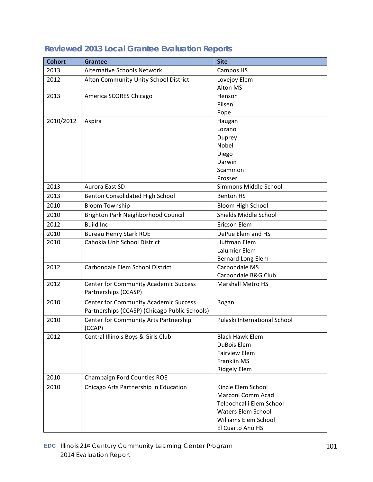| <b>Cohort</b> | <b>Grantee</b>                                | <b>Site</b>                  |
|---------------|-----------------------------------------------|------------------------------|
| 2013          | <b>Alternative Schools Network</b>            | Campos HS                    |
| 2012          | Alton Community Unity School District         | Lovejoy Elem                 |
|               |                                               | Alton MS                     |
| 2013          | America SCORES Chicago                        | Henson                       |
|               |                                               | Pilsen                       |
|               |                                               | Pope                         |
| 2010/2012     | Aspira                                        | Haugan                       |
|               |                                               | Lozano                       |
|               |                                               | Duprey                       |
|               |                                               | Nobel                        |
|               |                                               | Diego                        |
|               |                                               | Darwin                       |
|               |                                               | Scammon                      |
|               |                                               | Prosser                      |
| 2013          | Aurora East SD                                | Simmons Middle School        |
| 2013          | Benton Consolidated High School               | <b>Benton HS</b>             |
| 2010          | <b>Bloom Township</b>                         | <b>Bloom High School</b>     |
| 2010          | Brighton Park Neighborhood Council            | Shields Middle School        |
| 2012          | <b>Build Inc</b>                              | Ericson Elem                 |
| 2010          | <b>Bureau Henry Stark ROE</b>                 | DePue Elem and HS            |
| 2010          | Cahokia Unit School District                  | <b>Huffman Elem</b>          |
|               |                                               | Lalumier Elem                |
|               |                                               | Bernard Long Elem            |
| 2012          | Carbondale Elem School District               | Carbondale MS                |
|               |                                               | Carbondale B&G Club          |
| 2012          | Center for Community Academic Success         | <b>Marshall Metro HS</b>     |
|               | Partnerships (CCASP)                          |                              |
| 2010          | Center for Community Academic Success         | Bogan                        |
|               | Partnerships (CCASP) (Chicago Public Schools) |                              |
| 2010          | Center for Community Arts Partnership         | Pulaski International School |
|               | (CCAP)                                        |                              |
| 2012          | Central Illinois Boys & Girls Club            | <b>Black Hawk Elem</b>       |
|               |                                               | DuBois Elem                  |
|               |                                               | <b>Fairview Elem</b>         |
|               |                                               | Franklin MS                  |
|               |                                               | <b>Ridgely Elem</b>          |
| 2010          | Champaign Ford Counties ROE                   |                              |
| 2010          | Chicago Arts Partnership in Education         | Kinzie Elem School           |
|               |                                               | Marconi Comm Acad            |
|               |                                               | Telpochcalli Elem School     |
|               |                                               | <b>Waters Elem School</b>    |
|               |                                               | Williams Elem School         |
|               |                                               | El Cuarto Ano HS             |

# **Reviewed 2013 Local Grantee Evaluation Reports**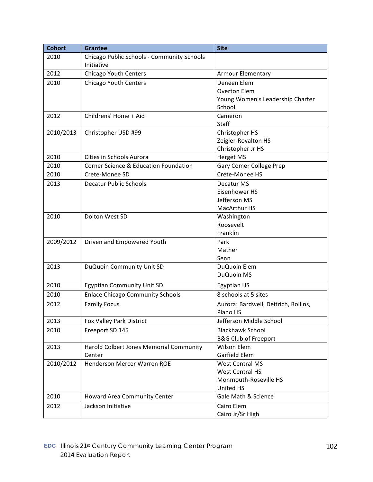| <b>Cohort</b> | <b>Grantee</b>                             | <b>Site</b>                          |
|---------------|--------------------------------------------|--------------------------------------|
| 2010          | Chicago Public Schools - Community Schools |                                      |
|               | Initiative                                 |                                      |
| 2012          | Chicago Youth Centers                      | <b>Armour Elementary</b>             |
| 2010          | Chicago Youth Centers                      | Deneen Elem                          |
|               |                                            | <b>Overton Elem</b>                  |
|               |                                            | Young Women's Leadership Charter     |
|               |                                            | School                               |
| 2012          | Childrens' Home + Aid                      | Cameron                              |
|               |                                            | Staff                                |
| 2010/2013     | Christopher USD #99                        | Christopher HS                       |
|               |                                            | Zeigler-Royalton HS                  |
|               |                                            | Christopher Jr HS                    |
| 2010          | Cities in Schools Aurora                   | <b>Herget MS</b>                     |
| 2010          | Corner Science & Education Foundation      | Gary Comer College Prep              |
| 2010          | Crete-Monee SD                             | Crete-Monee HS                       |
| 2013          | <b>Decatur Public Schools</b>              | Decatur MS                           |
|               |                                            | Eisenhower HS                        |
|               |                                            | Jefferson MS                         |
|               |                                            | MacArthur HS                         |
| 2010          | <b>Dolton West SD</b>                      | Washington                           |
|               |                                            | Roosevelt                            |
|               |                                            | Franklin                             |
| 2009/2012     | Driven and Empowered Youth                 | Park                                 |
|               |                                            | Mather                               |
|               |                                            | Senn                                 |
| 2013          | DuQuoin Community Unit SD                  | DuQuoin Elem                         |
|               |                                            | DuQuoin MS                           |
| 2010          | <b>Egyptian Community Unit SD</b>          | <b>Egyptian HS</b>                   |
| 2010          | <b>Enlace Chicago Community Schools</b>    | 8 schools at 5 sites                 |
| 2012          | <b>Family Focus</b>                        | Aurora: Bardwell, Deitrich, Rollins, |
|               |                                            | Plano HS                             |
| 2013          | Fox Valley Park District                   | Jefferson Middle School              |
| 2010          | Freeport SD 145                            | <b>Blackhawk School</b>              |
|               |                                            | <b>B&amp;G Club of Freeport</b>      |
| 2013          | Harold Colbert Jones Memorial Community    | Wilson Elem                          |
|               | Center                                     | Garfield Elem                        |
| 2010/2012     | Henderson Mercer Warren ROE                | West Central MS                      |
|               |                                            | <b>West Central HS</b>               |
|               |                                            | Monmouth-Roseville HS                |
|               |                                            | United HS                            |
| 2010          | Howard Area Community Center               | Gale Math & Science                  |
| 2012          | Jackson Initiative                         | Cairo Elem                           |
|               |                                            | Cairo Jr/Sr High                     |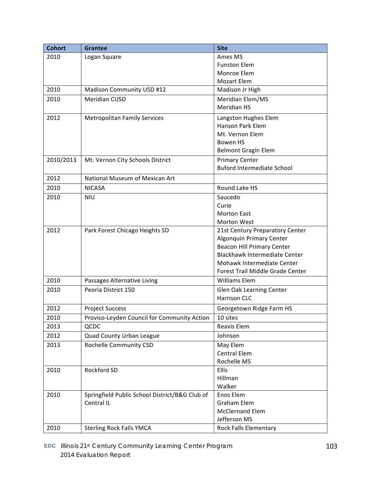| <b>Cohort</b> | <b>Grantee</b>                                 | <b>Site</b>                          |
|---------------|------------------------------------------------|--------------------------------------|
| 2010          | Logan Square                                   | Ames MS                              |
|               |                                                | <b>Funston Elem</b>                  |
|               |                                                | Monroe Elem                          |
|               |                                                | <b>Mozart Elem</b>                   |
| 2010          | <b>Madison Community USD #12</b>               | Madison Jr High                      |
| 2010          | <b>Meridian CUSD</b>                           | Meridian Elem/MS                     |
|               |                                                | Meridian HS                          |
| 2012          | <b>Metropolitan Family Services</b>            | Langston Hughes Elem                 |
|               |                                                | <b>Hanson Park Elem</b>              |
|               |                                                | Mt. Vernon Elem                      |
|               |                                                | Bowen HS                             |
|               |                                                | <b>Belmont Gragin Elem</b>           |
| 2010/2013     | Mt. Vernon City Schools District               | <b>Primary Center</b>                |
|               |                                                | <b>Buford Intermediate School</b>    |
| 2012          | National Museum of Mexican Art                 |                                      |
| 2010          | <b>NICASA</b>                                  | Round Lake HS                        |
| 2010          | <b>NIU</b>                                     | Saucedo                              |
|               |                                                | Curie                                |
|               |                                                | <b>Morton East</b>                   |
|               |                                                | Morton West                          |
| 2012          | Park Forest Chicago Heights SD                 | 21st Century Preparatory Center      |
|               |                                                | Algonquin Primary Center             |
|               |                                                | Beacon Hill Primary Center           |
|               |                                                | <b>Blackhawk Intermediate Center</b> |
|               |                                                | Mohawk Intermediate Center           |
|               |                                                | Forest Trail Middle Grade Center     |
| 2010          | Passages Alternative Living                    | <b>Williams Flem</b>                 |
| 2010          | Peoria District 150                            | Glen Oak Learning Center             |
|               |                                                | <b>Harrison CLC</b>                  |
| 2012          | <b>Project Success</b>                         | Georgetown Ridge Farm HS             |
| 2010          | Proviso-Leyden Council for Community Action    | 10 sites                             |
| 2013          | QCDC                                           | Reavis Elem                          |
| 2012          | Quad County Urban League                       | Johnson                              |
| 2013          | Rochelle Community CSD                         | May Elem                             |
|               |                                                | <b>Central Elem</b>                  |
|               |                                                | Rochelle MS                          |
| 2010          | Rockford SD                                    | Ellis                                |
|               |                                                | Hillman                              |
|               |                                                | Walker                               |
| 2010          | Springfield Public School District/B&G Club of | Enos Elem                            |
|               | Central IL                                     | <b>Graham Elem</b>                   |
|               |                                                | <b>McClernand Elem</b>               |
|               |                                                | Jefferson MS                         |
| 2010          | <b>Sterling Rock Falls YMCA</b>                | Rock Falls Elementary                |